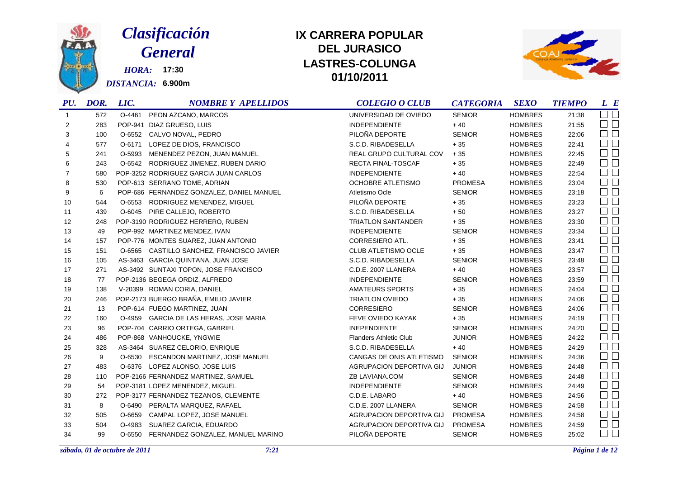

# *Clasificación General*

*HORA:* **17:30** *DISTANCIA:* **6.900m**

### **DEL JURASICO LASTRES-COLUNGA 01/10/2011 IX CARRERA POPULAR**



|                | PU. DOR. | LIC.   | <b>NOMBRE Y APELLIDOS</b>                 | <b>COLEGIO O CLUB</b>         | <b>CATEGORIA</b> | <b>SEXO</b>    | <b>TIEMPO</b> | L E                 |
|----------------|----------|--------|-------------------------------------------|-------------------------------|------------------|----------------|---------------|---------------------|
| $\overline{1}$ | 572      | O-4461 | PEON AZCANO, MARCOS                       | UNIVERSIDAD DE OVIEDO         | <b>SENIOR</b>    | <b>HOMBRES</b> | 21:38         | $\Box$              |
| 2              | 283      |        | POP-941 DIAZ GRUESO, LUIS                 | <b>INDEPENDIENTE</b>          | $+40$            | <b>HOMBRES</b> | 21:55         | $\Box$              |
| 3              | 100      | O-6552 | CALVO NOVAL, PEDRO                        | PILOÑA DEPORTE                | <b>SENIOR</b>    | <b>HOMBRES</b> | 22:06         | $\Box$              |
| 4              | 577      | O-6171 | LOPEZ DE DIOS, FRANCISCO                  | S.C.D. RIBADESELLA            | $+35$            | <b>HOMBRES</b> | 22:41         | $\Box$              |
| 5              | 241      | O-5993 | MENENDEZ PEZON, JUAN MANUEL               | REAL GRUPO CULTURAL COV       | $+35$            | <b>HOMBRES</b> | 22:45         | $\Box$ $\Box$       |
| 6              | 243      |        | O-6542 RODRIGUEZ JIMENEZ, RUBEN DARIO     | <b>RECTA FINAL-TOSCAF</b>     | $+35$            | <b>HOMBRES</b> | 22:49         | $\square$ $\square$ |
| 7              | 580      |        | POP-3252 RODRIGUEZ GARCIA JUAN CARLOS     | <b>INDEPENDIENTE</b>          | $+40$            | <b>HOMBRES</b> | 22:54         | $\Box$ $\Box$       |
| 8              | 530      |        | POP-613 SERRANO TOME, ADRIAN              | <b>OCHOBRE ATLETISMO</b>      | <b>PROMESA</b>   | <b>HOMBRES</b> | 23:04         | $\Box$              |
| 9              | 6        |        | POP-686 FERNANDEZ GONZALEZ, DANIEL MANUEL | Atletismo Ocle                | <b>SENIOR</b>    | <b>HOMBRES</b> | 23:18         | $\square$ $\square$ |
| 10             | 544      |        | O-6553 RODRIGUEZ MENENDEZ, MIGUEL         | PILOÑA DEPORTE                | $+35$            | <b>HOMBRES</b> | 23:23         | $\Box$ $\Box$       |
| 11             | 439      |        | O-6045 PIRE CALLEJO, ROBERTO              | S.C.D. RIBADESELLA            | $+50$            | <b>HOMBRES</b> | 23:27         | $\Box$ $\Box$       |
| 12             | 248      |        | POP-3190 RODRIGUEZ HERRERO, RUBEN         | <b>TRIATLON SANTANDER</b>     | $+35$            | <b>HOMBRES</b> | 23:30         | $\square$ $\square$ |
| 13             | 49       |        | POP-992 MARTINEZ MENDEZ, IVAN             | INDEPENDIENTE                 | <b>SENIOR</b>    | <b>HOMBRES</b> | 23:34         | $\Box$              |
| 14             | 157      |        | POP-776 MONTES SUAREZ, JUAN ANTONIO       | <b>CORRESIERO ATL.</b>        | $+35$            | <b>HOMBRES</b> | 23:41         | $\Box$ $\Box$       |
| 15             | 151      |        | O-6565 CASTILLO SANCHEZ, FRANCISCO JAVIER | <b>CLUB ATLETISMO OCLE</b>    | $+35$            | <b>HOMBRES</b> | 23:47         | $\Box$              |
| 16             | 105      |        | AS-3463 GARCIA QUINTANA, JUAN JOSE        | S.C.D. RIBADESELLA            | <b>SENIOR</b>    | <b>HOMBRES</b> | 23:48         | $\Box$ $\Box$       |
| 17             | 271      |        | AS-3492 SUNTAXI TOPON, JOSE FRANCISCO     | C.D.E. 2007 LLANERA           | $+40$            | <b>HOMBRES</b> | 23:57         | $\square$ $\square$ |
| 18             | 77       |        | POP-2136 BEGEGA ORDIZ, ALFREDO            | <b>INDEPENDIENTE</b>          | <b>SENIOR</b>    | <b>HOMBRES</b> | 23:59         | $\Box$              |
| 19             | 138      |        | V-20399 ROMAN CORIA, DANIEL               | AMATEURS SPORTS               | $+35$            | <b>HOMBRES</b> | 24:04         | $\Box$ $\Box$       |
| 20             | 246      |        | POP-2173 BUERGO BRAÑA, EMILIO JAVIER      | <b>TRIATLON OVIEDO</b>        | $+35$            | <b>HOMBRES</b> | 24:06         | $\Box$ $\Box$       |
| 21             | 13       |        | POP-614 FUEGO MARTINEZ, JUAN              | <b>CORRESIERO</b>             | <b>SENIOR</b>    | <b>HOMBRES</b> | 24:06         | $\Box$ $\Box$       |
| 22             | 160      |        | O-4959 GARCIA DE LAS HERAS, JOSE MARIA    | FEVE OVIEDO KAYAK             | $+35$            | <b>HOMBRES</b> | 24:19         | $\Box$ $\Box$       |
| 23             | 96       |        | POP-704 CARRIO ORTEGA, GABRIEL            | <b>INEPENDIENTE</b>           | <b>SENIOR</b>    | <b>HOMBRES</b> | 24:20         | $\Box$ $\Box$       |
| 24             | 486      |        | POP-868 VANHOUCKE, YNGWIE                 | <b>Flanders Athletic Club</b> | <b>JUNIOR</b>    | <b>HOMBRES</b> | 24:22         | $\Box$ $\Box$       |
| 25             | 328      |        | AS-3464 SUAREZ CELORIO, ENRIQUE           | S.C.D. RIBADESELLA            | $+40$            | <b>HOMBRES</b> | 24:29         | $\square$ $\square$ |
| 26             | 9        |        | O-6530 ESCANDON MARTINEZ, JOSE MANUEL     | CANGAS DE ONIS ATLETISMO      | <b>SENIOR</b>    | <b>HOMBRES</b> | 24:36         | $\Box$              |
| 27             | 483      |        | O-6376 LOPEZ ALONSO, JOSE LUIS            | AGRUPACION DEPORTIVA GIJ      | <b>JUNIOR</b>    | <b>HOMBRES</b> | 24:48         | $\Box$ $\Box$       |
| 28             | 110      |        | POP-2166 FERNANDEZ MARTINEZ, SAMUEL       | ZB LAVIANA.COM                | <b>SENIOR</b>    | <b>HOMBRES</b> | 24:48         | $\square$ $\square$ |
| 29             | 54       |        | POP-3181 LOPEZ MENENDEZ, MIGUEL           | <b>INDEPENDIENTE</b>          | <b>SENIOR</b>    | <b>HOMBRES</b> | 24:49         | $\Box$ $\Box$       |
| 30             | 272      |        | POP-3177 FERNANDEZ TEZANOS, CLEMENTE      | C.D.E. LABARO                 | $+40$            | <b>HOMBRES</b> | 24:56         | $\Box$              |
| 31             | 8        |        | O-6490 PERALTA MARQUEZ, RAFAEL            | C.D.E. 2007 LLANERA           | <b>SENIOR</b>    | <b>HOMBRES</b> | 24:58         | $\Box$ $\Box$       |
| 32             | 505      | O-6659 | CAMPAL LOPEZ, JOSE MANUEL                 | AGRUPACION DEPORTIVA GIJ      | <b>PROMESA</b>   | <b>HOMBRES</b> | 24:58         | $\Box$              |
| 33             | 504      | O-4983 | SUAREZ GARCIA, EDUARDO                    | AGRUPACION DEPORTIVA GIJ      | <b>PROMESA</b>   | <b>HOMBRES</b> | 24:59         | $\square$ $\square$ |
| 34             | 99       |        | O-6550 FERNANDEZ GONZALEZ, MANUEL MARINO  | PILOÑA DEPORTE                | <b>SENIOR</b>    | <b>HOMBRES</b> | 25:02         | $\Box$<br>$\Box$    |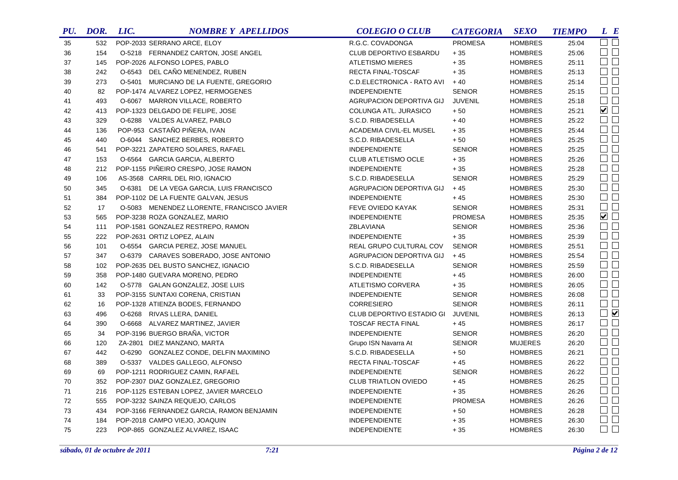| PU. | DOR. | LIC. | <b>NOMBRE Y APELLIDOS</b>                  | <b>COLEGIO O CLUB</b>             | <b>CATEGORIA</b> | <b>SEXO</b>    | <b>TIEMPO</b> | L E                    |
|-----|------|------|--------------------------------------------|-----------------------------------|------------------|----------------|---------------|------------------------|
| 35  | 532  |      | POP-2033 SERRANO ARCE, ELOY                | R.G.C. COVADONGA                  | <b>PROMESA</b>   | <b>HOMBRES</b> | 25:04         | $\Box$ $\Box$          |
| 36  | 154  |      | O-5218 FERNANDEZ CARTON, JOSE ANGEL        | <b>CLUB DEPORTIVO ESBARDU</b>     | $+35$            | <b>HOMBRES</b> | 25:06         | $\Box$ $\Box$          |
| 37  | 145  |      | POP-2026 ALFONSO LOPES, PABLO              | <b>ATLETISMO MIERES</b>           | $+35$            | <b>HOMBRES</b> | 25:11         | $\Box$ $\Box$          |
| 38  | 242  |      | O-6543 DEL CAÑO MENENDEZ, RUBEN            | RECTA FINAL-TOSCAF                | $+35$            | <b>HOMBRES</b> | 25:13         | $\square$ $\square$    |
| 39  | 273  |      | O-5401 MURCIANO DE LA FUENTE, GREGORIO     | C.D.ELECTRONICA - RATO AVI        | $+40$            | <b>HOMBRES</b> | 25:14         | $\Box$                 |
| 40  | 82   |      | POP-1474 ALVAREZ LOPEZ, HERMOGENES         | <b>INDEPENDIENTE</b>              | <b>SENIOR</b>    | <b>HOMBRES</b> | 25:15         | $\Box$ $\Box$          |
| 41  | 493  |      | O-6067 MARRON VILLACE, ROBERTO             | AGRUPACION DEPORTIVA GIJ          | <b>JUVENIL</b>   | <b>HOMBRES</b> | 25:18         | $\Box$ $\Box$          |
| 42  | 413  |      | POP-1323 DELGADO DE FELIPE, JOSE           | COLUNGA ATL. JURASICO             | $+50$            | <b>HOMBRES</b> | 25:21         | $\blacktriangledown$   |
| 43  | 329  |      | O-6288 VALDES ALVAREZ, PABLO               | S.C.D. RIBADESELLA                | $+40$            | <b>HOMBRES</b> | 25:22         | $\square$<br>$\square$ |
| 44  | 136  |      | POP-953 CASTAÑO PIÑERA, IVAN               | ACADEMIA CIVIL-EL MUSEL           | $+35$            | <b>HOMBRES</b> | 25:44         | $\square$ $\square$    |
| 45  | 440  |      | O-6044 SANCHEZ BERBES, ROBERTO             | S.C.D. RIBADESELLA                | $+50$            | <b>HOMBRES</b> | 25:25         | $\square$<br>$\square$ |
| 46  | 541  |      | POP-3221 ZAPATERO SOLARES, RAFAEL          | <b>INDEPENDIENTE</b>              | <b>SENIOR</b>    | <b>HOMBRES</b> | 25:25         | $\square$ $\square$    |
| 47  | 153  |      | O-6564 GARCIA GARCIA, ALBERTO              | <b>CLUB ATLETISMO OCLE</b>        | $+35$            | <b>HOMBRES</b> | 25:26         | $\square$ $\square$    |
| 48  | 212  |      | POP-1155 PIÑEIRO CRESPO, JOSE RAMON        | <b>INDEPENDIENTE</b>              | $+35$            | <b>HOMBRES</b> | 25:28         | $\square$ $\square$    |
| 49  | 106  |      | AS-3568 CARRIL DEL RIO, IGNACIO            | S.C.D. RIBADESELLA                | <b>SENIOR</b>    | <b>HOMBRES</b> | 25:29         | $\Box$                 |
| 50  | 345  |      | O-6381 DE LA VEGA GARCIA, LUIS FRANCISCO   | AGRUPACION DEPORTIVA GIJ          | $+45$            | <b>HOMBRES</b> | 25:30         | $\square$ $\square$    |
| 51  | 384  |      | POP-1102 DE LA FUENTE GALVAN, JESUS        | INDEPENDIENTE                     | $+45$            | <b>HOMBRES</b> | 25:30         | $\Box$                 |
| 52  | 17   |      | O-5083 MENENDEZ LLORENTE, FRANCISCO JAVIER | FEVE OVIEDO KAYAK                 | <b>SENIOR</b>    | <b>HOMBRES</b> | 25:31         | $\Box$ $\Box$          |
| 53  | 565  |      | POP-3238 ROZA GONZALEZ, MARIO              | <b>INDEPENDIENTE</b>              | <b>PROMESA</b>   | <b>HOMBRES</b> | 25:35         | $\blacktriangledown$   |
| 54  | 111  |      | POP-1581 GONZALEZ RESTREPO, RAMON          | ZBLAVIANA                         | <b>SENIOR</b>    | <b>HOMBRES</b> | 25:36         | $\Box$ $\Box$          |
| 55  | 222  |      | POP-2631 ORTIZ LOPEZ, ALAIN                | <b>INDEPENDIENTE</b>              | $+35$            | <b>HOMBRES</b> | 25:39         | $\Box$ $\Box$          |
| 56  | 101  |      | O-6554 GARCIA PEREZ, JOSE MANUEL           | REAL GRUPO CULTURAL COV           | <b>SENIOR</b>    | <b>HOMBRES</b> | 25:51         | $\square$ $\square$    |
| 57  | 347  |      | O-6379 CARAVES SOBERADO, JOSE ANTONIO      | AGRUPACION DEPORTIVA GIJ          | $+45$            | <b>HOMBRES</b> | 25:54         | $\Box$                 |
| 58  | 102  |      | POP-2635 DEL BUSTO SANCHEZ, IGNACIO        | S.C.D. RIBADESELLA                | <b>SENIOR</b>    | <b>HOMBRES</b> | 25:59         | $\Box$                 |
| 59  | 358  |      | POP-1480 GUEVARA MORENO, PEDRO             | <b>INDEPENDIENTE</b>              | $+45$            | <b>HOMBRES</b> | 26:00         | $\Box$ $\Box$          |
| 60  | 142  |      | O-5778 GALAN GONZALEZ, JOSE LUIS           | ATLETISMO CORVERA                 | $+35$            | <b>HOMBRES</b> | 26:05         | $\Box$                 |
| 61  | 33   |      | POP-3155 SUNTAXI CORENA, CRISTIAN          | <b>INDEPENDIENTE</b>              | <b>SENIOR</b>    | <b>HOMBRES</b> | 26:08         | $\Box$ $\Box$          |
| 62  | 16   |      | POP-1328 ATIENZA BODES, FERNANDO           | <b>CORRESIERO</b>                 | <b>SENIOR</b>    | <b>HOMBRES</b> | 26:11         | $\square$<br>$\square$ |
| 63  | 496  |      | O-6268 RIVAS LLERA, DANIEL                 | CLUB DEPORTIVO ESTADIO GI JUVENIL |                  | <b>HOMBRES</b> | 26:13         | $\Box$                 |
| 64  | 390  |      | O-6668 ALVAREZ MARTINEZ, JAVIER            | <b>TOSCAF RECTA FINAL</b>         | $+45$            | <b>HOMBRES</b> | 26:17         | $\square$ $\square$    |
| 65  | 34   |      | POP-3196 BUERGO BRAÑA, VICTOR              | <b>INDEPENDIENTE</b>              | <b>SENIOR</b>    | <b>HOMBRES</b> | 26:20         | $\Box$ $\Box$          |
| 66  | 120  |      | ZA-2801 DIEZ MANZANO, MARTA                | Grupo ISN Navarra At              | <b>SENIOR</b>    | <b>MUJERES</b> | 26:20         | $\square$ $\square$    |
| 67  | 442  |      | O-6290 GONZALEZ CONDE, DELFIN MAXIMINO     | S.C.D. RIBADESELLA                | $+50$            | <b>HOMBRES</b> | 26:21         | $\Box$ $\Box$          |
| 68  | 389  |      | O-5337 VALDES GALLEGO, ALFONSO             | RECTA FINAL-TOSCAF                | $+45$            | <b>HOMBRES</b> | 26:22         | $\Box$ $\Box$          |
| 69  | 69   |      | POP-1211 RODRIGUEZ CAMIN, RAFAEL           | <b>INDEPENDIENTE</b>              | <b>SENIOR</b>    | <b>HOMBRES</b> | 26:22         | $\square$ $\square$    |
| 70  | 352  |      | POP-2307 DIAZ GONZALEZ, GREGORIO           | <b>CLUB TRIATLON OVIEDO</b>       | $+45$            | <b>HOMBRES</b> | 26:25         | $\square$ $\square$    |
| 71  | 216  |      | POP-1125 ESTEBAN LOPEZ, JAVIER MARCELO     | <b>INDEPENDIENTE</b>              | $+35$            | <b>HOMBRES</b> | 26:26         | $\Box$                 |
| 72  | 555  |      | POP-3232 SAINZA REQUEJO, CARLOS            | <b>INDEPENDIENTE</b>              | <b>PROMESA</b>   | <b>HOMBRES</b> | 26:26         | $\Box$ $\Box$          |
| 73  | 434  |      | POP-3166 FERNANDEZ GARCIA, RAMON BENJAMIN  | <b>INDEPENDIENTE</b>              | $+50$            | <b>HOMBRES</b> | 26:28         | $\square$<br>$\square$ |
| 74  | 184  |      | POP-2018 CAMPO VIEJO, JOAQUIN              | <b>INDEPENDIENTE</b>              | $+35$            | <b>HOMBRES</b> | 26:30         | $\square$ $\square$    |
| 75  | 223  |      | POP-865 GONZALEZ ALVAREZ, ISAAC            | <b>INDEPENDIENTE</b>              | $+35$            | <b>HOMBRES</b> | 26:30         | $\Box$ $\Box$          |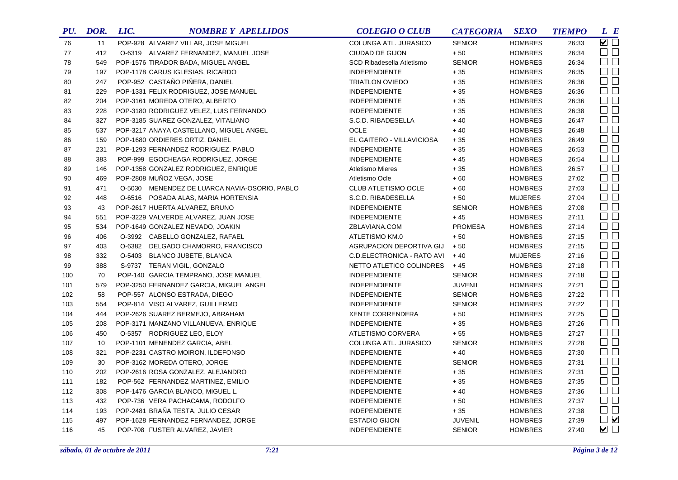| PU. | DOR. | LIC. | <b>NOMBRE Y APELLIDOS</b>                     | <b>COLEGIO O CLUB</b>      | <b>CATEGORIA</b> | <b>SEXO</b>    | <b>TIEMPO</b> | L E                        |
|-----|------|------|-----------------------------------------------|----------------------------|------------------|----------------|---------------|----------------------------|
| 76  | 11   |      | POP-928 ALVAREZ VILLAR, JOSE MIGUEL           | COLUNGA ATL. JURASICO      | <b>SENIOR</b>    | <b>HOMBRES</b> | 26:33         | $\overline{\smile}$ $\Box$ |
| 77  | 412  |      | O-6319 ALVAREZ FERNANDEZ, MANUEL JOSE         | CIUDAD DE GIJON            | $+50$            | <b>HOMBRES</b> | 26:34         | $\Box$ $\Box$              |
| 78  | 549  |      | POP-1576 TIRADOR BADA, MIGUEL ANGEL           | SCD Ribadesella Atletismo  | <b>SENIOR</b>    | <b>HOMBRES</b> | 26:34         | $\Box$ $\Box$              |
| 79  | 197  |      | POP-1178 CARUS IGLESIAS, RICARDO              | <b>INDEPENDIENTE</b>       | $+35$            | <b>HOMBRES</b> | 26:35         | $\Box$ $\Box$              |
| 80  | 247  |      | POP-952 CASTAÑO PIÑERA, DANIEL                | <b>TRIATLON OVIEDO</b>     | $+35$            | <b>HOMBRES</b> | 26:36         | $\Box$ $\Box$              |
| 81  | 229  |      | POP-1331 FELIX RODRIGUEZ, JOSE MANUEL         | <b>INDEPENDIENTE</b>       | $+35$            | <b>HOMBRES</b> | 26:36         | $\Box$                     |
| 82  | 204  |      | POP-3161 MOREDA OTERO, ALBERTO                | <b>INDEPENDIENTE</b>       | $+35$            | <b>HOMBRES</b> | 26:36         | $\square$<br>$\square$     |
| 83  | 228  |      | POP-3180 RODRIGUEZ VELEZ, LUIS FERNANDO       | <b>INDEPENDIENTE</b>       | $+35$            | <b>HOMBRES</b> | 26:38         | $\Box$ $\Box$              |
| 84  | 327  |      | POP-3185 SUAREZ GONZALEZ, VITALIANO           | S.C.D. RIBADESELLA         | $+40$            | <b>HOMBRES</b> | 26:47         | $\Box$                     |
| 85  | 537  |      | POP-3217 ANAYA CASTELLANO, MIGUEL ANGEL       | <b>OCLE</b>                | $+40$            | <b>HOMBRES</b> | 26:48         | $\Box$                     |
| 86  | 159  |      | POP-1680 ORDIERES ORTIZ, DANIEL               | EL GAITERO - VILLAVICIOSA  | $+\,35$          | <b>HOMBRES</b> | 26:49         | $\Box$                     |
| 87  | 231  |      | POP-1293 FERNANDEZ RODRIGUEZ. PABLO           | <b>INDEPENDIENTE</b>       | $+35$            | <b>HOMBRES</b> | 26:53         | $\Box$ $\Box$              |
| 88  | 383  |      | POP-999 EGOCHEAGA RODRIGUEZ, JORGE            | <b>INDEPENDIENTE</b>       | $+45$            | <b>HOMBRES</b> | 26:54         | $\Box$                     |
| 89  | 146  |      | POP-1358 GONZALEZ RODRIGUEZ, ENRIQUE          | <b>Atletismo Mieres</b>    | $+35$            | <b>HOMBRES</b> | 26:57         | $\square$ $\square$        |
| 90  | 469  |      | POP-2808 MUÑOZ VEGA, JOSE                     | Atletismo Ocle             | $+60$            | <b>HOMBRES</b> | 27:02         | $\Box$                     |
| 91  | 471  |      | O-5030 MENENDEZ DE LUARCA NAVIA-OSORIO, PABLO | CLUB ATLETISMO OCLE        | $+60$            | <b>HOMBRES</b> | 27:03         | $\Box$ $\Box$              |
| 92  | 448  |      | O-6516 POSADA ALAS, MARIA HORTENSIA           | S.C.D. RIBADESELLA         | $+50$            | <b>MUJERES</b> | 27:04         | $\square$ $\square$        |
| 93  | 43   |      | POP-2617 HUERTA ALVAREZ, BRUNO                | <b>INDEPENDIENTE</b>       | <b>SENIOR</b>    | <b>HOMBRES</b> | 27:08         | $\square$ $\square$        |
| 94  | 551  |      | POP-3229 VALVERDE ALVAREZ, JUAN JOSE          | <b>INDEPENDIENTE</b>       | $+45$            | <b>HOMBRES</b> | 27:11         | $\square$ $\square$        |
| 95  | 534  |      | POP-1649 GONZALEZ NEVADO, JOAKIN              | ZBLAVIANA.COM              | <b>PROMESA</b>   | <b>HOMBRES</b> | 27:14         | $\Box$                     |
| 96  | 406  |      | O-3992 CABELLO GONZALEZ, RAFAEL               | ATLETISMO KM.0             | $+50$            | <b>HOMBRES</b> | 27:15         | $\square$ $\square$        |
| 97  | 403  |      | O-6382 DELGADO CHAMORRO, FRANCISCO            | AGRUPACION DEPORTIVA GIJ   | $+50$            | <b>HOMBRES</b> | 27:15         | $\Box$                     |
| 98  | 332  |      | O-5403 BLANCO JUBETE, BLANCA                  | C.D.ELECTRONICA - RATO AVI | $+40$            | <b>MUJERES</b> | 27:16         | $\square$ $\square$        |
| 99  | 388  |      | S-9737 TERAN VIGIL, GONZALO                   | NETTO ATLETICO COLINDRES   | $+45$            | <b>HOMBRES</b> | 27:18         | $\Box$                     |
| 100 | 70   |      | POP-140 GARCIA TEMPRANO, JOSE MANUEL          | <b>INDEPENDIENTE</b>       | <b>SENIOR</b>    | <b>HOMBRES</b> | 27:18         | $\Box$ $\Box$              |
| 101 | 579  |      | POP-3250 FERNANDEZ GARCIA, MIGUEL ANGEL       | <b>INDEPENDIENTE</b>       | <b>JUVENIL</b>   | <b>HOMBRES</b> | 27:21         | $\square$ $\square$        |
| 102 | 58   |      | POP-557 ALONSO ESTRADA, DIEGO                 | <b>INDEPENDIENTE</b>       | <b>SENIOR</b>    | <b>HOMBRES</b> | 27:22         | $\square$ $\square$        |
| 103 | 554  |      | POP-814 VISO ALVAREZ, GUILLERMO               | <b>INDEPENDIENTE</b>       | <b>SENIOR</b>    | <b>HOMBRES</b> | 27:22         | $\Box$                     |
| 104 | 444  |      | POP-2626 SUAREZ BERMEJO, ABRAHAM              | <b>XENTE CORRENDERA</b>    | $+50$            | <b>HOMBRES</b> | 27:25         | $\square$ $\square$        |
| 105 | 208  |      | POP-3171 MANZANO VILLANUEVA, ENRIQUE          | <b>INDEPENDIENTE</b>       | $+35$            | <b>HOMBRES</b> | 27:26         | $\square$ $\square$        |
| 106 | 450  |      | O-5357 RODRIGUEZ LEO, ELOY                    | ATLETISMO CORVERA          | $+55$            | <b>HOMBRES</b> | 27:27         | $\square$ $\square$        |
| 107 | 10   |      | POP-1101 MENENDEZ GARCIA, ABEL                | COLUNGA ATL. JURASICO      | <b>SENIOR</b>    | <b>HOMBRES</b> | 27:28         | $\square$ $\square$        |
| 108 | 321  |      | POP-2231 CASTRO MOIRON, ILDEFONSO             | <b>INDEPENDIENTE</b>       | $+40$            | <b>HOMBRES</b> | 27:30         | $\square$ $\square$        |
| 109 | 30   |      | POP-3162 MOREDA OTERO, JORGE                  | <b>INDEPENDIENTE</b>       | <b>SENIOR</b>    | <b>HOMBRES</b> | 27:31         | $\Box$ $\Box$              |
| 110 | 202  |      | POP-2616 ROSA GONZALEZ, ALEJANDRO             | <b>INDEPENDIENTE</b>       | $+35$            | <b>HOMBRES</b> | 27:31         | $\square$ $\square$        |
| 111 | 182  |      | POP-562 FERNANDEZ MARTINEZ, EMILIO            | <b>INDEPENDIENTE</b>       | $+35$            | <b>HOMBRES</b> | 27:35         | $\Box$ $\Box$              |
| 112 | 308  |      | POP-1476 GARCIA BLANCO, MIGUEL L.             | <b>INDEPENDIENTE</b>       | $+40$            | <b>HOMBRES</b> | 27:36         | $\Box$                     |
| 113 | 432  |      | POP-736 VERA PACHACAMA, RODOLFO               | <b>INDEPENDIENTE</b>       | $+50$            | <b>HOMBRES</b> | 27:37         | $\Box$ $\Box$              |
| 114 | 193  |      | POP-2481 BRAÑA TESTA, JULIO CESAR             | <b>INDEPENDIENTE</b>       | $+35$            | <b>HOMBRES</b> | 27:38         | $\Box$ $\Box$              |
| 115 | 497  |      | POP-1628 FERNANDEZ FERNANDEZ, JORGE           | <b>ESTADIO GIJON</b>       | <b>JUVENIL</b>   | <b>HOMBRES</b> | 27:39         | $\Box$                     |
| 116 | 45   |      | POP-708 FUSTER ALVAREZ, JAVIER                | <b>INDEPENDIENTE</b>       | <b>SENIOR</b>    | <b>HOMBRES</b> | 27:40         | $\blacksquare$             |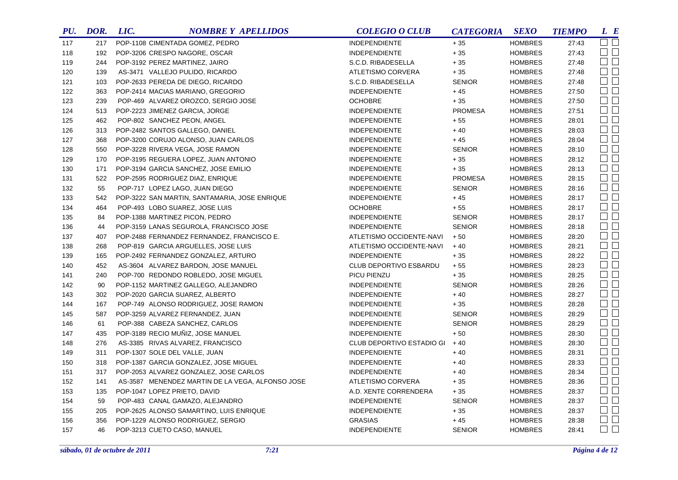| PU. | DOR. | LIC. | <b>NOMBRE Y APELLIDOS</b>                        | <b>COLEGIO O CLUB</b>     | <b>CATEGORIA</b> | <b>SEXO</b>    | <b>TIEMPO</b> | L E                 |
|-----|------|------|--------------------------------------------------|---------------------------|------------------|----------------|---------------|---------------------|
| 117 | 217  |      | POP-1108 CIMENTADA GOMEZ, PEDRO                  | <b>INDEPENDIENTE</b>      | $+35$            | <b>HOMBRES</b> | 27:43         | $\Box$ $\Box$       |
| 118 | 192  |      | POP-3206 CRESPO NAGORE, OSCAR                    | <b>INDEPENDIENTE</b>      | $+35$            | <b>HOMBRES</b> | 27:43         | $\Box$              |
| 119 | 244  |      | POP-3192 PEREZ MARTINEZ, JAIRO                   | S.C.D. RIBADESELLA        | $+35$            | <b>HOMBRES</b> | 27:48         | $\Box$ $\Box$       |
| 120 | 139  |      | AS-3471 VALLEJO PULIDO, RICARDO                  | ATLETISMO CORVERA         | $+35$            | <b>HOMBRES</b> | 27:48         | $\Box$              |
| 121 | 103  |      | POP-2633 PEREDA DE DIEGO, RICARDO                | S.C.D. RIBADESELLA        | <b>SENIOR</b>    | <b>HOMBRES</b> | 27:48         | $\square$           |
| 122 | 363  |      | POP-2414 MACIAS MARIANO, GREGORIO                | <b>INDEPENDIENTE</b>      | $+45$            | <b>HOMBRES</b> | 27:50         | $\Box$ $\Box$       |
| 123 | 239  |      | POP-469 ALVAREZ OROZCO, SERGIO JOSE              | <b>OCHOBRE</b>            | $+35$            | <b>HOMBRES</b> | 27:50         | $\Box$              |
| 124 | 513  |      | POP-2223 JIMENEZ GARCIA, JORGE                   | <b>INDEPENDIENTE</b>      | <b>PROMESA</b>   | <b>HOMBRES</b> | 27:51         | $\Box$              |
| 125 | 462  |      | POP-802 SANCHEZ PEON, ANGEL                      | <b>INDEPENDIENTE</b>      | $+55$            | <b>HOMBRES</b> | 28:01         | $\Box$              |
| 126 | 313  |      | POP-2482 SANTOS GALLEGO, DANIEL                  | <b>INDEPENDIENTE</b>      | $+40$            | <b>HOMBRES</b> | 28:03         | $\Box$ $\Box$       |
| 127 | 368  |      | POP-3200 CORUJO ALONSO, JUAN CARLOS              | <b>INDEPENDIENTE</b>      | $+45$            | <b>HOMBRES</b> | 28:04         | $\Box$              |
| 128 | 550  |      | POP-3228 RIVERA VEGA, JOSE RAMON                 | <b>INDEPENDIENTE</b>      | <b>SENIOR</b>    | <b>HOMBRES</b> | 28:10         | $\Box$              |
| 129 | 170  |      | POP-3195 REGUERA LOPEZ, JUAN ANTONIO             | <b>INDEPENDIENTE</b>      | $+35$            | <b>HOMBRES</b> | 28:12         | $\Box$ $\Box$       |
| 130 | 171  |      | POP-3194 GARCIA SANCHEZ, JOSE EMILIO             | <b>INDEPENDIENTE</b>      | $+35$            | <b>HOMBRES</b> | 28:13         | $\Box$              |
| 131 | 522  |      | POP-2595 RODRIGUEZ DIAZ, ENRIQUE                 | <b>INDEPENDIENTE</b>      | <b>PROMESA</b>   | <b>HOMBRES</b> | 28:15         | $\Box$ $\Box$       |
| 132 | 55   |      | POP-717 LOPEZ LAGO, JUAN DIEGO                   | <b>INDEPENDIENTE</b>      | <b>SENIOR</b>    | <b>HOMBRES</b> | 28:16         | $\Box$              |
| 133 | 542  |      | POP-3222 SAN MARTIN, SANTAMARIA, JOSE ENRIQUE    | <b>INDEPENDIENTE</b>      | $+45$            | <b>HOMBRES</b> | 28:17         | $\square$           |
| 134 | 464  |      | POP-493 LOBO SUAREZ, JOSE LUIS                   | <b>OCHOBRE</b>            | $+55$            | <b>HOMBRES</b> | 28:17         | $\Box$              |
| 135 | 84   |      | POP-1388 MARTINEZ PICON, PEDRO                   | <b>INDEPENDIENTE</b>      | <b>SENIOR</b>    | <b>HOMBRES</b> | 28:17         | $\Box$              |
| 136 | 44   |      | POP-3159 LANAS SEGUROLA, FRANCISCO JOSE          | <b>INDEPENDIENTE</b>      | <b>SENIOR</b>    | <b>HOMBRES</b> | 28:18         | $\Box$              |
| 137 | 407  |      | POP-2488 FERNANDEZ FERNANDEZ, FRANCISCO E.       | ATLETISMO OCCIDENTE-NAVI  | $+50$            | <b>HOMBRES</b> | 28:20         | $\Box$              |
| 138 | 268  |      | POP-819 GARCIA ARGUELLES, JOSE LUIS              | ATLETISMO OCCIDENTE-NAVI  | $+40$            | <b>HOMBRES</b> | 28:21         | $\Box$              |
| 139 | 165  |      | POP-2492 FERNANDEZ GONZALEZ, ARTURO              | <b>INDEPENDIENTE</b>      | $+35$            | <b>HOMBRES</b> | 28:22         | $\Box$              |
| 140 | 452  |      | AS-3604 ALVAREZ BARDON, JOSE MANUEL              | CLUB DEPORTIVO ESBARDU    | $+55$            | <b>HOMBRES</b> | 28:23         | $\Box$              |
| 141 | 240  |      | POP-700 REDONDO ROBLEDO, JOSE MIGUEL             | PICU PIENZU               | $+35$            | <b>HOMBRES</b> | 28:25         | $\Box$              |
| 142 | 90   |      | POP-1152 MARTINEZ GALLEGO, ALEJANDRO             | <b>INDEPENDIENTE</b>      | <b>SENIOR</b>    | <b>HOMBRES</b> | 28:26         | $\Box$ $\Box$       |
| 143 | 302  |      | POP-2020 GARCIA SUAREZ, ALBERTO                  | <b>INDEPENDIENTE</b>      | $+40$            | <b>HOMBRES</b> | 28:27         | $\Box$              |
| 144 | 167  |      | POP-749 ALONSO RODRIGUEZ, JOSE RAMON             | <b>INDEPENDIENTE</b>      | $+35$            | <b>HOMBRES</b> | 28:28         | $\Box$              |
| 145 | 587  |      | POP-3259 ALVAREZ FERNANDEZ, JUAN                 | <b>INDEPENDIENTE</b>      | <b>SENIOR</b>    | <b>HOMBRES</b> | 28:29         | $\Box$ $\Box$       |
| 146 | 61   |      | POP-388 CABEZA SANCHEZ, CARLOS                   | <b>INDEPENDIENTE</b>      | <b>SENIOR</b>    | <b>HOMBRES</b> | 28:29         | $\Box$              |
| 147 | 435  |      | POP-3189 RECIO MUNIZ, JOSE MANUEL                | <b>INDEPENDIENTE</b>      | $+50$            | <b>HOMBRES</b> | 28:30         | $\Box$              |
| 148 | 276  |      | AS-3385 RIVAS ALVAREZ, FRANCISCO                 | CLUB DEPORTIVO ESTADIO GI | $+40$            | <b>HOMBRES</b> | 28:30         | $\Box$              |
| 149 | 311  |      | POP-1307 SOLE DEL VALLE, JUAN                    | <b>INDEPENDIENTE</b>      | $+40$            | <b>HOMBRES</b> | 28:31         | $\Box$              |
| 150 | 318  |      | POP-1387 GARCIA GONZALEZ, JOSE MIGUEL            | <b>INDEPENDIENTE</b>      | $+40$            | <b>HOMBRES</b> | 28:33         | $\Box$              |
| 151 | 317  |      | POP-2053 ALVAREZ GONZALEZ, JOSE CARLOS           | <b>INDEPENDIENTE</b>      | $+40$            | <b>HOMBRES</b> | 28:34         | $\Box$              |
| 152 | 141  |      | AS-3587 MENENDEZ MARTIN DE LA VEGA, ALFONSO JOSE | ATLETISMO CORVERA         | $+35$            | <b>HOMBRES</b> | 28:36         | $\Box$              |
| 153 | 135  |      | POP-1047 LOPEZ PRIETO, DAVID                     | A.D. XENTE CORRENDERA     | $+35$            | <b>HOMBRES</b> | 28:37         | $\square$ $\square$ |
| 154 | 59   |      | POP-483 CANAL GAMAZO, ALEJANDRO                  | <b>INDEPENDIENTE</b>      | <b>SENIOR</b>    | <b>HOMBRES</b> | 28:37         | $\Box$ $\Box$       |
| 155 | 205  |      | POP-2625 ALONSO SAMARTINO, LUIS ENRIQUE          | <b>INDEPENDIENTE</b>      | $+35$            | <b>HOMBRES</b> | 28:37         | $\square$           |
| 156 | 356  |      | POP-1229 ALONSO RODRIGUEZ, SERGIO                | <b>GRASIAS</b>            | $+45$            | <b>HOMBRES</b> | 28:38         | $\Box$ $\Box$       |
| 157 | 46   |      | POP-3213 CUETO CASO, MANUEL                      | <b>INDEPENDIENTE</b>      | <b>SENIOR</b>    | <b>HOMBRES</b> | 28:41         | $\Box$ $\Box$       |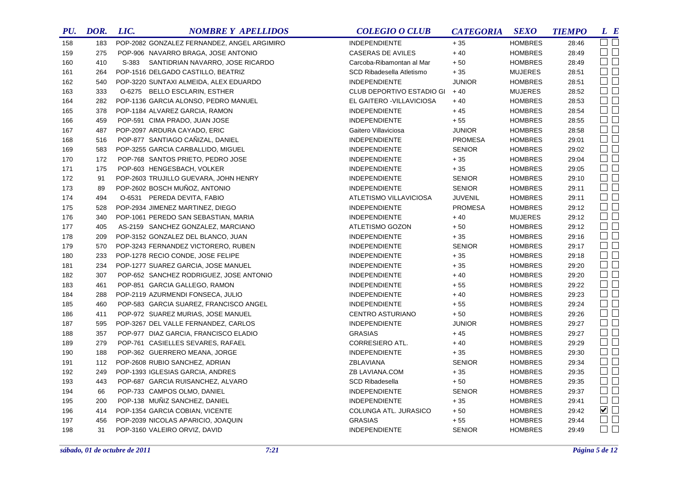| PU. | DOR. | LIC. | <b>NOMBRE Y APELLIDOS</b>                   | <b>COLEGIO O CLUB</b>     | <b>CATEGORIA</b> | <b>SEXO</b>    | <b>TIEMPO</b> | $L$ $B$             |
|-----|------|------|---------------------------------------------|---------------------------|------------------|----------------|---------------|---------------------|
| 158 | 183  |      | POP-2082 GONZALEZ FERNANDEZ, ANGEL ARGIMIRO | <b>INDEPENDIENTE</b>      | $+35$            | <b>HOMBRES</b> | 28:46         | $\square$ $\square$ |
| 159 | 275  |      | POP-906 NAVARRO BRAGA, JOSE ANTONIO         | <b>CASERAS DE AVILES</b>  | $+40$            | <b>HOMBRES</b> | 28:49         | $\Box$              |
| 160 | 410  |      | S-383 SANTIDRIAN NAVARRO, JOSE RICARDO      | Carcoba-Ribamontan al Mar | $+50$            | <b>HOMBRES</b> | 28:49         | $\Box$              |
| 161 | 264  |      | POP-1516 DELGADO CASTILLO, BEATRIZ          | SCD Ribadesella Atletismo | $+35$            | <b>MUJERES</b> | 28:51         | $\Box$              |
| 162 | 540  |      | POP-3220 SUNTAXI ALMEIDA, ALEX EDUARDO      | <b>INDEPENDIENTE</b>      | <b>JUNIOR</b>    | <b>HOMBRES</b> | 28:51         | $\square$ $\square$ |
| 163 | 333  |      | O-6275 BELLO ESCLARIN, ESTHER               | CLUB DEPORTIVO ESTADIO GI | $+40$            | <b>MUJERES</b> | 28:52         | $\Box$              |
| 164 | 282  |      | POP-1136 GARCIA ALONSO, PEDRO MANUEL        | EL GAITERO - VILLAVICIOSA | $+40$            | <b>HOMBRES</b> | 28:53         | $\Box$              |
| 165 | 378  |      | POP-1184 ALVAREZ GARCIA, RAMON              | <b>INDEPENDIENTE</b>      | $+45$            | <b>HOMBRES</b> | 28:54         | $\Box$ $\Box$       |
| 166 | 459  |      | POP-591 CIMA PRADO, JUAN JOSE               | <b>INDEPENDIENTE</b>      | $+55$            | <b>HOMBRES</b> | 28:55         | $\Box$ $\Box$       |
| 167 | 487  |      | POP-2097 ARDURA CAYADO, ERIC                | Gaitero Villaviciosa      | <b>JUNIOR</b>    | <b>HOMBRES</b> | 28:58         | $\square$ $\square$ |
| 168 | 516  |      | POP-877 SANTIAGO CAÑIZAL, DANIEL            | <b>INDEPENDIENTE</b>      | <b>PROMESA</b>   | <b>HOMBRES</b> | 29:01         | $\Box$ $\Box$       |
| 169 | 583  |      | POP-3255 GARCIA CARBALLIDO, MIGUEL          | <b>INDEPENDIENTE</b>      | <b>SENIOR</b>    | <b>HOMBRES</b> | 29:02         | $\Box$ $\Box$       |
| 170 | 172  |      | POP-768 SANTOS PRIETO, PEDRO JOSE           | <b>INDEPENDIENTE</b>      | $+35$            | <b>HOMBRES</b> | 29:04         | $\square$ $\square$ |
| 171 | 175  |      | POP-603 HENGESBACH, VOLKER                  | <b>INDEPENDIENTE</b>      | $+35$            | <b>HOMBRES</b> | 29:05         | $\square$           |
| 172 | 91   |      | POP-2603 TRUJILLO GUEVARA, JOHN HENRY       | <b>INDEPENDIENTE</b>      | <b>SENIOR</b>    | <b>HOMBRES</b> | 29:10         | $\square$           |
| 173 | 89   |      | POP-2602 BOSCH MUÑOZ, ANTONIO               | <b>INDEPENDIENTE</b>      | <b>SENIOR</b>    | <b>HOMBRES</b> | 29:11         | $\square$           |
| 174 | 494  |      | O-6531 PEREDA DEVITA, FABIO                 | ATLETISMO VILLAVICIOSA    | <b>JUVENIL</b>   | <b>HOMBRES</b> | 29:11         | $\square$           |
| 175 | 528  |      | POP-2934 JIMENEZ MARTINEZ, DIEGO            | <b>INDEPENDIENTE</b>      | <b>PROMESA</b>   | <b>HOMBRES</b> | 29:12         | $\Box$              |
| 176 | 340  |      | POP-1061 PEREDO SAN SEBASTIAN, MARIA        | INDEPENDIENTE             | $+40$            | <b>MUJERES</b> | 29:12         | $\Box$              |
| 177 | 405  |      | AS-2159 SANCHEZ GONZALEZ, MARCIANO          | ATLETISMO GOZON           | $+50$            | <b>HOMBRES</b> | 29:12         | $\square$           |
| 178 | 209  |      | POP-3152 GONZALEZ DEL BLANCO, JUAN          | <b>INDEPENDIENTE</b>      | $+35$            | <b>HOMBRES</b> | 29:16         | $\square$           |
| 179 | 570  |      | POP-3243 FERNANDEZ VICTORERO, RUBEN         | <b>INDEPENDIENTE</b>      | <b>SENIOR</b>    | <b>HOMBRES</b> | 29:17         | $\Box$              |
| 180 | 233  |      | POP-1278 RECIO CONDE, JOSE FELIPE           | <b>INDEPENDIENTE</b>      | $+35$            | <b>HOMBRES</b> | 29:18         | $\Box$              |
| 181 | 234  |      | POP-1277 SUAREZ GARCIA, JOSE MANUEL         | <b>INDEPENDIENTE</b>      | $+35$            | <b>HOMBRES</b> | 29:20         | $\square$           |
| 182 | 307  |      | POP-652 SANCHEZ RODRIGUEZ, JOSE ANTONIO     | <b>INDEPENDIENTE</b>      | $+40$            | <b>HOMBRES</b> | 29:20         | $\Box$              |
| 183 | 461  |      | POP-851 GARCIA GALLEGO, RAMON               | <b>INDEPENDIENTE</b>      | $+55$            | <b>HOMBRES</b> | 29:22         | $\Box$              |
| 184 | 288  |      | POP-2119 AZURMENDI FONSECA, JULIO           | <b>INDEPENDIENTE</b>      | $+40$            | <b>HOMBRES</b> | 29:23         | $\square$ $\square$ |
| 185 | 460  |      | POP-583 GARCIA SUAREZ, FRANCISCO ANGEL      | <b>INDEPENDIENTE</b>      | $+55$            | <b>HOMBRES</b> | 29:24         | $\Box$              |
| 186 | 411  |      | POP-972 SUAREZ MURIAS, JOSE MANUEL          | <b>CENTRO ASTURIANO</b>   | $+50$            | <b>HOMBRES</b> | 29:26         | $\square$           |
| 187 | 595  |      | POP-3267 DEL VALLE FERNANDEZ, CARLOS        | <b>INDEPENDIENTE</b>      | <b>JUNIOR</b>    | <b>HOMBRES</b> | 29:27         | $\square$           |
| 188 | 357  |      | POP-977 DIAZ GARCIA, FRANCISCO ELADIO       | <b>GRASIAS</b>            | $+45$            | <b>HOMBRES</b> | 29:27         | $\Box$              |
| 189 | 279  |      | POP-761 CASIELLES SEVARES, RAFAEL           | CORRESIERO ATL.           | $+40$            | <b>HOMBRES</b> | 29:29         | $\square$           |
| 190 | 188  |      | POP-362 GUERRERO MEANA, JORGE               | <b>INDEPENDIENTE</b>      | $+35$            | <b>HOMBRES</b> | 29:30         | $\square$           |
| 191 | 112  |      | POP-2608 RUBIO SANCHEZ, ADRIAN              | ZBLAVIANA                 | <b>SENIOR</b>    | <b>HOMBRES</b> | 29:34         | $\square$           |
| 192 | 249  |      | POP-1393 IGLESIAS GARCIA, ANDRES            | ZB LAVIANA.COM            | $+35$            | <b>HOMBRES</b> | 29:35         | $\Box$ $\Box$       |
| 193 | 443  |      | POP-687 GARCIA RUISANCHEZ, ALVARO           | <b>SCD Ribadesella</b>    | $+50$            | <b>HOMBRES</b> | 29:35         | $\square$           |
| 194 | 66   |      | POP-733 CAMPOS OLMO, DANIEL                 | <b>INDEPENDIENTE</b>      | <b>SENIOR</b>    | <b>HOMBRES</b> | 29:37         | $\Box$              |
| 195 | 200  |      | POP-138 MUNIZ SANCHEZ, DANIEL               | <b>INDEPENDIENTE</b>      | $+35$            | <b>HOMBRES</b> | 29:41         | $\square$           |
| 196 | 414  |      | POP-1354 GARCIA COBIAN, VICENTE             | COLUNGA ATL. JURASICO     | $+50$            | <b>HOMBRES</b> | 29:42         | $\blacksquare$      |
| 197 | 456  |      | POP-2039 NICOLAS APARICIO, JOAQUIN          | <b>GRASIAS</b>            | $+55$            | <b>HOMBRES</b> | 29:44         | $\square$           |
| 198 | 31   |      | POP-3160 VALEIRO ORVIZ, DAVID               | <b>INDEPENDIENTE</b>      | <b>SENIOR</b>    | <b>HOMBRES</b> | 29:49         | $\Box$ $\Box$       |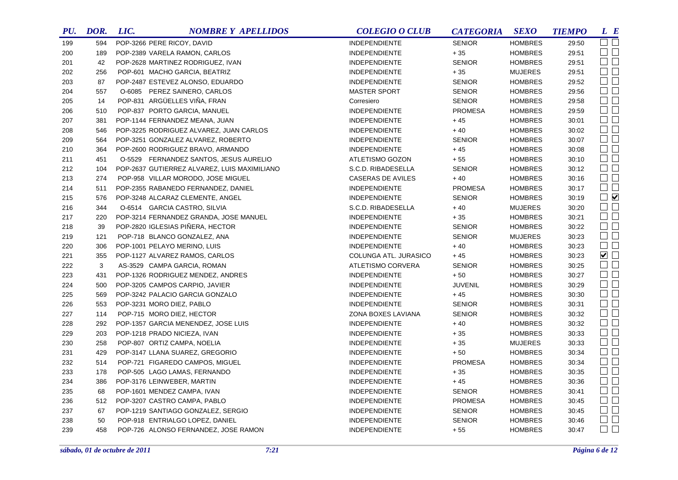| PU. | DOR. | LIC. | <b>NOMBRE Y APELLIDOS</b>                    | <b>COLEGIO O CLUB</b>    | <b>CATEGORIA</b> | <b>SEXO</b>    | <b>TIEMPO</b> | L E                         |
|-----|------|------|----------------------------------------------|--------------------------|------------------|----------------|---------------|-----------------------------|
| 199 | 594  |      | POP-3266 PERE RICOY, DAVID                   | <b>INDEPENDIENTE</b>     | <b>SENIOR</b>    | <b>HOMBRES</b> | 29:50         | $\Box$ $\Box$               |
| 200 | 189  |      | POP-2389 VARELA RAMON, CARLOS                | <b>INDEPENDIENTE</b>     | $+35$            | <b>HOMBRES</b> | 29:51         | $\Box$ $\Box$               |
| 201 | 42   |      | POP-2628 MARTINEZ RODRIGUEZ, IVAN            | INDEPENDIENTE            | <b>SENIOR</b>    | <b>HOMBRES</b> | 29:51         | $\square$ $\square$         |
| 202 | 256  |      | POP-601 MACHO GARCIA, BEATRIZ                | <b>INDEPENDIENTE</b>     | $+35$            | <b>MUJERES</b> | 29:51         | $\Box$                      |
| 203 | 87   |      | POP-2487 ESTEVEZ ALONSO, EDUARDO             | <b>INDEPENDIENTE</b>     | <b>SENIOR</b>    | <b>HOMBRES</b> | 29:52         | $\Box$ $\Box$               |
| 204 | 557  |      | O-6085 PEREZ SAINERO, CARLOS                 | <b>MASTER SPORT</b>      | <b>SENIOR</b>    | <b>HOMBRES</b> | 29:56         | $\square$ $\square$         |
| 205 | 14   |      | POP-831 ARGÜELLES VIÑA, FRAN                 | Corresiero               | <b>SENIOR</b>    | <b>HOMBRES</b> | 29:58         | $\Box$                      |
| 206 | 510  |      | POP-837 PORTO GARCIA, MANUEL                 | INDEPENDIENTE            | <b>PROMESA</b>   | <b>HOMBRES</b> | 29:59         | $\Box$ $\Box$               |
| 207 | 381  |      | POP-1144 FERNANDEZ MEANA, JUAN               | <b>INDEPENDIENTE</b>     | $+45$            | <b>HOMBRES</b> | 30:01         | $\Box$ $\Box$               |
| 208 | 546  |      | POP-3225 RODRIGUEZ ALVAREZ, JUAN CARLOS      | <b>INDEPENDIENTE</b>     | $+40$            | <b>HOMBRES</b> | 30:02         | $\square$ $\square$         |
| 209 | 564  |      | POP-3251 GONZALEZ ALVAREZ, ROBERTO           | <b>INDEPENDIENTE</b>     | <b>SENIOR</b>    | <b>HOMBRES</b> | 30:07         | $\square$ $\square$         |
| 210 | 364  |      | POP-2600 RODRIGUEZ BRAVO, ARMANDO            | <b>INDEPENDIENTE</b>     | $+45$            | <b>HOMBRES</b> | 30:08         | $\square$                   |
| 211 | 451  |      | O-5529 FERNANDEZ SANTOS, JESUS AURELIO       | ATLETISMO GOZON          | $+55$            | <b>HOMBRES</b> | 30:10         | $\Box$ $\Box$               |
| 212 | 104  |      | POP-2637 GUTIERREZ ALVAREZ, LUIS MAXIMILIANO | S.C.D. RIBADESELLA       | <b>SENIOR</b>    | <b>HOMBRES</b> | 30:12         | $\square$                   |
| 213 | 274  |      | POP-958 VILLAR MORODO, JOSE MIGUEL           | <b>CASERAS DE AVILES</b> | $+40$            | <b>HOMBRES</b> | 30:16         | $\Box$                      |
| 214 | 511  |      | POP-2355 RABANEDO FERNANDEZ, DANIEL          | <b>INDEPENDIENTE</b>     | <b>PROMESA</b>   | <b>HOMBRES</b> | 30:17         | $\Box$                      |
| 215 | 576  |      | POP-3248 ALCARAZ CLEMENTE, ANGEL             | <b>INDEPENDIENTE</b>     | <b>SENIOR</b>    | <b>HOMBRES</b> | 30:19         | $\Box$                      |
| 216 | 344  |      | O-6514 GARCIA CASTRO, SILVIA                 | S.C.D. RIBADESELLA       | $+40$            | <b>MUJERES</b> | 30:20         | $\Box$ $\Box$               |
| 217 | 220  |      | POP-3214 FERNANDEZ GRANDA, JOSE MANUEL       | <b>INDEPENDIENTE</b>     | $+35$            | <b>HOMBRES</b> | 30:21         | $\square$ $\square$         |
| 218 | 39   |      | POP-2820 IGLESIAS PIÑERA, HECTOR             | <b>INDEPENDIENTE</b>     | <b>SENIOR</b>    | <b>HOMBRES</b> | 30:22         | $\square$                   |
| 219 | 121  |      | POP-718 BLANCO GONZALEZ, ANA                 | <b>INDEPENDIENTE</b>     | <b>SENIOR</b>    | <b>MUJERES</b> | 30:23         | $\Box$ $\Box$               |
| 220 | 306  |      | POP-1001 PELAYO MERINO, LUIS                 | <b>INDEPENDIENTE</b>     | $+40$            | <b>HOMBRES</b> | 30:23         | $\Box$ $\Box$               |
| 221 | 355  |      | POP-1127 ALVAREZ RAMOS, CARLOS               | COLUNGA ATL. JURASICO    | $+45$            | <b>HOMBRES</b> | 30:23         | $\blacktriangledown$ $\Box$ |
| 222 | 3    |      | AS-3529 CAMPA GARCIA, ROMAN                  | <b>ATLETISMO CORVERA</b> | <b>SENIOR</b>    | <b>HOMBRES</b> | 30:25         | $\square$                   |
| 223 | 431  |      | POP-1326 RODRIGUEZ MENDEZ, ANDRES            | <b>INDEPENDIENTE</b>     | $+50$            | <b>HOMBRES</b> | 30:27         | $\square$                   |
| 224 | 500  |      | POP-3205 CAMPOS CARPIO, JAVIER               | <b>INDEPENDIENTE</b>     | <b>JUVENIL</b>   | <b>HOMBRES</b> | 30:29         | $\Box$ $\Box$               |
| 225 | 569  |      | POP-3242 PALACIO GARCIA GONZALO              | <b>INDEPENDIENTE</b>     | $+45$            | <b>HOMBRES</b> | 30:30         | $\square$ $\square$         |
| 226 | 553  |      | POP-3231 MORO DIEZ, PABLO                    | <b>INDEPENDIENTE</b>     | <b>SENIOR</b>    | <b>HOMBRES</b> | 30:31         | $\Box$                      |
| 227 | 114  |      | POP-715 MORO DIEZ, HECTOR                    | ZONA BOXES LAVIANA       | <b>SENIOR</b>    | <b>HOMBRES</b> | 30:32         | $\Box$ $\Box$               |
| 228 | 292  |      | POP-1357 GARCIA MENENDEZ, JOSE LUIS          | <b>INDEPENDIENTE</b>     | $+40$            | <b>HOMBRES</b> | 30:32         | $\Box$ $\Box$               |
| 229 | 203  |      | POP-1218 PRADO NICIEZA, IVAN                 | <b>INDEPENDIENTE</b>     | $+35$            | <b>HOMBRES</b> | 30:33         | $\square$                   |
| 230 | 258  |      | POP-807 ORTIZ CAMPA, NOELIA                  | <b>INDEPENDIENTE</b>     | $+35$            | <b>MUJERES</b> | 30:33         | $\Box$                      |
| 231 | 429  |      | POP-3147 LLANA SUAREZ, GREGORIO              | <b>INDEPENDIENTE</b>     | $+50$            | <b>HOMBRES</b> | 30:34         | $\square$                   |
| 232 | 514  |      | POP-721 FIGAREDO CAMPOS, MIGUEL              | <b>INDEPENDIENTE</b>     | <b>PROMESA</b>   | <b>HOMBRES</b> | 30:34         | $\square$ $\square$         |
| 233 | 178  |      | POP-505 LAGO LAMAS, FERNANDO                 | <b>INDEPENDIENTE</b>     | $+35$            | <b>HOMBRES</b> | 30:35         | $\square$ $\square$         |
| 234 | 386  |      | POP-3176 LEINWEBER, MARTIN                   | <b>INDEPENDIENTE</b>     | $+45$            | <b>HOMBRES</b> | 30:36         | $\square$                   |
| 235 | 68   |      | POP-1601 MENDEZ CAMPA, IVAN                  | <b>INDEPENDIENTE</b>     | <b>SENIOR</b>    | <b>HOMBRES</b> | 30:41         | $\square$                   |
| 236 | 512  |      | POP-3207 CASTRO CAMPA, PABLO                 | <b>INDEPENDIENTE</b>     | <b>PROMESA</b>   | <b>HOMBRES</b> | 30:45         | $\Box$                      |
| 237 | 67   |      | POP-1219 SANTIAGO GONZALEZ, SERGIO           | <b>INDEPENDIENTE</b>     | <b>SENIOR</b>    | <b>HOMBRES</b> | 30:45         | $\Box$                      |
| 238 | 50   |      | POP-918 ENTRIALGO LOPEZ, DANIEL              | <b>INDEPENDIENTE</b>     | <b>SENIOR</b>    | <b>HOMBRES</b> | 30:46         | $\square$                   |
| 239 | 458  |      | POP-726 ALONSO FERNANDEZ, JOSE RAMON         | <b>INDEPENDIENTE</b>     | $+55$            | <b>HOMBRES</b> | 30:47         | $\square$ $\square$         |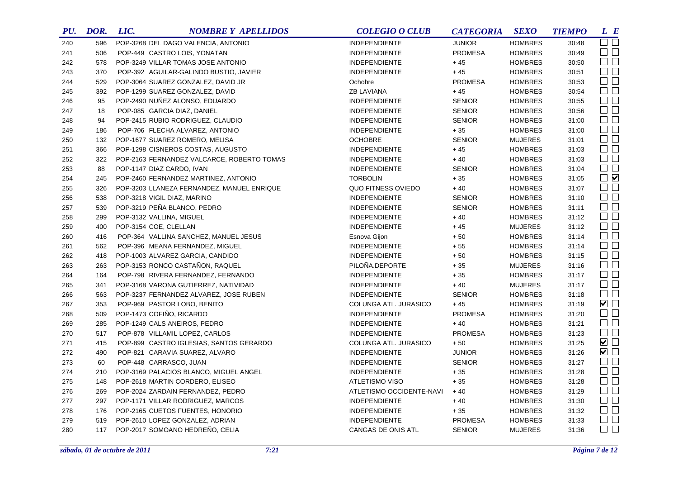| PU. | DOR. | LIC. | <b>NOMBRE Y APELLIDOS</b>                  | <b>COLEGIO O CLUB</b>    | <b>CATEGORIA</b> | <b>SEXO</b>    | <b>TIEMPO</b> | L E            |
|-----|------|------|--------------------------------------------|--------------------------|------------------|----------------|---------------|----------------|
| 240 | 596  |      | POP-3268 DEL DAGO VALENCIA, ANTONIO        | <b>INDEPENDIENTE</b>     | <b>JUNIOR</b>    | <b>HOMBRES</b> | 30:48         | $\Box$ $\Box$  |
| 241 | 506  |      | POP-449 CASTRO LOIS, YONATAN               | <b>INDEPENDIENTE</b>     | <b>PROMESA</b>   | <b>HOMBRES</b> | 30:49         | $\Box$         |
| 242 | 578  |      | POP-3249 VILLAR TOMAS JOSE ANTONIO         | <b>INDEPENDIENTE</b>     | $+45$            | <b>HOMBRES</b> | 30:50         | $\Box$ $\Box$  |
| 243 | 370  |      | POP-392 AGUILAR-GALINDO BUSTIO, JAVIER     | <b>INDEPENDIENTE</b>     | $+45$            | <b>HOMBRES</b> | 30:51         | $\Box$ $\Box$  |
| 244 | 529  |      | POP-3064 SUAREZ GONZALEZ, DAVID JR         | Ochobre                  | <b>PROMESA</b>   | <b>HOMBRES</b> | 30:53         | $\Box$         |
| 245 | 392  |      | POP-1299 SUAREZ GONZALEZ, DAVID            | <b>ZB LAVIANA</b>        | $+45$            | <b>HOMBRES</b> | 30:54         | $\Box$ $\Box$  |
| 246 | 95   |      | POP-2490 NUÑEZ ALONSO, EDUARDO             | <b>INDEPENDIENTE</b>     | <b>SENIOR</b>    | <b>HOMBRES</b> | 30:55         | $\Box$ $\Box$  |
| 247 | 18   |      | POP-085 GARCIA DIAZ, DANIEL                | <b>INDEPENDIENTE</b>     | <b>SENIOR</b>    | <b>HOMBRES</b> | 30:56         | $\Box$         |
| 248 | 94   |      | POP-2415 RUBIO RODRIGUEZ, CLAUDIO          | <b>INDEPENDIENTE</b>     | <b>SENIOR</b>    | <b>HOMBRES</b> | 31:00         | $\Box$ $\Box$  |
| 249 | 186  |      | POP-706 FLECHA ALVAREZ, ANTONIO            | <b>INDEPENDIENTE</b>     | $+35$            | <b>HOMBRES</b> | 31:00         | $\Box$ $\Box$  |
| 250 | 132  |      | POP-1677 SUAREZ ROMERO, MELISA             | <b>OCHOBRE</b>           | <b>SENIOR</b>    | <b>MUJERES</b> | 31:01         | $\Box$ $\Box$  |
| 251 | 366  |      | POP-1298 CISNEROS COSTAS, AUGUSTO          | <b>INDEPENDIENTE</b>     | $+45$            | <b>HOMBRES</b> | 31:03         | $\Box$ $\Box$  |
| 252 | 322  |      | POP-2163 FERNANDEZ VALCARCE, ROBERTO TOMAS | <b>INDEPENDIENTE</b>     | $+40$            | <b>HOMBRES</b> | 31:03         | $\Box$ $\Box$  |
| 253 | 88   |      | POP-1147 DIAZ CARDO, IVAN                  | <b>INDEPENDIENTE</b>     | <b>SENIOR</b>    | <b>HOMBRES</b> | 31:04         | $\square$      |
| 254 | 245  |      | POP-2460 FERNANDEZ MARTINEZ, ANTONIO       | <b>TORBOLIN</b>          | $+35$            | <b>HOMBRES</b> | 31:05         | $\Box$         |
| 255 | 326  |      | POP-3203 LLANEZA FERNANDEZ, MANUEL ENRIQUE | QUO FITNESS OVIEDO       | $+40$            | <b>HOMBRES</b> | 31:07         | $\Box$ $\Box$  |
| 256 | 538  |      | POP-3218 VIGIL DIAZ, MARINO                | <b>INDEPENDIENTE</b>     | <b>SENIOR</b>    | <b>HOMBRES</b> | 31:10         | $\Box$ $\Box$  |
| 257 | 539  |      | POP-3219 PEÑA BLANCO, PEDRO                | INDEPENDIENTE            | <b>SENIOR</b>    | <b>HOMBRES</b> | 31:11         | $\Box$ $\Box$  |
| 258 | 299  |      | POP-3132 VALLINA, MIGUEL                   | <b>INDEPENDIENTE</b>     | $+40$            | <b>HOMBRES</b> | 31:12         | $\Box$ $\Box$  |
| 259 | 400  |      | POP-3154 COE, CLELLAN                      | <b>INDEPENDIENTE</b>     | $+45$            | <b>MUJERES</b> | 31:12         | $\Box$         |
| 260 | 416  |      | POP-364 VALLINA SANCHEZ, MANUEL JESUS      | Esnova Gijon             | $+50$            | <b>HOMBRES</b> | 31:14         | $\Box$ $\Box$  |
| 261 | 562  |      | POP-396 MEANA FERNANDEZ, MIGUEL            | <b>INDEPENDIENTE</b>     | $+55$            | <b>HOMBRES</b> | 31:14         | $\Box$         |
| 262 | 418  |      | POP-1003 ALVAREZ GARCIA, CANDIDO           | <b>INDEPENDIENTE</b>     | $+50$            | <b>HOMBRES</b> | 31:15         | $\Box$ $\Box$  |
| 263 | 263  |      | POP-3153 RONCO CASTAÑON, RAQUEL            | PILOÑA.DEPORTE           | $+35$            | <b>MUJERES</b> | 31:16         | $\Box$         |
| 264 | 164  |      | POP-798 RIVERA FERNANDEZ, FERNANDO         | <b>INDEPENDIENTE</b>     | $+35$            | <b>HOMBRES</b> | 31:17         | $\Box$ $\Box$  |
| 265 | 341  |      | POP-3168 VARONA GUTIERREZ, NATIVIDAD       | <b>INDEPENDIENTE</b>     | $+40$            | <b>MUJERES</b> | 31:17         | $\Box$ $\Box$  |
| 266 | 563  |      | POP-3237 FERNANDEZ ALVAREZ, JOSE RUBEN     | <b>INDEPENDIENTE</b>     | <b>SENIOR</b>    | <b>HOMBRES</b> | 31:18         | $\Box$         |
| 267 | 353  |      | POP-969 PASTOR LOBO, BENITO                | COLUNGA ATL. JURASICO    | $+45$            | <b>HOMBRES</b> | 31:19         | $\blacksquare$ |
| 268 | 509  |      | POP-1473 COFIÑO, RICARDO                   | <b>INDEPENDIENTE</b>     | <b>PROMESA</b>   | <b>HOMBRES</b> | 31:20         | $\Box$ $\Box$  |
| 269 | 285  |      | POP-1249 CALS ANEIROS, PEDRO               | <b>INDEPENDIENTE</b>     | $+40$            | <b>HOMBRES</b> | 31:21         | $\Box$         |
| 270 | 517  |      | POP-878 VILLAMIL LOPEZ, CARLOS             | INDEPENDIENTE            | <b>PROMESA</b>   | <b>HOMBRES</b> | 31:23         | $\Box$         |
| 271 | 415  |      | POP-899 CASTRO IGLESIAS, SANTOS GERARDO    | COLUNGA ATL. JURASICO    | $+50$            | <b>HOMBRES</b> | 31:25         | $\blacksquare$ |
| 272 | 490  |      | POP-821 CARAVIA SUAREZ, ALVARO             | <b>INDEPENDIENTE</b>     | <b>JUNIOR</b>    | <b>HOMBRES</b> | 31:26         | $\blacksquare$ |
| 273 | 60   |      | POP-448 CARRASCO, JUAN                     | INDEPENDIENTE            | <b>SENIOR</b>    | <b>HOMBRES</b> | 31:27         | $\Box$         |
| 274 | 210  |      | POP-3169 PALACIOS BLANCO, MIGUEL ANGEL     | <b>INDEPENDIENTE</b>     | $+35$            | <b>HOMBRES</b> | 31:28         | $\Box$         |
| 275 | 148  |      | POP-2618 MARTIN CORDERO, ELISEO            | <b>ATLETISMO VISO</b>    | $+35$            | <b>HOMBRES</b> | 31:28         | $\Box$         |
| 276 | 269  |      | POP-2024 ZARDAIN FERNANDEZ, PEDRO          | ATLETISMO OCCIDENTE-NAVI | $+40$            | <b>HOMBRES</b> | 31:29         | $\Box$         |
| 277 | 297  |      | POP-1171 VILLAR RODRIGUEZ, MARCOS          | <b>INDEPENDIENTE</b>     | $+40$            | <b>HOMBRES</b> | 31:30         | $\Box$ $\Box$  |
| 278 | 176  |      | POP-2165 CUETOS FUENTES, HONORIO           | <b>INDEPENDIENTE</b>     | $+35$            | <b>HOMBRES</b> | 31:32         | $\Box$ $\Box$  |
| 279 | 519  |      | POP-2610 LOPEZ GONZALEZ, ADRIAN            | <b>INDEPENDIENTE</b>     | <b>PROMESA</b>   | <b>HOMBRES</b> | 31:33         | $\Box$         |
| 280 | 117  |      | POP-2017 SOMOANO HEDREÑO, CELIA            | CANGAS DE ONIS ATL       | <b>SENIOR</b>    | <b>MUJERES</b> | 31:36         | $\Box$ $\Box$  |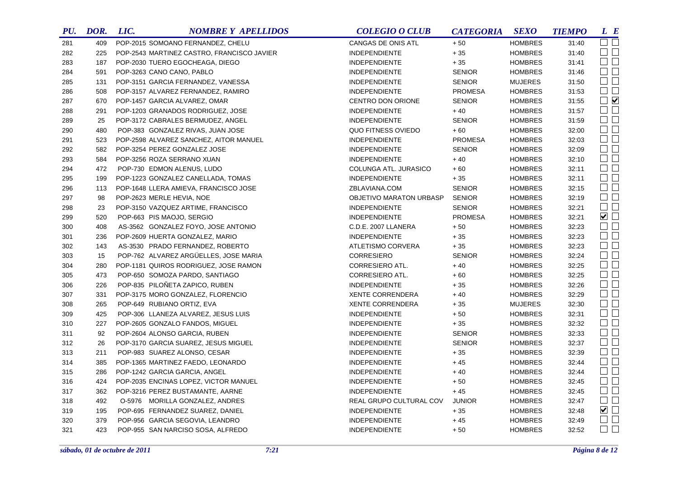| PU. | DOR. | LIC. | <b>NOMBRE Y APELLIDOS</b>                  | <b>COLEGIO O CLUB</b>   | <b>CATEGORIA</b> | <b>SEXO</b>    | <b>TIEMPO</b> | L E                    |
|-----|------|------|--------------------------------------------|-------------------------|------------------|----------------|---------------|------------------------|
| 281 | 409  |      | POP-2015 SOMOANO FERNANDEZ, CHELU          | CANGAS DE ONIS ATL      | $+50$            | <b>HOMBRES</b> | 31:40         | $\Box$ $\Box$          |
| 282 | 225  |      | POP-2543 MARTINEZ CASTRO, FRANCISCO JAVIER | <b>INDEPENDIENTE</b>    | $+\,35$          | <b>HOMBRES</b> | 31:40         | $\Box$ $\Box$          |
| 283 | 187  |      | POP-2030 TUERO EGOCHEAGA, DIEGO            | <b>INDEPENDIENTE</b>    | $+35$            | <b>HOMBRES</b> | 31:41         | $\Box$ $\Box$          |
| 284 | 591  |      | POP-3263 CANO CANO, PABLO                  | <b>INDEPENDIENTE</b>    | <b>SENIOR</b>    | <b>HOMBRES</b> | 31:46         | $\Box$ $\Box$          |
| 285 | 131  |      | POP-3151 GARCIA FERNANDEZ, VANESSA         | <b>INDEPENDIENTE</b>    | <b>SENIOR</b>    | <b>MUJERES</b> | 31:50         | $\square$ $\square$    |
| 286 | 508  |      | POP-3157 ALVAREZ FERNANDEZ, RAMIRO         | <b>INDEPENDIENTE</b>    | <b>PROMESA</b>   | <b>HOMBRES</b> | 31:53         | $\Box$                 |
| 287 | 670  |      | POP-1457 GARCIA ALVAREZ, OMAR              | CENTRO DON ORIONE       | <b>SENIOR</b>    | <b>HOMBRES</b> | 31:55         | $\Box$                 |
| 288 | 291  |      | POP-1203 GRANADOS RODRIGUEZ, JOSE          | <b>INDEPENDIENTE</b>    | $+40$            | <b>HOMBRES</b> | 31:57         | $\Box$ $\Box$          |
| 289 | 25   |      | POP-3172 CABRALES BERMUDEZ, ANGEL          | <b>INDEPENDIENTE</b>    | <b>SENIOR</b>    | <b>HOMBRES</b> | 31:59         | $\Box$                 |
| 290 | 480  |      | POP-383 GONZALEZ RIVAS, JUAN JOSE          | QUO FITNESS OVIEDO      | $+60$            | <b>HOMBRES</b> | 32:00         | $\square$ $\square$    |
| 291 | 523  |      | POP-2598 ALVAREZ SANCHEZ, AITOR MANUEL     | <b>INDEPENDIENTE</b>    | <b>PROMESA</b>   | <b>HOMBRES</b> | 32:03         | $\square$<br>$\square$ |
| 292 | 582  |      | POP-3254 PEREZ GONZALEZ JOSE               | <b>INDEPENDIENTE</b>    | <b>SENIOR</b>    | <b>HOMBRES</b> | 32:09         | $\Box$ $\Box$          |
| 293 | 584  |      | POP-3256 ROZA SERRANO XUAN                 | <b>INDEPENDIENTE</b>    | $+40$            | <b>HOMBRES</b> | 32:10         | $\Box$                 |
| 294 | 472  |      | POP-730 EDMON ALENUS, LUDO                 | COLUNGA ATL. JURASICO   | $+60$            | <b>HOMBRES</b> | 32:11         | $\square$<br>$\square$ |
| 295 | 199  |      | POP-1223 GONZALEZ CANELLADA, TOMAS         | <b>INDEPENDIENTE</b>    | $+35$            | <b>HOMBRES</b> | 32:11         | $\Box$                 |
| 296 | 113  |      | POP-1648 LLERA AMIEVA, FRANCISCO JOSE      | ZBLAVIANA.COM           | <b>SENIOR</b>    | <b>HOMBRES</b> | 32:15         | $\Box$ $\Box$          |
| 297 | 98   |      | POP-2623 MERLE HEVIA, NOE                  | OBJETIVO MARATON URBASP | <b>SENIOR</b>    | <b>HOMBRES</b> | 32:19         | $\Box$                 |
| 298 | 23   |      | POP-3150 VAZQUEZ ARTIME, FRANCISCO         | <b>INDEPENDIENTE</b>    | <b>SENIOR</b>    | <b>HOMBRES</b> | 32:21         | $\square$ $\square$    |
| 299 | 520  |      | POP-663 PIS MAOJO, SERGIO                  | <b>INDEPENDIENTE</b>    | <b>PROMESA</b>   | <b>HOMBRES</b> | 32:21         | ✔□                     |
| 300 | 408  |      | AS-3562 GONZALEZ FOYO, JOSE ANTONIO        | C.D.E. 2007 LLANERA     | $+50$            | <b>HOMBRES</b> | 32:23         | $\Box$                 |
| 301 | 236  |      | POP-2609 HUERTA GONZALEZ, MARIO            | <b>INDEPENDIENTE</b>    | $+35$            | <b>HOMBRES</b> | 32:23         | $\Box$ $\Box$          |
| 302 | 143  |      | AS-3530 PRADO FERNANDEZ, ROBERTO           | ATLETISMO CORVERA       | $+35$            | <b>HOMBRES</b> | 32:23         | $\Box$                 |
| 303 | 15   |      | POP-762 ALVAREZ ARGÜELLES, JOSE MARIA      | <b>CORRESIERO</b>       | <b>SENIOR</b>    | <b>HOMBRES</b> | 32:24         | $\Box$                 |
| 304 | 280  |      | POP-1181 QUIROS RODRIGUEZ, JOSE RAMON      | CORRESIERO ATL.         | $+40$            | <b>HOMBRES</b> | 32:25         | $\Box$                 |
| 305 | 473  |      | POP-650 SOMOZA PARDO, SANTIAGO             | CORRESIERO ATL.         | $+60$            | <b>HOMBRES</b> | 32:25         | $\Box$                 |
| 306 | 226  |      | POP-835 PILOÑETA ZAPICO, RUBEN             | <b>INDEPENDIENTE</b>    | $+35$            | <b>HOMBRES</b> | 32:26         | $\Box$                 |
| 307 | 331  |      | POP-3175 MORO GONZALEZ, FLORENCIO          | <b>XENTE CORRENDERA</b> | $+40$            | <b>HOMBRES</b> | 32:29         | $\Box$                 |
| 308 | 265  |      | POP-649 RUBIANO ORTIZ, EVA                 | <b>XENTE CORRENDERA</b> | $+35$            | <b>MUJERES</b> | 32:30         | $\Box$                 |
| 309 | 425  |      | POP-306 LLANEZA ALVAREZ, JESUS LUIS        | <b>INDEPENDIENTE</b>    | $+50$            | <b>HOMBRES</b> | 32:31         | $\Box$ $\Box$          |
| 310 | 227  |      | POP-2605 GONZALO FANDOS, MIGUEL            | <b>INDEPENDIENTE</b>    | $+35$            | <b>HOMBRES</b> | 32:32         | $\Box$                 |
| 311 | 92   |      | POP-2604 ALONSO GARCIA, RUBEN              | <b>INDEPENDIENTE</b>    | <b>SENIOR</b>    | <b>HOMBRES</b> | 32:33         | $\square$ $\square$    |
| 312 | 26   |      | POP-3170 GARCIA SUAREZ, JESUS MIGUEL       | <b>INDEPENDIENTE</b>    | <b>SENIOR</b>    | <b>HOMBRES</b> | 32:37         | $\Box$                 |
| 313 | 211  |      | POP-983 SUAREZ ALONSO, CESAR               | <b>INDEPENDIENTE</b>    | $+35$            | <b>HOMBRES</b> | 32:39         | $\Box$ $\Box$          |
| 314 | 385  |      | POP-1365 MARTINEZ FAEDO, LEONARDO          | <b>INDEPENDIENTE</b>    | $+45$            | <b>HOMBRES</b> | 32:44         | $\Box$                 |
| 315 | 286  |      | POP-1242 GARCIA GARCIA, ANGEL              | INDEPENDIENTE           | $+40$            | <b>HOMBRES</b> | 32:44         | $\square$ $\square$    |
| 316 | 424  |      | POP-2035 ENCINAS LOPEZ, VICTOR MANUEL      | <b>INDEPENDIENTE</b>    | $+50$            | <b>HOMBRES</b> | 32:45         | $\square$ $\square$    |
| 317 | 362  |      | POP-3216 PEREZ BUSTAMANTE, AARNE           | <b>INDEPENDIENTE</b>    | $+45$            | <b>HOMBRES</b> | 32:45         | $\square$ $\square$    |
| 318 | 492  |      | O-5976 MORILLA GONZALEZ, ANDRES            | REAL GRUPO CULTURAL COV | <b>JUNIOR</b>    | <b>HOMBRES</b> | 32:47         | $\Box$ $\Box$          |
| 319 | 195  |      | POP-695 FERNANDEZ SUAREZ, DANIEL           | INDEPENDIENTE           | $+35$            | <b>HOMBRES</b> | 32:48         | ☑□                     |
| 320 | 379  |      | POP-956 GARCIA SEGOVIA, LEANDRO            | <b>INDEPENDIENTE</b>    | $+45$            | <b>HOMBRES</b> | 32:49         | $\Box$ $\Box$          |
| 321 | 423  |      | POP-955 SAN NARCISO SOSA, ALFREDO          | <b>INDEPENDIENTE</b>    | $+50$            | <b>HOMBRES</b> | 32:52         | $\Box$ $\Box$          |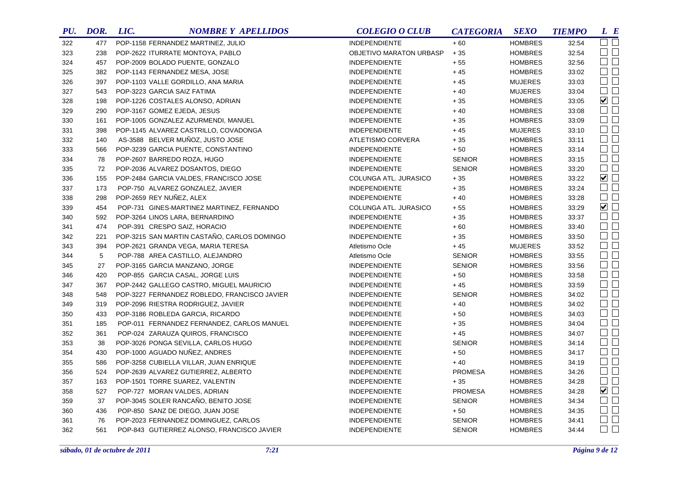| PU. | DOR. | LIC. | <b>NOMBRE Y APELLIDOS</b>                    | <b>COLEGIO O CLUB</b>   | <b>CATEGORIA</b> | <b>SEXO</b>    | <b>TIEMPO</b> | L E                    |
|-----|------|------|----------------------------------------------|-------------------------|------------------|----------------|---------------|------------------------|
| 322 | 477  |      | POP-1158 FERNANDEZ MARTINEZ, JULIO           | <b>INDEPENDIENTE</b>    | $+60$            | <b>HOMBRES</b> | 32:54         | $\square$ $\square$    |
| 323 | 238  |      | POP-2622 ITURRATE MONTOYA, PABLO             | OBJETIVO MARATON URBASP | $+35$            | <b>HOMBRES</b> | 32:54         | $\Box$ $\Box$          |
| 324 | 457  |      | POP-2009 BOLADO PUENTE, GONZALO              | <b>INDEPENDIENTE</b>    | $+55$            | <b>HOMBRES</b> | 32:56         | $\Box$ $\Box$          |
| 325 | 382  |      | POP-1143 FERNANDEZ MESA, JOSE                | <b>INDEPENDIENTE</b>    | $+45$            | <b>HOMBRES</b> | 33:02         | $\Box$ $\Box$          |
| 326 | 397  |      | POP-1103 VALLE GORDILLO, ANA MARIA           | <b>INDEPENDIENTE</b>    | $+45$            | <b>MUJERES</b> | 33:03         | $\Box$                 |
| 327 | 543  |      | POP-3223 GARCIA SAIZ FATIMA                  | <b>INDEPENDIENTE</b>    | $+40$            | <b>MUJERES</b> | 33:04         | $\Box$ $\Box$          |
| 328 | 198  |      | POP-1226 COSTALES ALONSO, ADRIAN             | <b>INDEPENDIENTE</b>    | $+35$            | <b>HOMBRES</b> | 33:05         | $\blacktriangledown$   |
| 329 | 290  |      | POP-3167 GOMEZ EJEDA, JESUS                  | <b>INDEPENDIENTE</b>    | $+40$            | <b>HOMBRES</b> | 33:08         | $\Box$                 |
| 330 | 161  |      | POP-1005 GONZALEZ AZURMENDI, MANUEL          | <b>INDEPENDIENTE</b>    | $+35$            | <b>HOMBRES</b> | 33:09         | $\Box$                 |
| 331 | 398  |      | POP-1145 ALVAREZ CASTRILLO, COVADONGA        | <b>INDEPENDIENTE</b>    | $+45$            | <b>MUJERES</b> | 33:10         | $\square$ $\square$    |
| 332 | 140  |      | AS-3588 BELVER MUÑOZ, JUSTO JOSE             | ATLETISMO CORVERA       | $+35$            | <b>HOMBRES</b> | 33:11         | $\Box$ $\Box$          |
| 333 | 566  |      | POP-3239 GARCIA PUENTE, CONSTANTINO          | <b>INDEPENDIENTE</b>    | $+50$            | <b>HOMBRES</b> | 33:14         | $\square$ $\square$    |
| 334 | 78   |      | POP-2607 BARREDO ROZA, HUGO                  | <b>INDEPENDIENTE</b>    | <b>SENIOR</b>    | <b>HOMBRES</b> | 33:15         | $\Box$                 |
| 335 | 72   |      | POP-2036 ALVAREZ DOSANTOS, DIEGO             | <b>INDEPENDIENTE</b>    | <b>SENIOR</b>    | <b>HOMBRES</b> | 33:20         | $\square$ $\square$    |
| 336 | 155  |      | POP-2484 GARCIA VALDES, FRANCISCO JOSE       | COLUNGA ATL. JURASICO   | $+35$            | <b>HOMBRES</b> | 33:22         | $\blacktriangledown$   |
| 337 | 173  |      | POP-750 ALVAREZ GONZALEZ, JAVIER             | <b>INDEPENDIENTE</b>    | $+35$            | <b>HOMBRES</b> | 33:24         | $\square$ $\square$    |
| 338 | 298  |      | POP-2659 REY NUNEZ, ALEX                     | <b>INDEPENDIENTE</b>    | $+40$            | <b>HOMBRES</b> | 33:28         | $\Box$                 |
| 339 | 454  |      | POP-731 GINES-MARTINEZ MARTINEZ, FERNANDO    | COLUNGA ATL. JURASICO   | $+55$            | <b>HOMBRES</b> | 33:29         | $\blacktriangledown$   |
| 340 | 592  |      | POP-3264 LINOS LARA, BERNARDINO              | <b>INDEPENDIENTE</b>    | $+35$            | <b>HOMBRES</b> | 33:37         | $\square$ $\square$    |
| 341 | 474  |      | POP-391 CRESPO SAIZ, HORACIO                 | <b>INDEPENDIENTE</b>    | $+60$            | <b>HOMBRES</b> | 33:40         | $\Box$ $\Box$          |
| 342 | 221  |      | POP-3215 SAN MARTIN CASTAÑO, CARLOS DOMINGO  | <b>INDEPENDIENTE</b>    | $+35$            | <b>HOMBRES</b> | 33:50         | $\square$<br>$\square$ |
| 343 | 394  |      | POP-2621 GRANDA VEGA, MARIA TERESA           | Atletismo Ocle          | $+45$            | <b>MUJERES</b> | 33:52         | $\Box$                 |
| 344 | 5    |      | POP-788 AREA CASTILLO, ALEJANDRO             | Atletismo Ocle          | <b>SENIOR</b>    | <b>HOMBRES</b> | 33:55         | $\Box$                 |
| 345 | 27   |      | POP-3165 GARCIA MANZANO, JORGE               | <b>INDEPENDIENTE</b>    | <b>SENIOR</b>    | <b>HOMBRES</b> | 33:56         | $\Box$                 |
| 346 | 420  |      | POP-855 GARCIA CASAL, JORGE LUIS             | <b>INDEPENDIENTE</b>    | $+50$            | <b>HOMBRES</b> | 33:58         | $\Box$ $\Box$          |
| 347 | 367  |      | POP-2442 GALLEGO CASTRO, MIGUEL MAURICIO     | <b>INDEPENDIENTE</b>    | $+45$            | <b>HOMBRES</b> | 33:59         | $\Box$                 |
| 348 | 548  |      | POP-3227 FERNANDEZ ROBLEDO, FRANCISCO JAVIER | <b>INDEPENDIENTE</b>    | <b>SENIOR</b>    | <b>HOMBRES</b> | 34:02         | $\square$ $\square$    |
| 349 | 319  |      | POP-2096 RIESTRA RODRIGUEZ, JAVIER           | <b>INDEPENDIENTE</b>    | $+40$            | <b>HOMBRES</b> | 34:02         | $\square$ $\square$    |
| 350 | 433  |      | POP-3186 ROBLEDA GARCIA, RICARDO             | <b>INDEPENDIENTE</b>    | $+50$            | <b>HOMBRES</b> | 34:03         | $\Box$ $\Box$          |
| 351 | 185  |      | POP-011 FERNANDEZ FERNANDEZ, CARLOS MANUEL   | <b>INDEPENDIENTE</b>    | $+35$            | <b>HOMBRES</b> | 34:04         | $\square$ $\square$    |
| 352 | 361  |      | POP-024 ZARAUZA QUIROS, FRANCISCO            | <b>INDEPENDIENTE</b>    | $+45$            | <b>HOMBRES</b> | 34:07         | $\Box$ $\Box$          |
| 353 | 38   |      | POP-3026 PONGA SEVILLA, CARLOS HUGO          | INDEPENDIENTE           | <b>SENIOR</b>    | <b>HOMBRES</b> | 34:14         | $\square$ $\square$    |
| 354 | 430  |      | POP-1000 AGUADO NUÑEZ, ANDRES                | <b>INDEPENDIENTE</b>    | $+50$            | <b>HOMBRES</b> | 34:17         | $\Box$ $\Box$          |
| 355 | 586  |      | POP-3258 CUBIELLA VILLAR, JUAN ENRIQUE       | <b>INDEPENDIENTE</b>    | $+40$            | <b>HOMBRES</b> | 34:19         | $\Box$                 |
| 356 | 524  |      | POP-2639 ALVAREZ GUTIERREZ, ALBERTO          | <b>INDEPENDIENTE</b>    | <b>PROMESA</b>   | <b>HOMBRES</b> | 34:26         | $\square$ $\square$    |
| 357 | 163  |      | POP-1501 TORRE SUAREZ, VALENTIN              | <b>INDEPENDIENTE</b>    | $+35$            | <b>HOMBRES</b> | 34:28         | $\square$ $\square$    |
| 358 | 527  |      | POP-727 MORAN VALDES, ADRIAN                 | <b>INDEPENDIENTE</b>    | <b>PROMESA</b>   | <b>HOMBRES</b> | 34:28         | $\blacksquare$         |
| 359 | 37   |      | POP-3045 SOLER RANCAÑO, BENITO JOSE          | <b>INDEPENDIENTE</b>    | <b>SENIOR</b>    | <b>HOMBRES</b> | 34:34         | $\Box$ $\Box$          |
| 360 | 436  |      | POP-850 SANZ DE DIEGO, JUAN JOSE             | INDEPENDIENTE           | $+50$            | <b>HOMBRES</b> | 34:35         | $\square$ $\square$    |
| 361 | 76   |      | POP-2023 FERNANDEZ DOMINGUEZ, CARLOS         | <b>INDEPENDIENTE</b>    | <b>SENIOR</b>    | <b>HOMBRES</b> | 34:41         | $\Box$ $\Box$          |
| 362 | 561  |      | POP-843 GUTIERREZ ALONSO, FRANCISCO JAVIER   | <b>INDEPENDIENTE</b>    | <b>SENIOR</b>    | <b>HOMBRES</b> | 34:44         | $\Box$ $\Box$          |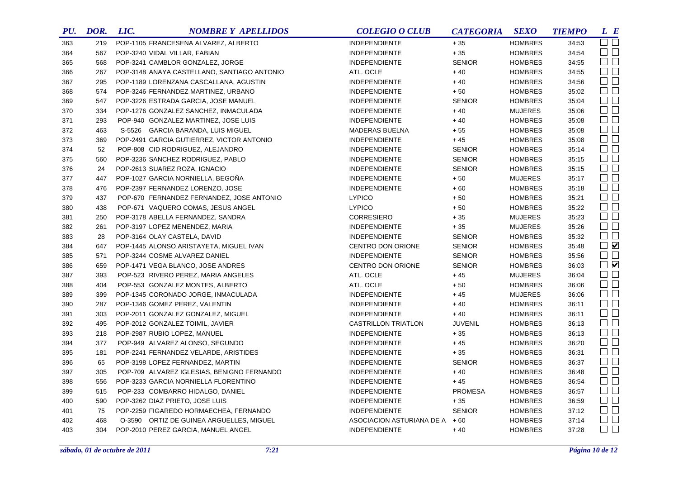| PU. | DOR. | LIC. | <b>NOMBRE Y APELLIDOS</b>                   | <b>COLEGIO O CLUB</b>     | <b>CATEGORIA</b> | <b>SEXO</b>    | <b>TIEMPO</b> | $L$ $B$             |
|-----|------|------|---------------------------------------------|---------------------------|------------------|----------------|---------------|---------------------|
| 363 | 219  |      | POP-1105 FRANCESENA ALVAREZ, ALBERTO        | <b>INDEPENDIENTE</b>      | $+35$            | <b>HOMBRES</b> | 34:53         | $\square$ $\square$ |
| 364 | 567  |      | POP-3240 VIDAL VILLAR, FABIAN               | <b>INDEPENDIENTE</b>      | $+35$            | <b>HOMBRES</b> | 34:54         | $\Box$ $\Box$       |
| 365 | 568  |      | POP-3241 CAMBLOR GONZALEZ, JORGE            | <b>INDEPENDIENTE</b>      | <b>SENIOR</b>    | <b>HOMBRES</b> | 34:55         | $\Box$ $\Box$       |
| 366 | 267  |      | POP-3148 ANAYA CASTELLANO, SANTIAGO ANTONIO | ATL. OCLE                 | $+40$            | <b>HOMBRES</b> | 34:55         | $\Box$              |
| 367 | 295  |      | POP-1189 LORENZANA CASCALLANA, AGUSTIN      | <b>INDEPENDIENTE</b>      | $+40$            | <b>HOMBRES</b> | 34:56         | $\Box$              |
| 368 | 574  |      | POP-3246 FERNANDEZ MARTINEZ, URBANO         | <b>INDEPENDIENTE</b>      | $+50$            | <b>HOMBRES</b> | 35:02         | $\Box$              |
| 369 | 547  |      | POP-3226 ESTRADA GARCIA, JOSE MANUEL        | <b>INDEPENDIENTE</b>      | <b>SENIOR</b>    | <b>HOMBRES</b> | 35:04         | $\square$           |
| 370 | 334  |      | POP-1276 GONZALEZ SANCHEZ, INMACULADA       | <b>INDEPENDIENTE</b>      | $+40$            | <b>MUJERES</b> | 35:06         | $\square$           |
| 371 | 293  |      | POP-940 GONZALEZ MARTINEZ, JOSE LUIS        | <b>INDEPENDIENTE</b>      | $+40$            | <b>HOMBRES</b> | 35:08         | $\square$ $\square$ |
| 372 | 463  |      | S-5526 GARCIA BARANDA, LUIS MIGUEL          | MADERAS BUELNA            | $+55$            | <b>HOMBRES</b> | 35:08         | $\square$ $\square$ |
| 373 | 369  |      | POP-2491 GARCIA GUTIERREZ, VICTOR ANTONIO   | <b>INDEPENDIENTE</b>      | $+45$            | <b>HOMBRES</b> | 35:08         | $\square$           |
| 374 | 52   |      | POP-808 CID RODRIGUEZ, ALEJANDRO            | <b>INDEPENDIENTE</b>      | <b>SENIOR</b>    | <b>HOMBRES</b> | 35:14         | $\Box$ $\Box$       |
| 375 | 560  |      | POP-3236 SANCHEZ RODRIGUEZ, PABLO           | <b>INDEPENDIENTE</b>      | <b>SENIOR</b>    | <b>HOMBRES</b> | 35:15         | $\square$ $\square$ |
| 376 | 24   |      | POP-2613 SUAREZ ROZA, IGNACIO               | <b>INDEPENDIENTE</b>      | <b>SENIOR</b>    | <b>HOMBRES</b> | 35:15         | $\square$           |
| 377 | 447  |      | POP-1027 GARCIA NORNIELLA, BEGOÑA           | <b>INDEPENDIENTE</b>      | $+50$            | <b>MUJERES</b> | 35:17         | $\Box$ $\Box$       |
| 378 | 476  |      | POP-2397 FERNANDEZ LORENZO, JOSE            | <b>INDEPENDIENTE</b>      | $+60$            | <b>HOMBRES</b> | 35:18         | $\Box$ $\Box$       |
| 379 | 437  |      | POP-670 FERNANDEZ FERNANDEZ, JOSE ANTONIO   | <b>LYPICO</b>             | $+50$            | <b>HOMBRES</b> | 35:21         | $\square$           |
| 380 | 438  |      | POP-671 VAQUERO COMAS, JESUS ANGEL          | <b>LYPICO</b>             | $+50$            | <b>HOMBRES</b> | 35:22         | $\Box$              |
| 381 | 250  |      | POP-3178 ABELLA FERNANDEZ, SANDRA           | <b>CORRESIERO</b>         | $+35$            | <b>MUJERES</b> | 35:23         | $\Box$              |
| 382 | 261  |      | POP-3197 LOPEZ MENENDEZ, MARIA              | <b>INDEPENDIENTE</b>      | $+35$            | <b>MUJERES</b> | 35:26         | $\square$           |
| 383 | 28   |      | POP-3164 OLAY CASTELA, DAVID                | <b>INDEPENDIENTE</b>      | <b>SENIOR</b>    | <b>HOMBRES</b> | 35:32         | $\Box$              |
| 384 | 647  |      | POP-1445 ALONSO ARISTAYETA, MIGUEL IVAN     | CENTRO DON ORIONE         | <b>SENIOR</b>    | <b>HOMBRES</b> | 35:48         | $\Box$              |
| 385 | 571  |      | POP-3244 COSME ALVAREZ DANIEL               | <b>INDEPENDIENTE</b>      | <b>SENIOR</b>    | <b>HOMBRES</b> | 35:56         | $\square$           |
| 386 | 659  |      | POP-1471 VEGA BLANCO, JOSE ANDRES           | CENTRO DON ORIONE         | <b>SENIOR</b>    | <b>HOMBRES</b> | 36:03         | $\Box$              |
| 387 | 393  |      | POP-523 RIVERO PEREZ, MARIA ANGELES         | ATL. OCLE                 | $+45$            | <b>MUJERES</b> | 36:04         | $\Box$              |
| 388 | 404  |      | POP-553 GONZALEZ MONTES, ALBERTO            | ATL. OCLE                 | $+50$            | <b>HOMBRES</b> | 36:06         | $\square$           |
| 389 | 399  |      | POP-1345 CORONADO JORGE, INMACULADA         | <b>INDEPENDIENTE</b>      | $+45$            | <b>MUJERES</b> | 36:06         | $\square$           |
| 390 | 287  |      | POP-1346 GOMEZ PEREZ, VALENTIN              | <b>INDEPENDIENTE</b>      | $+40$            | <b>HOMBRES</b> | 36:11         | $\square$           |
| 391 | 303  |      | POP-2011 GONZALEZ GONZALEZ, MIGUEL          | <b>INDEPENDIENTE</b>      | $+40$            | <b>HOMBRES</b> | 36:11         | $\square$           |
| 392 | 495  |      | POP-2012 GONZALEZ TOIMIL, JAVIER            | CASTRILLON TRIATLON       | <b>JUVENIL</b>   | <b>HOMBRES</b> | 36:13         | $\square$           |
| 393 | 218  |      | POP-2987 RUBIO LOPEZ, MANUEL                | <b>INDEPENDIENTE</b>      | $+35$            | <b>HOMBRES</b> | 36:13         | $\square$           |
| 394 | 377  |      | POP-949 ALVAREZ ALONSO, SEGUNDO             | <b>INDEPENDIENTE</b>      | $+45$            | <b>HOMBRES</b> | 36:20         | $\Box$              |
| 395 | 181  |      | POP-2241 FERNANDEZ VELARDE, ARISTIDES       | <b>INDEPENDIENTE</b>      | $+35$            | <b>HOMBRES</b> | 36:31         | $\square$           |
| 396 | 65   |      | POP-3198 LOPEZ FERNANDEZ, MARTIN            | <b>INDEPENDIENTE</b>      | <b>SENIOR</b>    | <b>HOMBRES</b> | 36:37         | $\square$ $\square$ |
| 397 | 305  |      | POP-709 ALVAREZ IGLESIAS, BENIGNO FERNANDO  | <b>INDEPENDIENTE</b>      | $+40$            | <b>HOMBRES</b> | 36:48         | $\square$ $\square$ |
| 398 | 556  |      | POP-3233 GARCIA NORNIELLA FLORENTINO        | <b>INDEPENDIENTE</b>      | $+45$            | <b>HOMBRES</b> | 36:54         | $\Box$              |
| 399 | 515  |      | POP-233 COMBARRO HIDALGO, DANIEL            | INDEPENDIENTE             | <b>PROMESA</b>   | <b>HOMBRES</b> | 36:57         | $\Box$              |
| 400 | 590  |      | POP-3262 DIAZ PRIETO, JOSE LUIS             | <b>INDEPENDIENTE</b>      | $+35$            | <b>HOMBRES</b> | 36:59         | $\square$           |
| 401 | 75   |      | POP-2259 FIGAREDO HORMAECHEA, FERNANDO      | <b>INDEPENDIENTE</b>      | <b>SENIOR</b>    | <b>HOMBRES</b> | 37:12         | $\square$ $\square$ |
| 402 | 468  |      | O-3590 ORTIZ DE GUINEA ARGUELLES, MIGUEL    | ASOCIACION ASTURIANA DE A | $+60$            | <b>HOMBRES</b> | 37:14         | $\square$           |
| 403 | 304  |      | POP-2010 PEREZ GARCIA, MANUEL ANGEL         | <b>INDEPENDIENTE</b>      | $+40$            | <b>HOMBRES</b> | 37:28         | $\square$ $\square$ |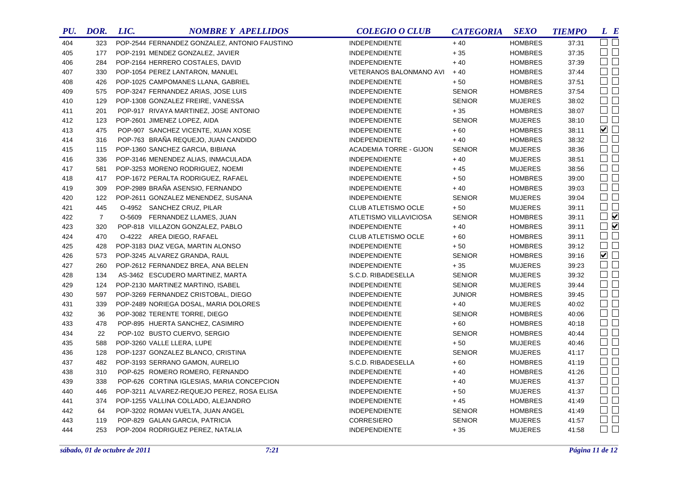| PU. | DOR.           | LIC. | <b>NOMBRE Y APELLIDOS</b>                     | <b>COLEGIO O CLUB</b>         | <b>CATEGORIA</b> | <b>SEXO</b>    | <b>TIEMPO</b> | L E                    |
|-----|----------------|------|-----------------------------------------------|-------------------------------|------------------|----------------|---------------|------------------------|
| 404 | 323            |      | POP-2544 FERNANDEZ GONZALEZ, ANTONIO FAUSTINO | <b>INDEPENDIENTE</b>          | $+40$            | <b>HOMBRES</b> | 37:31         | $\Box$ $\Box$          |
| 405 | 177            |      | POP-2191 MENDEZ GONZALEZ, JAVIER              | <b>INDEPENDIENTE</b>          | $+35$            | <b>HOMBRES</b> | 37:35         | $\Box$ $\Box$          |
| 406 | 284            |      | POP-2164 HERRERO COSTALES, DAVID              | INDEPENDIENTE                 | $+40$            | <b>HOMBRES</b> | 37:39         | $\Box$ $\Box$          |
| 407 | 330            |      | POP-1054 PEREZ LANTARON, MANUEL               | VETERANOS BALONMANO AVI       | $+40$            | <b>HOMBRES</b> | 37:44         | $\Box$ $\Box$          |
| 408 | 426            |      | POP-1025 CAMPOMANES LLANA, GABRIEL            | <b>INDEPENDIENTE</b>          | $+50$            | <b>HOMBRES</b> | 37:51         | $\Box$                 |
| 409 | 575            |      | POP-3247 FERNANDEZ ARIAS, JOSE LUIS           | <b>INDEPENDIENTE</b>          | <b>SENIOR</b>    | <b>HOMBRES</b> | 37:54         | $\Box$ $\Box$          |
| 410 | 129            |      | POP-1308 GONZALEZ FREIRE, VANESSA             | <b>INDEPENDIENTE</b>          | <b>SENIOR</b>    | <b>MUJERES</b> | 38:02         | $\Box$ $\Box$          |
| 411 | 201            |      | POP-917 RIVAYA MARTINEZ, JOSE ANTONIO         | <b>INDEPENDIENTE</b>          | $+35$            | <b>HOMBRES</b> | 38:07         | $\Box$                 |
| 412 | 123            |      | POP-2601 JIMENEZ LOPEZ, AIDA                  | INDEPENDIENTE                 | <b>SENIOR</b>    | <b>MUJERES</b> | 38:10         | $\Box$ $\Box$          |
| 413 | 475            |      | POP-907 SANCHEZ VICENTE, XUAN XOSE            | <b>INDEPENDIENTE</b>          | $+60$            | <b>HOMBRES</b> | 38:11         | $\blacktriangledown$   |
| 414 | 316            |      | POP-763 BRAÑA REQUEJO, JUAN CANDIDO           | <b>INDEPENDIENTE</b>          | $+40$            | <b>HOMBRES</b> | 38:32         | $\Box$                 |
| 415 | 115            |      | POP-1360 SANCHEZ GARCIA, BIBIANA              | <b>ACADEMIA TORRE - GIJON</b> | <b>SENIOR</b>    | <b>MUJERES</b> | 38:36         | $\square$ $\square$    |
| 416 | 336            |      | POP-3146 MENENDEZ ALIAS, INMACULADA           | <b>INDEPENDIENTE</b>          | $+40$            | <b>MUJERES</b> | 38:51         | $\square$ $\square$    |
| 417 | 581            |      | POP-3253 MORENO RODRIGUEZ, NOEMI              | <b>INDEPENDIENTE</b>          | $+45$            | <b>MUJERES</b> | 38:56         | $\square$<br>$\square$ |
| 418 | 417            |      | POP-1672 PERALTA RODRIGUEZ, RAFAEL            | <b>INDEPENDIENTE</b>          | $+50$            | <b>HOMBRES</b> | 39:00         | $\Box$                 |
| 419 | 309            |      | POP-2989 BRAÑA ASENSIO, FERNANDO              | <b>INDEPENDIENTE</b>          | $+40$            | <b>HOMBRES</b> | 39:03         | $\square$ $\square$    |
| 420 | 122            |      | POP-2611 GONZALEZ MENENDEZ, SUSANA            | <b>INDEPENDIENTE</b>          | <b>SENIOR</b>    | <b>MUJERES</b> | 39:04         | $\Box$                 |
| 421 | 445            |      | O-4952 SANCHEZ CRUZ, PILAR                    | CLUB ATLETISMO OCLE           | $+50$            | <b>MUJERES</b> | 39:11         | $\Box$ $\Box$          |
| 422 | $\overline{7}$ |      | O-5609 FERNANDEZ LLAMES, JUAN                 | ATLETISMO VILLAVICIOSA        | <b>SENIOR</b>    | <b>HOMBRES</b> | 39:11         | $\Box$                 |
| 423 | 320            |      | POP-818 VILLAZON GONZALEZ, PABLO              | <b>INDEPENDIENTE</b>          | $+40$            | <b>HOMBRES</b> | 39:11         | $\Box$                 |
| 424 | 470            |      | O-4222 AREA DIEGO, RAFAEL                     | CLUB ATLETISMO OCLE           | $+60$            | <b>HOMBRES</b> | 39:11         | $\Box$ $\Box$          |
| 425 | 428            |      | POP-3183 DIAZ VEGA, MARTIN ALONSO             | <b>INDEPENDIENTE</b>          | $+50$            | <b>HOMBRES</b> | 39:12         | $\Box$                 |
| 426 | 573            |      | POP-3245 ALVAREZ GRANDA, RAUL                 | <b>INDEPENDIENTE</b>          | <b>SENIOR</b>    | <b>HOMBRES</b> | 39:16         | $\blacksquare$         |
| 427 | 260            |      | POP-2612 FERNANDEZ BREA, ANA BELEN            | <b>INDEPENDIENTE</b>          | $+35$            | <b>MUJERES</b> | 39:23         | $\Box$                 |
| 428 | 134            |      | AS-3462 ESCUDERO MARTINEZ, MARTA              | S.C.D. RIBADESELLA            | <b>SENIOR</b>    | <b>MUJERES</b> | 39:32         | $\Box$ $\Box$          |
| 429 | 124            |      | POP-2130 MARTINEZ MARTINO, ISABEL             | <b>INDEPENDIENTE</b>          | <b>SENIOR</b>    | <b>MUJERES</b> | 39:44         | $\square$ $\square$    |
| 430 | 597            |      | POP-3269 FERNANDEZ CRISTOBAL, DIEGO           | <b>INDEPENDIENTE</b>          | <b>JUNIOR</b>    | <b>HOMBRES</b> | 39:45         | $\Box$ $\Box$          |
| 431 | 339            |      | POP-2489 NORIEGA DOSAL, MARIA DOLORES         | <b>INDEPENDIENTE</b>          | $+40$            | <b>MUJERES</b> | 40:02         | $\square$ $\square$    |
| 432 | 36             |      | POP-3082 TERENTE TORRE, DIEGO                 | <b>INDEPENDIENTE</b>          | <b>SENIOR</b>    | <b>HOMBRES</b> | 40:06         | $\Box$ $\Box$          |
| 433 | 478            |      | POP-895 HUERTA SANCHEZ, CASIMIRO              | <b>INDEPENDIENTE</b>          | $+60$            | <b>HOMBRES</b> | 40:18         | $\square$ $\square$    |
| 434 | 22             |      | POP-102 BUSTO CUERVO, SERGIO                  | <b>INDEPENDIENTE</b>          | <b>SENIOR</b>    | <b>HOMBRES</b> | 40:44         | $\Box$                 |
| 435 | 588            |      | POP-3260 VALLE LLERA, LUPE                    | <b>INDEPENDIENTE</b>          | $+50$            | <b>MUJERES</b> | 40:46         | $\Box$                 |
| 436 | 128            |      | POP-1237 GONZALEZ BLANCO, CRISTINA            | <b>INDEPENDIENTE</b>          | <b>SENIOR</b>    | <b>MUJERES</b> | 41:17         | $\square$ $\square$    |
| 437 | 482            |      | POP-3193 SERRANO GAMON, AURELIO               | S.C.D. RIBADESELLA            | $+60$            | <b>HOMBRES</b> | 41:19         | $\Box$ $\Box$          |
| 438 | 310            |      | POP-625 ROMERO ROMERO, FERNANDO               | <b>INDEPENDIENTE</b>          | $+40$            | <b>HOMBRES</b> | 41:26         | $\square$ $\square$    |
| 439 | 338            |      | POP-626 CORTINA IGLESIAS, MARIA CONCEPCION    | <b>INDEPENDIENTE</b>          | $+40$            | <b>MUJERES</b> | 41:37         | $\square$ $\square$    |
| 440 | 446            |      | POP-3211 ALVAREZ-REQUEJO PEREZ, ROSA ELISA    | <b>INDEPENDIENTE</b>          | $+50$            | <b>MUJERES</b> | 41:37         | $\Box$ $\Box$          |
| 441 | 374            |      | POP-1255 VALLINA COLLADO, ALEJANDRO           | <b>INDEPENDIENTE</b>          | $+45$            | <b>HOMBRES</b> | 41:49         | $\square$ $\square$    |
| 442 | 64             |      | POP-3202 ROMAN VUELTA, JUAN ANGEL             | <b>INDEPENDIENTE</b>          | <b>SENIOR</b>    | <b>HOMBRES</b> | 41:49         | $\Box$                 |
| 443 | 119            |      | POP-829 GALAN GARCIA, PATRICIA                | <b>CORRESIERO</b>             | <b>SENIOR</b>    | <b>MUJERES</b> | 41:57         | $\square$ $\square$    |
| 444 | 253            |      | POP-2004 RODRIGUEZ PEREZ, NATALIA             | <b>INDEPENDIENTE</b>          | $+35$            | <b>MUJERES</b> | 41:58         | $\Box$ $\Box$          |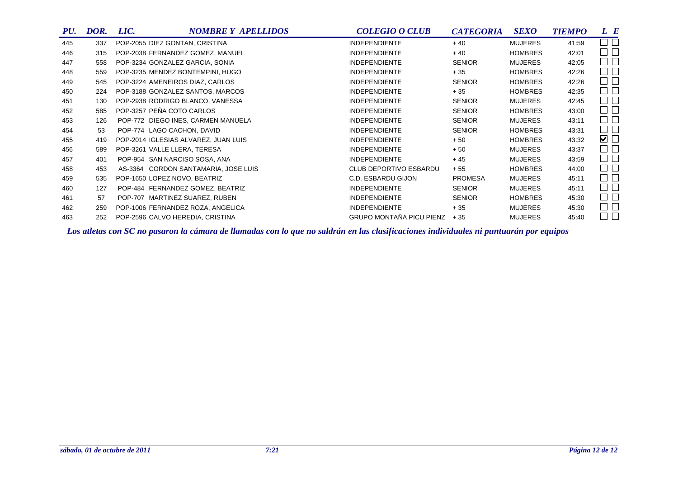| PU. | DOR. | LIC. | <b>NOMBRE Y APELLIDOS</b>            | <b>COLEGIO O CLUB</b>         | <b>CATEGORIA</b> | <b>SEXO</b>    | <b>TIEMPO</b> | L E                                   |
|-----|------|------|--------------------------------------|-------------------------------|------------------|----------------|---------------|---------------------------------------|
| 445 | 337  |      | POP-2055 DIEZ GONTAN, CRISTINA       | <b>INDEPENDIENTE</b>          | $+40$            | <b>MUJERES</b> | 41:59         | $\sim$                                |
| 446 | 315  |      | POP-2038 FERNANDEZ GOMEZ, MANUEL     | <b>INDEPENDIENTE</b>          | $+40$            | <b>HOMBRES</b> | 42:01         | $\Box$<br>$\Box$                      |
| 447 | 558  |      | POP-3234 GONZALEZ GARCIA, SONIA      | <b>INDEPENDIENTE</b>          | <b>SENIOR</b>    | <b>MUJERES</b> | 42:05         | $\Box$<br>$\Box$                      |
| 448 | 559  |      | POP-3235 MENDEZ BONTEMPINI, HUGO     | <b>INDEPENDIENTE</b>          | $+35$            | <b>HOMBRES</b> | 42:26         | $\Box$<br>$\blacksquare$              |
| 449 | 545  |      | POP-3224 AMENEIROS DIAZ, CARLOS      | <b>INDEPENDIENTE</b>          | <b>SENIOR</b>    | <b>HOMBRES</b> | 42:26         | $\Box$<br>$\Box$                      |
| 450 | 224  |      | POP-3188 GONZALEZ SANTOS, MARCOS     | <b>INDEPENDIENTE</b>          | $+35$            | <b>HOMBRES</b> | 42:35         | $\Box$<br>$\blacksquare$              |
| 451 | 130  |      | POP-2938 RODRIGO BLANCO, VANESSA     | <b>INDEPENDIENTE</b>          | <b>SENIOR</b>    | <b>MUJERES</b> | 42:45         | $\Box$<br>┓                           |
| 452 | 585  |      | POP-3257 PEÑA COTO CARLOS            | <b>INDEPENDIENTE</b>          | <b>SENIOR</b>    | <b>HOMBRES</b> | 43:00         | $\Box$<br>$\blacksquare$              |
| 453 | 126  |      | POP-772 DIEGO INES, CARMEN MANUELA   | <b>INDEPENDIENTE</b>          | <b>SENIOR</b>    | <b>MUJERES</b> | 43:11         | $\Box$<br>$\Box$                      |
| 454 | 53   |      | POP-774 LAGO CACHON, DAVID           | <b>INDEPENDIENTE</b>          | <b>SENIOR</b>    | <b>HOMBRES</b> | 43:31         | $\Box$<br>$\blacksquare$              |
| 455 | 419  |      | POP-2014 IGLESIAS ALVAREZ, JUAN LUIS | <b>INDEPENDIENTE</b>          | $+50$            | <b>HOMBRES</b> | 43:32         | $\blacktriangledown$ $\Box$           |
| 456 | 589  |      | POP-3261 VALLE LLERA, TERESA         | <b>INDEPENDIENTE</b>          | $+50$            | <b>MUJERES</b> | 43:37         | $\Box$<br>$\mathcal{L}_{\mathcal{A}}$ |
| 457 | 401  |      | POP-954 SAN NARCISO SOSA, ANA        | <b>INDEPENDIENTE</b>          | $+45$            | <b>MUJERES</b> | 43:59         | $\Box$<br>$\overline{\phantom{0}}$    |
| 458 | 453  |      | AS-3364 CORDON SANTAMARIA, JOSE LUIS | <b>CLUB DEPORTIVO ESBARDU</b> | $+55$            | <b>HOMBRES</b> | 44:00         | $\Box$<br>$\overline{\phantom{0}}$    |
| 459 | 535  |      | POP-1650 LOPEZ NOVO, BEATRIZ         | C.D. ESBARDU GIJON            | <b>PROMESA</b>   | <b>MUJERES</b> | 45:11         | $\Box$<br>$\Box$                      |
| 460 | 127  |      | POP-484 FERNANDEZ GOMEZ, BEATRIZ     | <b>INDEPENDIENTE</b>          | <b>SENIOR</b>    | <b>MUJERES</b> | 45:11         | $\Box$<br>$\Box$                      |
| 461 | 57   |      | POP-707 MARTINEZ SUAREZ, RUBEN       | <b>INDEPENDIENTE</b>          | <b>SENIOR</b>    | <b>HOMBRES</b> | 45:30         | $\Box$<br>$\Box$                      |
| 462 | 259  |      | POP-1006 FERNANDEZ ROZA, ANGELICA    | <b>INDEPENDIENTE</b>          | $+35$            | <b>MUJERES</b> | 45:30         | $\Box$<br>$\blacksquare$              |
| 463 | 252  |      | POP-2596 CALVO HEREDIA, CRISTINA     | GRUPO MONTAÑA PICU PIENZ      | $+35$            | <b>MUJERES</b> | 45:40         | $\Box$<br>$\overline{\phantom{0}}$    |

*Los atletas con SC no pasaron la cámara de llamadas con lo que no saldrán en las clasificaciones individuales ni puntuarán por equipos*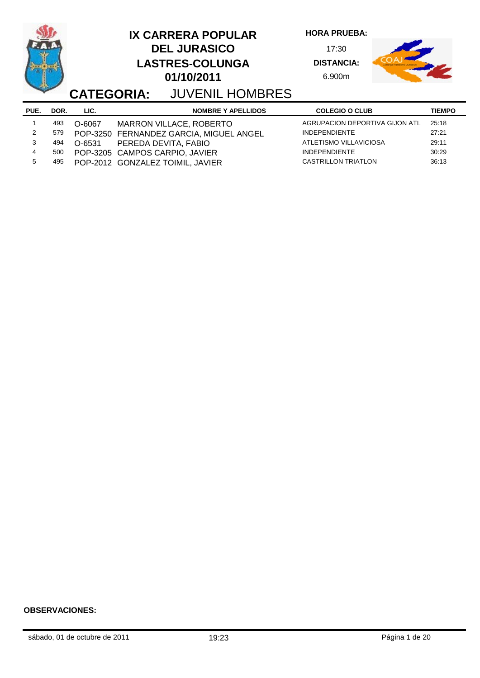|      |      | <b>CATEGORIA:</b> | <b>IX CARRERA POPULAR</b><br><b>DEL JURASICO</b><br><b>LASTRES-COLUNGA</b><br>01/10/2011<br><b>JUVENIL HOMBRES</b> | <b>HORA PRUEBA:</b><br>17:30<br><b>DISTANCIA:</b><br>6.900m |               |
|------|------|-------------------|--------------------------------------------------------------------------------------------------------------------|-------------------------------------------------------------|---------------|
| PUE. | DOR. | LIC.              | <b>NOMBRE Y APELLIDOS</b>                                                                                          | <b>COLEGIO O CLUB</b>                                       | <b>TIEMPO</b> |
|      | 493  | O-6067            | MARRON VILLACE, ROBERTO                                                                                            | AGRUPACION DEPORTIVA GIJON ATL                              | 25:18         |
| 2    | 579  |                   | POP-3250 FERNANDEZ GARCIA, MIGUEL ANGEL                                                                            | <b>INDEPENDIENTE</b>                                        | 27:21         |
| 3    | 494  | O-6531            | PEREDA DEVITA, FABIO                                                                                               | ATLETISMO VILLAVICIOSA                                      | 29:11         |
| 4    | 500  |                   | POP-3205 CAMPOS CARPIO, JAVIER                                                                                     | <b>INDEPENDIENTE</b>                                        | 30:29         |
| 5    | 495  |                   | POP-2012 GONZALEZ TOIMIL, JAVIER                                                                                   | <b>CASTRILLON TRIATLON</b>                                  | 36:13         |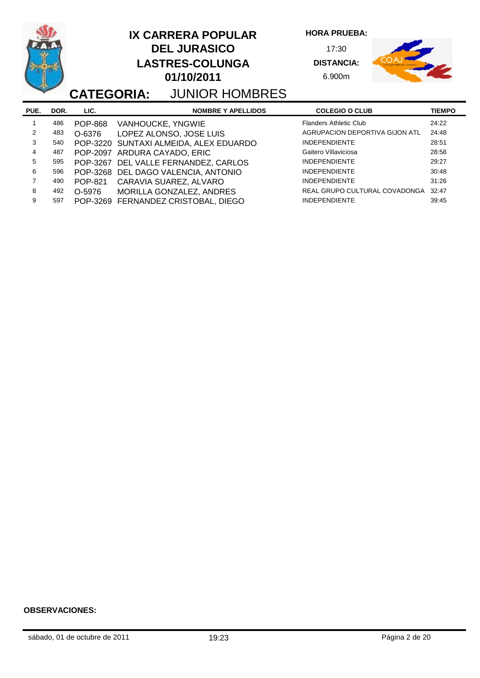| <b>CATEGORIA:</b> |      |                | <b>IX CARRERA POPULAR</b><br><b>DEL JURASICO</b><br><b>LASTRES-COLUNGA</b><br>01/10/2011 | <b>JUNIOR HOMBRES</b>     | <b>HORA PRUEBA:</b><br>17:30<br><b>DISTANCIA:</b><br>6.900m |               |
|-------------------|------|----------------|------------------------------------------------------------------------------------------|---------------------------|-------------------------------------------------------------|---------------|
| PUE.              | DOR. | LIC.           |                                                                                          | <b>NOMBRE Y APELLIDOS</b> | <b>COLEGIO O CLUB</b>                                       | <b>TIEMPO</b> |
|                   | 486  | <b>POP-868</b> | VANHOUCKE, YNGWIE                                                                        |                           | <b>Flanders Athletic Club</b>                               | 24:22         |
| 2                 | 483  | O-6376         | LOPEZ ALONSO, JOSE LUIS                                                                  |                           | AGRUPACION DEPORTIVA GIJON ATL                              | 24:48         |
| 3                 | 540  |                | POP-3220 SUNTAXI ALMEIDA, ALEX EDUARDO                                                   |                           | <b>INDEPENDIENTE</b>                                        | 28:51         |
| 4                 | 487  | POP-2097       | ARDURA CAYADO, ERIC                                                                      |                           | Gaitero Villaviciosa                                        | 28:58         |
| 5                 | 595  | POP-3267       | DEL VALLE FERNANDEZ, CARLOS                                                              |                           | <b>INDEPENDIENTE</b>                                        | 29:27         |
| 6                 | 596  |                | POP-3268 DEL DAGO VALENCIA, ANTONIO                                                      |                           | <b>INDEPENDIENTE</b>                                        | 30:48         |
| 7                 | 490  | <b>POP-821</b> | CARAVIA SUAREZ, ALVARO                                                                   |                           | <b>INDEPENDIENTE</b>                                        | 31:26         |
| 8                 | 492  | O-5976         | MORILLA GONZALEZ, ANDRES                                                                 |                           | REAL GRUPO CULTURAL COVADONGA                               | 32:47         |
| 9                 | 597  |                | POP-3269 FERNANDEZ CRISTOBAL, DIEGO                                                      |                           | <b>INDEPENDIENTE</b>                                        | 39:45         |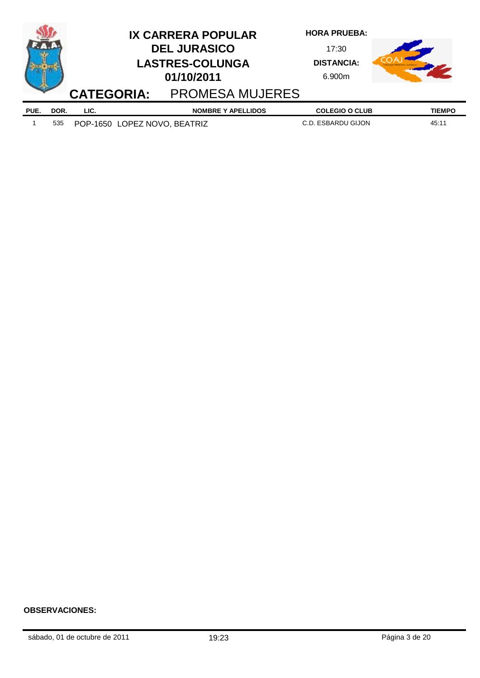|      |      | <b>CATEGORIA:</b> |                              | <b>IX CARRERA POPULAR</b><br><b>DEL JURASICO</b><br><b>LASTRES-COLUNGA</b><br>01/10/2011<br><b>PROMESA MUJERES</b> | <b>HORA PRUEBA:</b><br>17:30<br><b>DISTANCIA:</b><br>6.900m |               |
|------|------|-------------------|------------------------------|--------------------------------------------------------------------------------------------------------------------|-------------------------------------------------------------|---------------|
| PUE. | DOR. | LIC.              |                              | <b>NOMBRE Y APELLIDOS</b>                                                                                          | <b>COLEGIO O CLUB</b>                                       | <b>TIEMPO</b> |
|      | 535  |                   | POP-1650 LOPEZ NOVO, BEATRIZ |                                                                                                                    | C.D. ESBARDU GIJON                                          | 45:11         |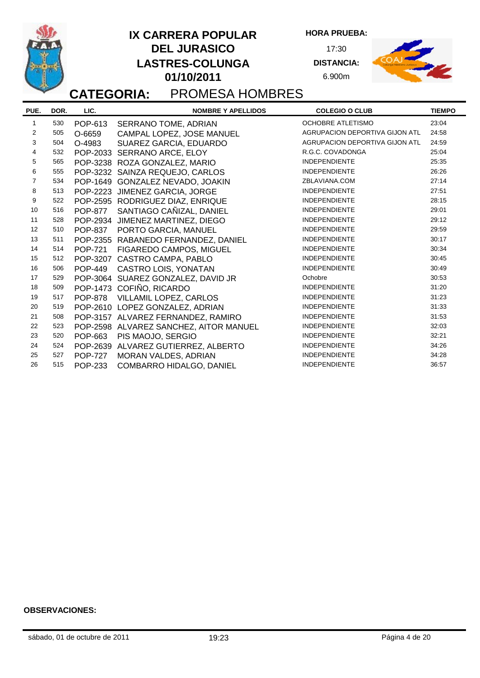**PUE. NOMBRE Y APELLIDOS COLEGIO O CLUB DOR. LIC. TIEMPO CATEGORIA:** PROMESA HOMBRES **HORA PRUEBA:** 17:30 **DISTANCIA:** 6.900m **DEL JURASICO LASTRES-COLUNGA 01/10/2011 IX CARRERA POPULAR** 1 530 POP-613 SERRANO TOME, ADRIAN OCHOBRE ATLETISMO 23:04

|    |     |                | יייים שיט יש ושיר של היה היה שוט       |                                |       |
|----|-----|----------------|----------------------------------------|--------------------------------|-------|
| 2  | 505 | O-6659         | CAMPAL LOPEZ, JOSE MANUEL              | AGRUPACION DEPORTIVA GIJON ATL | 24:58 |
| 3  | 504 | O-4983         | SUAREZ GARCIA, EDUARDO                 | AGRUPACION DEPORTIVA GIJON ATL | 24:59 |
| 4  | 532 |                | POP-2033 SERRANO ARCE, ELOY            | R.G.C. COVADONGA               | 25:04 |
| 5  | 565 |                | POP-3238 ROZA GONZALEZ, MARIO          | <b>INDEPENDIENTE</b>           | 25:35 |
| 6  | 555 |                | POP-3232 SAINZA REQUEJO, CARLOS        | <b>INDEPENDIENTE</b>           | 26:26 |
| 7  | 534 |                | POP-1649 GONZALEZ NEVADO, JOAKIN       | ZBLAVIANA.COM                  | 27:14 |
| 8  | 513 |                | POP-2223 JIMENEZ GARCIA, JORGE         | <b>INDEPENDIENTE</b>           | 27:51 |
| 9  | 522 |                | POP-2595 RODRIGUEZ DIAZ, ENRIQUE       | <b>INDEPENDIENTE</b>           | 28:15 |
| 10 | 516 |                | POP-877 SANTIAGO CAÑIZAL, DANIEL       | <b>INDEPENDIENTE</b>           | 29:01 |
| 11 | 528 |                | POP-2934 JIMENEZ MARTINEZ, DIEGO       | <b>INDEPENDIENTE</b>           | 29:12 |
| 12 | 510 |                | POP-837 PORTO GARCIA, MANUEL           | <b>INDEPENDIENTE</b>           | 29:59 |
| 13 | 511 |                | POP-2355 RABANEDO FERNANDEZ, DANIEL    | <b>INDEPENDIENTE</b>           | 30:17 |
| 14 | 514 |                | POP-721 FIGAREDO CAMPOS, MIGUEL        | <b>INDEPENDIENTE</b>           | 30:34 |
| 15 | 512 |                | POP-3207 CASTRO CAMPA, PABLO           | <b>INDEPENDIENTE</b>           | 30:45 |
| 16 | 506 |                | POP-449 CASTRO LOIS, YONATAN           | <b>INDEPENDIENTE</b>           | 30:49 |
| 17 | 529 |                | POP-3064 SUAREZ GONZALEZ, DAVID JR     | Ochobre                        | 30:53 |
| 18 | 509 |                | POP-1473 COFIÑO, RICARDO               | <b>INDEPENDIENTE</b>           | 31:20 |
| 19 | 517 |                | POP-878 VILLAMIL LOPEZ, CARLOS         | <b>INDEPENDIENTE</b>           | 31:23 |
| 20 | 519 |                | POP-2610 LOPEZ GONZALEZ, ADRIAN        | <b>INDEPENDIENTE</b>           | 31:33 |
| 21 | 508 |                | POP-3157 ALVAREZ FERNANDEZ, RAMIRO     | <b>INDEPENDIENTE</b>           | 31:53 |
| 22 | 523 |                | POP-2598 ALVAREZ SANCHEZ, AITOR MANUEL | <b>INDEPENDIENTE</b>           | 32:03 |
| 23 | 520 |                | POP-663 PIS MAOJO, SERGIO              | <b>INDEPENDIENTE</b>           | 32:21 |
| 24 | 524 |                | POP-2639 ALVAREZ GUTIERREZ, ALBERTO    | <b>INDEPENDIENTE</b>           | 34:26 |
| 25 | 527 | <b>POP-727</b> | MORAN VALDES, ADRIAN                   | <b>INDEPENDIENTE</b>           | 34:28 |
| 26 | 515 | <b>POP-233</b> | COMBARRO HIDALGO, DANIEL               | <b>INDEPENDIENTE</b>           | 36:57 |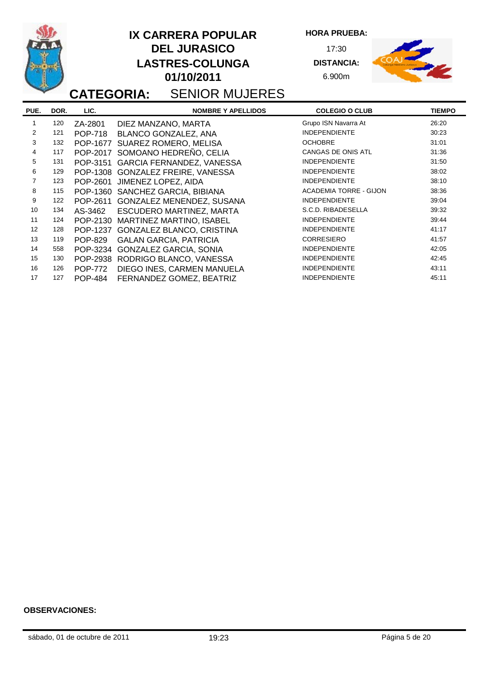|                |      |                | <b>IX CARRERA POPULAR</b><br><b>DEL JURASICO</b><br><b>LASTRES-COLUNGA</b><br>01/10/2011<br><b>CATEGORIA: SENIOR MUJERES</b> | <b>HORA PRUEBA:</b><br>17:30<br><b>DISTANCIA:</b><br>6.900m |               |
|----------------|------|----------------|------------------------------------------------------------------------------------------------------------------------------|-------------------------------------------------------------|---------------|
| PUE.           | DOR. | LIC.           | <b>NOMBRE Y APELLIDOS</b>                                                                                                    | <b>COLEGIO O CLUB</b>                                       | <b>TIEMPO</b> |
| 1              | 120  | ZA-2801        | DIEZ MANZANO, MARTA                                                                                                          | Grupo ISN Navarra At                                        | 26:20         |
| 2              | 121  | <b>POP-718</b> | BLANCO GONZALEZ, ANA                                                                                                         | <b>INDEPENDIENTE</b>                                        | 30:23         |
| 3              | 132  |                | POP-1677 SUAREZ ROMERO, MELISA                                                                                               | <b>OCHOBRE</b>                                              | 31:01         |
| 4              | 117  |                | POP-2017 SOMOANO HEDREÑO, CELIA                                                                                              | CANGAS DE ONIS ATL                                          | 31:36         |
| 5              | 131  |                | POP-3151 GARCIA FERNANDEZ, VANESSA                                                                                           | <b>INDEPENDIENTE</b>                                        | 31:50         |
| 6              | 129  |                | POP-1308 GONZALEZ FREIRE, VANESSA                                                                                            | <b>INDEPENDIENTE</b>                                        | 38:02         |
| $\overline{7}$ | 123  | POP-2601       | JIMENEZ LOPEZ, AIDA                                                                                                          | <b>INDEPENDIENTE</b>                                        | 38:10         |
| 8              | 115  |                | POP-1360 SANCHEZ GARCIA, BIBIANA                                                                                             | <b>ACADEMIA TORRE - GIJON</b>                               | 38:36         |
| 9              | 122  |                | POP-2611 GONZALEZ MENENDEZ, SUSANA                                                                                           | <b>INDEPENDIENTE</b>                                        | 39:04         |
| 10             | 134  | AS-3462        | ESCUDERO MARTINEZ, MARTA                                                                                                     | S.C.D. RIBADESELLA                                          | 39:32         |
| 11             | 124  | POP-2130       | MARTINEZ MARTINO, ISABEL                                                                                                     | <b>INDEPENDIENTE</b>                                        | 39:44         |
| 12             | 128  | POP-1237       | GONZALEZ BLANCO, CRISTINA                                                                                                    | <b>INDEPENDIENTE</b>                                        | 41:17         |
| 13             | 119  | <b>POP-829</b> | <b>GALAN GARCIA, PATRICIA</b>                                                                                                | <b>CORRESIERO</b>                                           | 41:57         |
| 14             | 558  |                | POP-3234 GONZALEZ GARCIA, SONIA                                                                                              | <b>INDEPENDIENTE</b>                                        | 42:05         |
| 15             | 130  |                | POP-2938 RODRIGO BLANCO, VANESSA                                                                                             | <b>INDEPENDIENTE</b>                                        | 42:45         |
| 16             | 126  | <b>POP-772</b> | DIEGO INES, CARMEN MANUELA                                                                                                   | <b>INDEPENDIENTE</b>                                        | 43:11         |
| 17             | 127  | <b>POP-484</b> | FERNANDEZ GOMEZ, BEATRIZ                                                                                                     | <b>INDEPENDIENTE</b>                                        | 45:11         |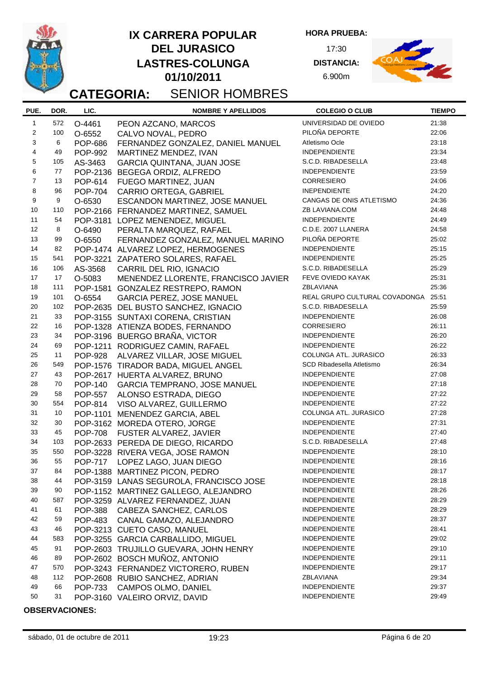

### **DEL JURASICO LASTRES-COLUNGA 01/10/2011 IX CARRERA POPULAR**

**HORA PRUEBA:**

17:30 **DISTANCIA:** 6.900m



# **CATEGORIA:** SENIOR HOMBRES

| PUE.           | DOR. | LIC.           | <b>NOMBRE Y APELLIDOS</b>               | <b>COLEGIO O CLUB</b>               | <b>TIEMPO</b> |
|----------------|------|----------------|-----------------------------------------|-------------------------------------|---------------|
| $\mathbf{1}$   | 572  | O-4461         | PEON AZCANO, MARCOS                     | UNIVERSIDAD DE OVIEDO               | 21:38         |
| 2              | 100  | O-6552         | CALVO NOVAL, PEDRO                      | PILOÑA DEPORTE                      | 22:06         |
| 3              | 6    | <b>POP-686</b> | FERNANDEZ GONZALEZ, DANIEL MANUEL       | Atletismo Ocle                      | 23:18         |
| 4              | 49   | <b>POP-992</b> | MARTINEZ MENDEZ, IVAN                   | <b>INDEPENDIENTE</b>                | 23:34         |
| 5              | 105  | AS-3463        | <b>GARCIA QUINTANA, JUAN JOSE</b>       | S.C.D. RIBADESELLA                  | 23:48         |
| 6              | 77   |                | POP-2136 BEGEGA ORDIZ, ALFREDO          | <b>INDEPENDIENTE</b>                | 23:59         |
| $\overline{7}$ | 13   | POP-614        | FUEGO MARTINEZ, JUAN                    | <b>CORRESIERO</b>                   | 24:06         |
| 8              | 96   | <b>POP-704</b> | <b>CARRIO ORTEGA, GABRIEL</b>           | <b>INEPENDIENTE</b>                 | 24:20         |
| 9              | 9    | O-6530         | ESCANDON MARTINEZ, JOSE MANUEL          | CANGAS DE ONIS ATLETISMO            | 24:36         |
| 10             | 110  |                | POP-2166 FERNANDEZ MARTINEZ, SAMUEL     | ZB LAVIANA.COM                      | 24:48         |
| 11             | 54   |                | POP-3181 LOPEZ MENENDEZ, MIGUEL         | <b>INDEPENDIENTE</b>                | 24:49         |
| 12             | 8    | O-6490         | PERALTA MARQUEZ, RAFAEL                 | C.D.E. 2007 LLANERA                 | 24:58         |
| 13             | 99   | O-6550         | FERNANDEZ GONZALEZ, MANUEL MARINO       | PILOÑA DEPORTE                      | 25:02         |
| 14             | 82   |                | POP-1474 ALVAREZ LOPEZ, HERMOGENES      | <b>INDEPENDIENTE</b>                | 25:15         |
| 15             | 541  |                | POP-3221 ZAPATERO SOLARES, RAFAEL       | <b>INDEPENDIENTE</b>                | 25:25         |
| 16             | 106  | AS-3568        | CARRIL DEL RIO, IGNACIO                 | S.C.D. RIBADESELLA                  | 25:29         |
| 17             | 17   | O-5083         | MENENDEZ LLORENTE, FRANCISCO JAVIER     | FEVE OVIEDO KAYAK                   | 25:31         |
| 18             | 111  |                | POP-1581 GONZALEZ RESTREPO, RAMON       | ZBLAVIANA                           | 25:36         |
| 19             | 101  | O-6554         | <b>GARCIA PEREZ, JOSE MANUEL</b>        | REAL GRUPO CULTURAL COVADONGA 25:51 |               |
| 20             | 102  |                | POP-2635 DEL BUSTO SANCHEZ, IGNACIO     | S.C.D. RIBADESELLA                  | 25:59         |
| 21             | 33   |                | POP-3155 SUNTAXI CORENA, CRISTIAN       | <b>INDEPENDIENTE</b>                | 26:08         |
| 22             | 16   |                | POP-1328 ATIENZA BODES, FERNANDO        | <b>CORRESIERO</b>                   | 26:11         |
| 23             | 34   |                | POP-3196 BUERGO BRAÑA, VICTOR           | <b>INDEPENDIENTE</b>                | 26:20         |
| 24             | 69   |                | POP-1211 RODRIGUEZ CAMIN, RAFAEL        | <b>INDEPENDIENTE</b>                | 26:22         |
| 25             | 11   | <b>POP-928</b> | ALVAREZ VILLAR, JOSE MIGUEL             | COLUNGA ATL. JURASICO               | 26:33         |
| 26             | 549  |                | POP-1576 TIRADOR BADA, MIGUEL ANGEL     | SCD Ribadesella Atletismo           | 26:34         |
| 27             | 43   |                | POP-2617 HUERTA ALVAREZ, BRUNO          | <b>INDEPENDIENTE</b>                | 27:08         |
| 28             | 70   | <b>POP-140</b> | <b>GARCIA TEMPRANO, JOSE MANUEL</b>     | <b>INDEPENDIENTE</b>                | 27:18         |
| 29             | 58   | <b>POP-557</b> | ALONSO ESTRADA, DIEGO                   | <b>INDEPENDIENTE</b>                | 27:22         |
| 30             | 554  | POP-814        | VISO ALVAREZ, GUILLERMO                 | <b>INDEPENDIENTE</b>                | 27:22         |
| 31             | 10   |                | POP-1101 MENENDEZ GARCIA, ABEL          | COLUNGA ATL. JURASICO               | 27:28         |
| 32             | 30   |                | POP-3162 MOREDA OTERO, JORGE            | <b>INDEPENDIENTE</b>                | 27:31         |
| 33             | 45   | <b>POP-708</b> | FUSTER ALVAREZ, JAVIER                  | <b>INDEPENDIENTE</b>                | 27:40         |
| 34             | 103  |                | POP-2633 PEREDA DE DIEGO, RICARDO       | S.C.D. RIBADESELLA                  | 27:48         |
| 35             | 550  |                | POP-3228 RIVERA VEGA, JOSE RAMON        | <b>INDEPENDIENTE</b>                | 28:10         |
| 36             | 55   | <b>POP-717</b> | LOPEZ LAGO, JUAN DIEGO                  | <b>INDEPENDIENTE</b>                | 28:16         |
| 37             | 84   |                | POP-1388 MARTINEZ PICON, PEDRO          | <b>INDEPENDIENTE</b>                | 28:17         |
| 38             | 44   |                | POP-3159 LANAS SEGUROLA, FRANCISCO JOSE | <b>INDEPENDIENTE</b>                | 28:18         |
| 39             | 90   |                | POP-1152 MARTINEZ GALLEGO, ALEJANDRO    | <b>INDEPENDIENTE</b>                | 28:26         |
| 40             | 587  |                | POP-3259 ALVAREZ FERNANDEZ, JUAN        | <b>INDEPENDIENTE</b>                | 28:29         |
| 41             | 61   |                | POP-388 CABEZA SANCHEZ, CARLOS          | <b>INDEPENDIENTE</b>                | 28:29         |
| 42             | 59   |                | POP-483 CANAL GAMAZO, ALEJANDRO         | <b>INDEPENDIENTE</b>                | 28:37         |
| 43             | 46   |                | POP-3213 CUETO CASO, MANUEL             | <b>INDEPENDIENTE</b>                | 28:41         |
| 44             | 583  |                | POP-3255 GARCIA CARBALLIDO, MIGUEL      | <b>INDEPENDIENTE</b>                | 29:02         |
| 45             | 91   |                | POP-2603 TRUJILLO GUEVARA, JOHN HENRY   | <b>INDEPENDIENTE</b>                | 29:10         |
| 46             | 89   |                | POP-2602 BOSCH MUÑOZ, ANTONIO           | <b>INDEPENDIENTE</b>                | 29:11         |
| 47             | 570  |                | POP-3243 FERNANDEZ VICTORERO, RUBEN     | <b>INDEPENDIENTE</b>                | 29:17         |
| 48             | 112  |                | POP-2608 RUBIO SANCHEZ, ADRIAN          | ZBLAVIANA                           | 29:34         |
| 49             | 66   | <b>POP-733</b> | <b>CAMPOS OLMO, DANIEL</b>              | <b>INDEPENDIENTE</b>                | 29:37         |
| 50             | 31   |                | POP-3160 VALEIRO ORVIZ, DAVID           | <b>INDEPENDIENTE</b>                | 29:49         |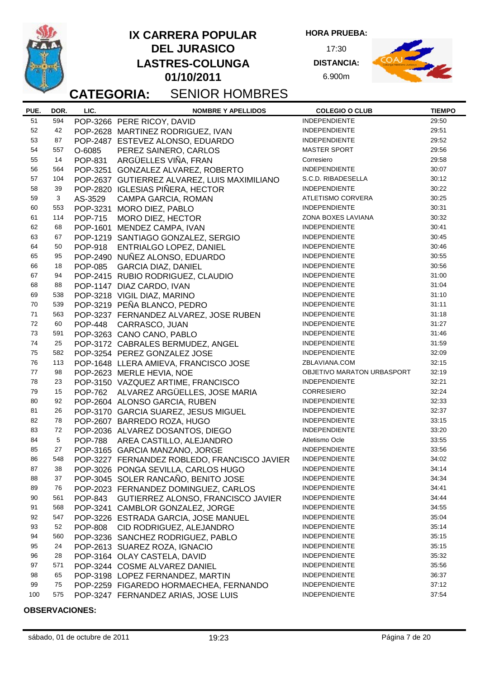

### **DEL JURASICO LASTRES-COLUNGA 01/10/2011 IX CARRERA POPULAR**

**HORA PRUEBA:** 17:30

> **DISTANCIA:** 6.900m



### **CATEGORIA:** SENIOR HOMBRES

#### **PUE. NOMBRE Y APELLIDOS COLEGIO O CLUB DOR. LIC. TIEMPO** 51 594 POP-3266 PERE RICOY, DAVID INDEPENDIENTE 29:50 52 42 POP-2628 MARTINEZ RODRIGUEZ, IVAN INDEPENDIENTE 29:51 53 87 POP-2487 ESTEVEZ ALONSO, EDUARDO INDEPENDIENTE 29:52 54 557 O-6085 PEREZ SAINERO, CARLOS MASTER SPORT 29:56 55 14 POP-831 ARGÜELLES VIÑA, FRAN Corresiero 29:58 56 564 POP-3251 GONZALEZ ALVAREZ, ROBERTO INDEPENDIENTE 30:07 57 104 POP-2637 GUTIERREZ ALVAREZ, LUIS MAXIMILIANO S.C.D. RIBADESELLA 30:12 58 39 POP-2820 IGLESIAS PIÑERA, HECTOR 59 3 AS-3529 CAMPA GARCIA, ROMAN ATLETISMO CORVERA 30:25 60 553 POP-3231 MORO DIEZ, PABLO INDEPENDIENTE 30:31 61 114 POP-715 MORO DIEZ, HECTOR ZONA BOXES LAVIANA 30:32 62 68 POP-1601 MENDEZ CAMPA, IVAN 63 67 POP-1219 SANTIAGO GONZALEZ, SERGIO INDEPENDIENTE 30:45 64 50 POP-918 ENTRIALGO LOPEZ, DANIEL INDEPENDIENTE 30:46 65 95 POP-2490 NUÑEZ ALONSO, EDUARDO INDEPENDIENTE 30:55 66 18 POP-085 GARCIA DIAZ, DANIEL INDEPENDIENTE 30:56 67 94 POP-2415 RUBIO RODRIGUEZ, CLAUDIO INDEPENDIENTE 31:00 68 88 POP-1147 DIAZ CARDO, IVAN INDEPENDIENTE 31:04 69 538 POP-3218 VIGIL DIAZ, MARINO INDEPENDIENTE 31:10 70 539 POP-3219 PEÑA BLANCO, PEDRO INDEPENDIENTE 31:11 71 563 POP-3237 FERNANDEZ ALVAREZ, JOSE RUBEN INDEPENDIENTE 31:18 72 60 POP-448 CARRASCO, JUAN INDEPENDIENTE 31:27 73 591 POP-3263 CANO CANO, PABLO INDEPENDIENTE 31:46 74 25 POP-3172 CABRALES BERMUDEZ, ANGEL INDEPENDIENTE 31:59 75 582 POP-3254 PEREZ GONZALEZ JOSE INDEPENDIENTE 32:09 76 113 POP-1648 LLERA AMIEVA, FRANCISCO JOSE 2BLAVIANA.COM 32:15<br>77 98 POP-2623 MERLE HEVIA. NOE 2011 0BJETIVO MARATON URBASPORT 32:19 77 98 POP-2623 MERLE HEVIA, NOE 78 23 POP-3150 VAZQUEZ ARTIME, FRANCISCO INDEPENDIENTE 32:21 79 15 POP-762 ALVAREZ ARGÜELLES, JOSE MARIA CORRESIERO 32:24  $80$   $92$   $POP-2604$  ALONSO GARCIA, RUBEN  $81$   $26$   $POP-3170$   $GAPCH$  SUAPEZ JESUS I 81 26 POP-3170 GARCIA SUAREZ, JESUS MIGUEL INDEPENDIENTE 32:37 82 78 POP-2607 BARREDO ROZA, HUGO INDEPENDIENTE 33:15 83 72 POP-2036 ALVAREZ DOSANTOS, DIEGO 84 5 POP-788 AREA CASTILLO, ALEJANDRO Atletismo Ocle 33:55 85 27 POP-3165 GARCIA MANZANO, JORGE INDEPENDIENTE 33:56 86 548 POP-3227 FERNANDEZ ROBLEDO, FRANCISCO JAVIER INDEPENDIENTE 34:02 87 38 POP-3026 PONGA SEVILLA, CARLOS HUGO INDEPENDIENTE 34:14 88 37 POP-3045 SOLER RANCAÑO, BENITO JOSE INDEPENDIENTE 34:34 89 76 POP-2023 FERNANDEZ DOMINGUEZ, CARLOS INDEPENDIENTE 34:41 34:41<br>190 561 POP-843 GUTIFRREZ ALONSO FRANCISCO JAVIER INDEPENDIENTE 34:44 90 561 POP-843 GUTIERREZ ALONSO, FRANCISCO JAVIER INDEPENDIENTE 34:44 91 568 POP-3241 CAMBLOR GONZALEZ, JORGE 92 547 POP-3226 ESTRADA GARCIA, JOSE MANUEL INDEPENDIENTE 35:04 93 52 POP-808 CID RODRIGUEZ, ALEJANDRO INDEPENDIENTE 35:14 94 560 POP-3236 SANCHEZ RODRIGUEZ, PABLO INDEPENDIENTE 35:15<br>95 24 DOP-2643 SUAREZ ROZA IGNACIO 95 24 POP-2613 SUAREZ ROZA, IGNACIO INDEPENDIENTE 96 28 POP-3164 OLAY CASTELA, DAVID INDEPENDIENTE 35:32 97 571 POP-3244 COSME ALVAREZ DANIEL **INDEPENDIENTE** 35:56 98 65 POP-3198 LOPEZ FERNANDEZ, MARTIN INDEPENDIENTE 36:37<br>99 75 POP-2250 FICAREDO HORMAECHEA EERNANDO INDEPENDIENTE 37:12 99 75 POP-2259 FIGAREDO HORMAECHEA, FERNANDO INDEPENDIENTE 37:12 100 575 POP-3247 FERNANDEZ ARIAS, JOSE LUIS INDEPENDIENTE 37:54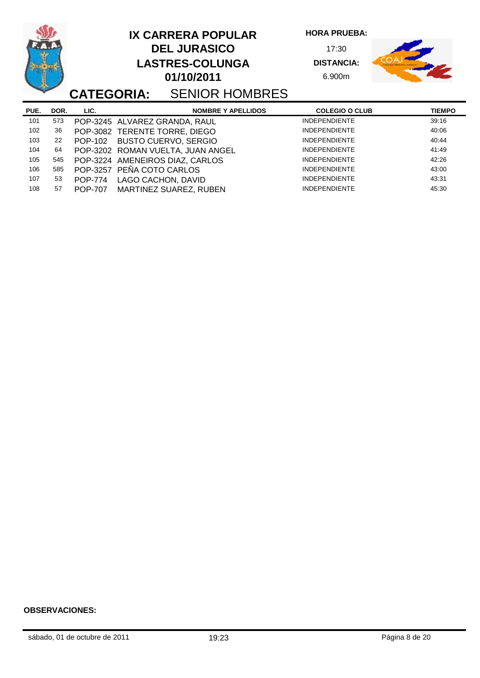|      |      | <b>CATEGORIA:</b> | <b>IX CARRERA POPULAR</b><br><b>DEL JURASICO</b><br><b>LASTRES-COLUNGA</b><br>01/10/2011<br><b>SENIOR HOMBRES</b> | <b>HORA PRUEBA:</b><br>17:30<br><b>DISTANCIA:</b><br>6.900m |               |
|------|------|-------------------|-------------------------------------------------------------------------------------------------------------------|-------------------------------------------------------------|---------------|
| PUE. | DOR. | LIC.              | <b>NOMBRE Y APELLIDOS</b>                                                                                         | <b>COLEGIO O CLUB</b>                                       | <b>TIEMPO</b> |
| 101  | 573  |                   | POP-3245 ALVAREZ GRANDA, RAUL                                                                                     | <b>INDEPENDIENTE</b>                                        | 39:16         |
| 102  | 36   |                   | POP-3082 TERENTE TORRE, DIEGO                                                                                     | <b>INDEPENDIENTE</b>                                        | 40:06         |
| 103  | 22   | POP-102           | <b>BUSTO CUERVO, SERGIO</b>                                                                                       | <b>INDEPENDIENTE</b>                                        | 40:44         |
| 104  | 64   |                   | POP-3202 ROMAN VUELTA, JUAN ANGEL                                                                                 | <b>INDEPENDIENTE</b>                                        | 41:49         |
| 105  | 545  |                   | POP-3224 AMENEIROS DIAZ, CARLOS                                                                                   | <b>INDEPENDIENTE</b>                                        | 42:26         |
| 106  | 585  |                   | POP-3257 PEÑA COTO CARLOS                                                                                         | <b>INDEPENDIENTE</b>                                        | 43:00         |
| 107  | 53   | <b>POP-774</b>    | LAGO CACHON, DAVID                                                                                                | <b>INDEPENDIENTE</b>                                        | 43:31         |
| 108  | 57   | <b>POP-707</b>    | <b>MARTINEZ SUAREZ, RUBEN</b>                                                                                     | <b>INDEPENDIENTE</b>                                        | 45:30         |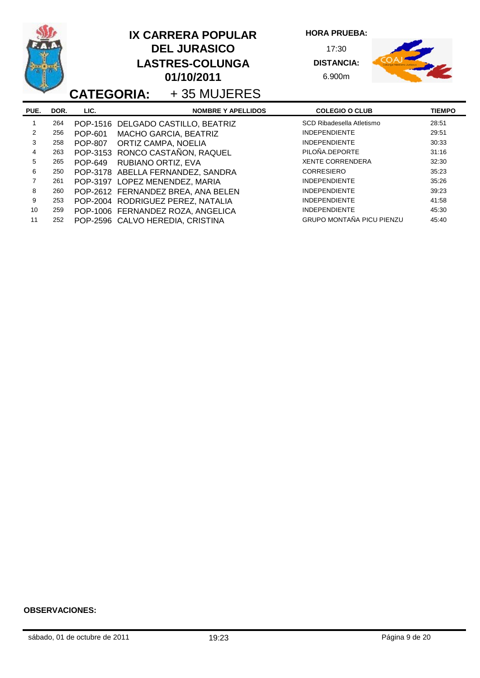|      |      |                | <b>IX CARRERA POPULAR</b><br><b>DEL JURASICO</b><br><b>LASTRES-COLUNGA</b><br>01/10/2011<br><b>CATEGORIA:</b> +35 MUJERES | <b>HORA PRUEBA:</b><br>17:30<br><b>DISTANCIA:</b><br>6.900m |               |
|------|------|----------------|---------------------------------------------------------------------------------------------------------------------------|-------------------------------------------------------------|---------------|
| PUE. | DOR. | LIC.           | <b>NOMBRE Y APELLIDOS</b>                                                                                                 | <b>COLEGIO O CLUB</b>                                       | <b>TIEMPO</b> |
|      | 264  |                | POP-1516 DELGADO CASTILLO, BEATRIZ                                                                                        | SCD Ribadesella Atletismo                                   | 28:51         |
| 2    | 256  | POP-601        | <b>MACHO GARCIA, BEATRIZ</b>                                                                                              | <b>INDEPENDIENTE</b>                                        | 29:51         |
| 3    | 258  | <b>POP-807</b> | ORTIZ CAMPA, NOELIA                                                                                                       | <b>INDEPENDIENTE</b>                                        | 30:33         |
| 4    | 263  |                | POP-3153 RONCO CASTAÑON, RAQUEL                                                                                           | PILOÑA.DEPORTE                                              | 31:16         |
| 5    | 265  | <b>POP-649</b> | RUBIANO ORTIZ, EVA                                                                                                        | <b>XENTE CORRENDERA</b>                                     | 32:30         |
| 6    | 250  |                | POP-3178 ABELLA FERNANDEZ, SANDRA                                                                                         | <b>CORRESIERO</b>                                           | 35:23         |
| 7    | 261  |                | POP-3197 LOPEZ MENENDEZ, MARIA                                                                                            | <b>INDEPENDIENTE</b>                                        | 35:26         |
| 8    | 260  |                | POP-2612 FERNANDEZ BREA, ANA BELEN                                                                                        | <b>INDEPENDIENTE</b>                                        | 39:23         |
| 9    | 253  |                | POP-2004 RODRIGUEZ PEREZ, NATALIA                                                                                         | <b>INDEPENDIENTE</b>                                        | 41:58         |
| 10   | 259  |                | POP-1006 FERNANDEZ ROZA, ANGELICA                                                                                         | <b>INDEPENDIENTE</b>                                        | 45:30         |
| 11   | 252  |                | POP-2596 CALVO HEREDIA, CRISTINA                                                                                          | <b>GRUPO MONTAÑA PICU PIENZU</b>                            | 45:40         |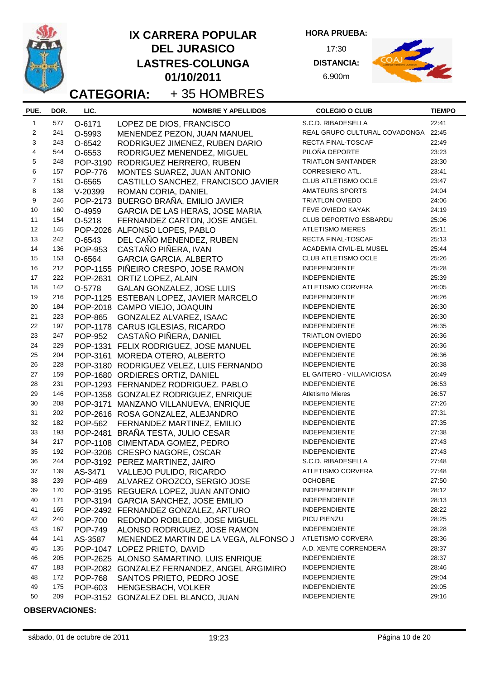|                |            |                | <b>IX CARRERA POPULAR</b><br><b>DEL JURASICO</b><br><b>LASTRES-COLUNGA</b><br>01/10/2011<br>+35 HOMBRES<br><b>CATEGORIA:</b> | <b>HORA PRUEBA:</b><br>17:30<br><b>DISTANCIA:</b><br>6.900m |                |
|----------------|------------|----------------|------------------------------------------------------------------------------------------------------------------------------|-------------------------------------------------------------|----------------|
| PUE.           | DOR.       | LIC.           | <b>NOMBRE Y APELLIDOS</b>                                                                                                    | <b>COLEGIO O CLUB</b>                                       | <b>TIEMPO</b>  |
| $\mathbf{1}$   | 577        | O-6171         | LOPEZ DE DIOS, FRANCISCO                                                                                                     | S.C.D. RIBADESELLA                                          | 22:41          |
| $\overline{2}$ | 241        | O-5993         | MENENDEZ PEZON, JUAN MANUEL                                                                                                  | REAL GRUPO CULTURAL COVADONGA 22:45                         |                |
| 3              | 243        | O-6542         | RODRIGUEZ JIMENEZ, RUBEN DARIO                                                                                               | RECTA FINAL-TOSCAF                                          | 22:49          |
| $\overline{4}$ | 544        | O-6553         | RODRIGUEZ MENENDEZ, MIGUEL                                                                                                   | PILOÑA DEPORTE                                              | 23:23          |
| 5              | 248        | POP-3190       | RODRIGUEZ HERRERO, RUBEN                                                                                                     | <b>TRIATLON SANTANDER</b>                                   | 23:30          |
| 6              | 157        | <b>POP-776</b> | MONTES SUAREZ, JUAN ANTONIO                                                                                                  | CORRESIERO ATL.                                             | 23:41          |
| $\overline{7}$ | 151        | O-6565         | CASTILLO SANCHEZ, FRANCISCO JAVIER                                                                                           | CLUB ATLETISMO OCLE                                         | 23:47          |
| 8              | 138        | $V-20399$      | ROMAN CORIA, DANIEL                                                                                                          | <b>AMATEURS SPORTS</b>                                      | 24:04          |
| 9              | 246        | POP-2173       | BUERGO BRAÑA, EMILIO JAVIER                                                                                                  | <b>TRIATLON OVIEDO</b>                                      | 24:06          |
| 10             | 160        | O-4959         | GARCIA DE LAS HERAS, JOSE MARIA                                                                                              | FEVE OVIEDO KAYAK                                           | 24:19          |
| 11             | 154        | O-5218         | FERNANDEZ CARTON, JOSE ANGEL                                                                                                 | <b>CLUB DEPORTIVO ESBARDU</b>                               | 25:06          |
| 12             | 145        |                | POP-2026 ALFONSO LOPES, PABLO                                                                                                | <b>ATLETISMO MIERES</b>                                     | 25:11          |
| 13             | 242        | O-6543         | DEL CAÑO MENENDEZ, RUBEN                                                                                                     | <b>RECTA FINAL-TOSCAF</b>                                   | 25:13          |
| 14             | 136        | POP-953        | CASTAÑO PIÑERA, IVAN                                                                                                         | ACADEMIA CIVIL-EL MUSEL                                     | 25:44          |
| 15             | 153        | O-6564         | <b>GARCIA GARCIA, ALBERTO</b>                                                                                                | <b>CLUB ATLETISMO OCLE</b>                                  | 25:26          |
| 16             | 212        |                | POP-1155 PIÑEIRO CRESPO, JOSE RAMON                                                                                          | INDEPENDIENTE                                               | 25:28          |
| 17             | 222        |                | POP-2631 ORTIZ LOPEZ, ALAIN                                                                                                  | INDEPENDIENTE                                               | 25:39          |
| 18             | 142        | O-5778         | GALAN GONZALEZ, JOSE LUIS                                                                                                    | <b>ATLETISMO CORVERA</b>                                    | 26:05          |
| 19             | 216        |                | POP-1125 ESTEBAN LOPEZ, JAVIER MARCELO                                                                                       | <b>INDEPENDIENTE</b>                                        | 26:26          |
| 20             | 184        |                | POP-2018 CAMPO VIEJO, JOAQUIN                                                                                                | <b>INDEPENDIENTE</b>                                        | 26:30          |
| 21             | 223        | <b>POP-865</b> | GONZALEZ ALVAREZ, ISAAC                                                                                                      | <b>INDEPENDIENTE</b>                                        | 26:30          |
| 22             | 197        |                | POP-1178 CARUS IGLESIAS, RICARDO                                                                                             | INDEPENDIENTE                                               | 26:35          |
| 23             | 247        | <b>POP-952</b> | CASTAÑO PIÑERA, DANIEL                                                                                                       | TRIATLON OVIEDO                                             | 26:36          |
| 24             | 229        |                | POP-1331 FELIX RODRIGUEZ, JOSE MANUEL                                                                                        | <b>INDEPENDIENTE</b>                                        | 26:36          |
| 25             | 204        |                | POP-3161 MOREDA OTERO, ALBERTO                                                                                               | INDEPENDIENTE                                               | 26:36          |
| 26             | 228        |                | POP-3180 RODRIGUEZ VELEZ, LUIS FERNANDO                                                                                      | INDEPENDIENTE                                               | 26:38          |
| 27             | 159        |                | POP-1680 ORDIERES ORTIZ, DANIEL                                                                                              | EL GAITERO - VILLAVICIOSA                                   | 26:49          |
| 28             | 231        |                | POP-1293 FERNANDEZ RODRIGUEZ. PABLO                                                                                          | <b>INDEPENDIENTE</b>                                        | 26:53          |
| 29             | 146        |                | POP-1358 GONZALEZ RODRIGUEZ, ENRIQUE                                                                                         | <b>Atletismo Mieres</b>                                     | 26:57          |
| 30             | 208        |                | POP-3171 MANZANO VILLANUEVA, ENRIQUE                                                                                         | <b>INDEPENDIENTE</b>                                        | 27:26          |
| 31             | 202        |                | POP-2616 ROSA GONZALEZ, ALEJANDRO                                                                                            | <b>INDEPENDIENTE</b>                                        | 27:31          |
| 32             | 182        |                | POP-562 FERNANDEZ MARTINEZ, EMILIO                                                                                           | <b>INDEPENDIENTE</b>                                        | 27:35          |
| 33             | 193        |                | POP-2481 BRAÑA TESTA, JULIO CESAR                                                                                            | <b>INDEPENDIENTE</b>                                        | 27:38          |
| 34             | 217        |                | POP-1108 CIMENTADA GOMEZ, PEDRO                                                                                              | <b>INDEPENDIENTE</b>                                        | 27:43          |
| 35             | 192        |                | POP-3206 CRESPO NAGORE, OSCAR                                                                                                | <b>INDEPENDIENTE</b>                                        | 27:43          |
| 36             | 244        |                | POP-3192 PEREZ MARTINEZ, JAIRO                                                                                               | S.C.D. RIBADESELLA                                          | 27:48          |
| 37             | 139        | AS-3471        | VALLEJO PULIDO, RICARDO                                                                                                      | ATLETISMO CORVERA                                           | 27:48          |
| 38             | 239        |                | POP-469 ALVAREZ OROZCO, SERGIO JOSE                                                                                          | <b>OCHOBRE</b>                                              | 27:50          |
| 39             | 170        |                | POP-3195 REGUERA LOPEZ, JUAN ANTONIO                                                                                         | <b>INDEPENDIENTE</b>                                        | 28:12          |
| 40             | 171        |                | POP-3194 GARCIA SANCHEZ, JOSE EMILIO                                                                                         | <b>INDEPENDIENTE</b>                                        | 28:13          |
| 41             | 165        |                | POP-2492 FERNANDEZ GONZALEZ, ARTURO                                                                                          | <b>INDEPENDIENTE</b>                                        | 28:22          |
| 42             | 240        | <b>POP-700</b> | REDONDO ROBLEDO, JOSE MIGUEL                                                                                                 | PICU PIENZU                                                 | 28:25          |
| 43             | 167        | <b>POP-749</b> | ALONSO RODRIGUEZ, JOSE RAMON                                                                                                 | <b>INDEPENDIENTE</b>                                        | 28:28          |
| 44             | 141        | AS-3587        | MENENDEZ MARTIN DE LA VEGA, ALFONSO J                                                                                        | ATLETISMO CORVERA                                           | 28:36          |
| 45             | 135        |                | POP-1047 LOPEZ PRIETO, DAVID                                                                                                 | A.D. XENTE CORRENDERA                                       | 28:37          |
| 46             | 205        |                | POP-2625 ALONSO SAMARTINO, LUIS ENRIQUE                                                                                      | <b>INDEPENDIENTE</b><br>INDEPENDIENTE                       | 28:37          |
| 47             | 183        |                | POP-2082 GONZALEZ FERNANDEZ, ANGEL ARGIMIRO                                                                                  |                                                             | 28:46          |
| 48             | 172        | <b>POP-768</b> | SANTOS PRIETO, PEDRO JOSE                                                                                                    | <b>INDEPENDIENTE</b>                                        | 29:04          |
| 49<br>50       | 175<br>209 | POP-603        | HENGESBACH, VOLKER<br>POP-3152 GONZALEZ DEL BLANCO, JUAN                                                                     | <b>INDEPENDIENTE</b><br><b>INDEPENDIENTE</b>                | 29:05<br>29:16 |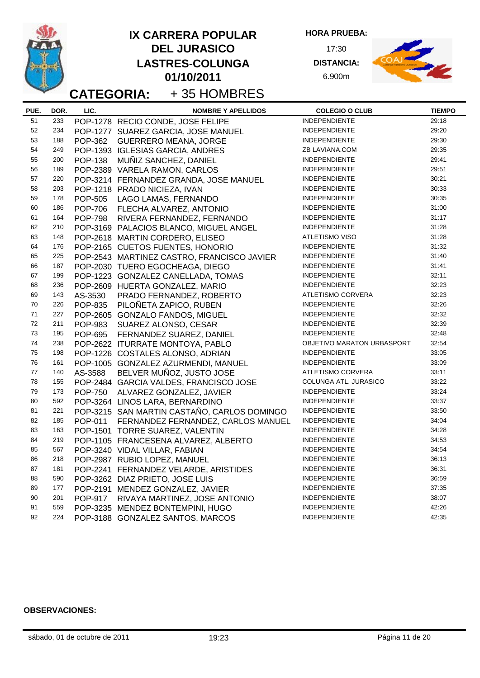|      |      |                   |                                 | <b>IX CARRERA POPULAR</b>                   | <b>HORA PRUEBA:</b>        |               |
|------|------|-------------------|---------------------------------|---------------------------------------------|----------------------------|---------------|
|      |      |                   |                                 | <b>DEL JURASICO</b>                         | 17:30                      |               |
|      |      |                   |                                 | <b>LASTRES-COLUNGA</b>                      | <b>DISTANCIA:</b>          |               |
|      |      |                   |                                 | 01/10/2011                                  | 6.900m                     |               |
|      |      |                   |                                 |                                             |                            |               |
|      |      | <b>CATEGORIA:</b> |                                 | +35 HOMBRES                                 |                            |               |
| PUE. | DOR. | LIC.              |                                 | <b>NOMBRE Y APELLIDOS</b>                   | <b>COLEGIO O CLUB</b>      | <b>TIEMPO</b> |
| 51   | 233  |                   |                                 | POP-1278 RECIO CONDE, JOSE FELIPE           | <b>INDEPENDIENTE</b>       | 29:18         |
| 52   | 234  |                   |                                 | POP-1277 SUAREZ GARCIA, JOSE MANUEL         | <b>INDEPENDIENTE</b>       | 29:20         |
| 53   | 188  | <b>POP-362</b>    |                                 | <b>GUERRERO MEANA, JORGE</b>                | <b>INDEPENDIENTE</b>       | 29:30         |
| 54   | 249  |                   |                                 | POP-1393 IGLESIAS GARCIA, ANDRES            | ZB LAVIANA.COM             | 29:35         |
| 55   | 200  | <b>POP-138</b>    |                                 | MUÑIZ SANCHEZ, DANIEL                       | <b>INDEPENDIENTE</b>       | 29:41         |
| 56   | 189  |                   |                                 | POP-2389 VARELA RAMON, CARLOS               | <b>INDEPENDIENTE</b>       | 29:51         |
| 57   | 220  |                   |                                 | POP-3214 FERNANDEZ GRANDA, JOSE MANUEL      | <b>INDEPENDIENTE</b>       | 30:21         |
| 58   | 203  |                   | POP-1218 PRADO NICIEZA, IVAN    |                                             | <b>INDEPENDIENTE</b>       | 30:33         |
| 59   | 178  |                   |                                 | POP-505 LAGO LAMAS, FERNANDO                | <b>INDEPENDIENTE</b>       | 30:35         |
| 60   | 186  |                   |                                 | POP-706 FLECHA ALVAREZ, ANTONIO             | <b>INDEPENDIENTE</b>       | 31:00         |
| 61   | 164  | <b>POP-798</b>    |                                 | RIVERA FERNANDEZ, FERNANDO                  | <b>INDEPENDIENTE</b>       | 31:17         |
| 62   | 210  |                   |                                 | POP-3169 PALACIOS BLANCO, MIGUEL ANGEL      | <b>INDEPENDIENTE</b>       | 31:28         |
| 63   | 148  |                   |                                 | POP-2618 MARTIN CORDERO, ELISEO             | ATLETISMO VISO             | 31:28         |
| 64   | 176  |                   |                                 | POP-2165 CUETOS FUENTES, HONORIO            | <b>INDEPENDIENTE</b>       | 31:32         |
| 65   | 225  |                   |                                 | POP-2543 MARTINEZ CASTRO, FRANCISCO JAVIER  | <b>INDEPENDIENTE</b>       | 31:40         |
| 66   | 187  |                   |                                 | POP-2030 TUERO EGOCHEAGA, DIEGO             | <b>INDEPENDIENTE</b>       | 31:41         |
| 67   | 199  |                   |                                 | POP-1223 GONZALEZ CANELLADA, TOMAS          | <b>INDEPENDIENTE</b>       | 32:11         |
| 68   | 236  |                   |                                 | POP-2609 HUERTA GONZALEZ, MARIO             | <b>INDEPENDIENTE</b>       | 32:23         |
| 69   | 143  | AS-3530           |                                 | PRADO FERNANDEZ, ROBERTO                    | ATLETISMO CORVERA          | 32:23         |
| 70   | 226  | <b>POP-835</b>    |                                 | PILOÑETA ZAPICO, RUBEN                      | <b>INDEPENDIENTE</b>       | 32:26         |
| 71   | 227  |                   |                                 | POP-2605 GONZALO FANDOS, MIGUEL             | <b>INDEPENDIENTE</b>       | 32:32         |
| 72   | 211  | <b>POP-983</b>    |                                 | SUAREZ ALONSO, CESAR                        | <b>INDEPENDIENTE</b>       | 32:39         |
| 73   | 195  | <b>POP-695</b>    |                                 | FERNANDEZ SUAREZ, DANIEL                    | <b>INDEPENDIENTE</b>       | 32:48         |
| 74   | 238  |                   |                                 | POP-2622 ITURRATE MONTOYA, PABLO            | OBJETIVO MARATON URBASPORT | 32:54         |
| 75   | 198  |                   |                                 | POP-1226 COSTALES ALONSO, ADRIAN            | <b>INDEPENDIENTE</b>       | 33:05         |
| 76   | 161  |                   |                                 | POP-1005 GONZALEZ AZURMENDI, MANUEL         | <b>INDEPENDIENTE</b>       | 33:09         |
| 77   | 140  | AS-3588           |                                 | BELVER MUÑOZ, JUSTO JOSE                    | ATLETISMO CORVERA          | 33:11         |
| 78   | 155  |                   |                                 | POP-2484 GARCIA VALDES, FRANCISCO JOSE      | COLUNGA ATL. JURASICO      | 33:22         |
| 79   | 173  | <b>POP-750</b>    |                                 | ALVAREZ GONZALEZ, JAVIER                    | <b>INDEPENDIENTE</b>       | 33:24         |
| 80   | 592  |                   |                                 | POP-3264 LINOS LARA, BERNARDINO             | <b>INDEPENDIENTE</b>       | 33:37         |
| 81   | 221  |                   |                                 | POP-3215 SAN MARTIN CASTAÑO, CARLOS DOMINGO | <b>INDEPENDIENTE</b>       | 33:50         |
| 82   | 185  | <b>POP-011</b>    |                                 | FERNANDEZ FERNANDEZ, CARLOS MANUEL          | <b>INDEPENDIENTE</b>       | 34:04         |
| 83   | 163  |                   |                                 | POP-1501 TORRE SUAREZ, VALENTIN             | <b>INDEPENDIENTE</b>       | 34:28         |
| 84   | 219  |                   |                                 | POP-1105 FRANCESENA ALVAREZ, ALBERTO        | <b>INDEPENDIENTE</b>       | 34:53         |
| 85   | 567  |                   | POP-3240 VIDAL VILLAR, FABIAN   |                                             | <b>INDEPENDIENTE</b>       | 34:54         |
| 86   | 218  |                   | POP-2987 RUBIO LOPEZ, MANUEL    |                                             | <b>INDEPENDIENTE</b>       | 36:13         |
| 87   | 181  |                   |                                 | POP-2241 FERNANDEZ VELARDE, ARISTIDES       | <b>INDEPENDIENTE</b>       | 36:31         |
| 88   | 590  |                   | POP-3262 DIAZ PRIETO, JOSE LUIS |                                             | <b>INDEPENDIENTE</b>       | 36:59         |
| 89   | 177  |                   |                                 | POP-2191 MENDEZ GONZALEZ, JAVIER            | <b>INDEPENDIENTE</b>       | 37:35         |
| 90   | 201  | <b>POP-917</b>    |                                 | RIVAYA MARTINEZ, JOSE ANTONIO               | <b>INDEPENDIENTE</b>       | 38:07         |
| 91   | 559  |                   |                                 | POP-3235 MENDEZ BONTEMPINI, HUGO            | <b>INDEPENDIENTE</b>       | 42:26         |
| 92   | 224  |                   |                                 | POP-3188 GONZALEZ SANTOS, MARCOS            | <b>INDEPENDIENTE</b>       | 42:35         |
|      |      |                   |                                 |                                             |                            |               |

L,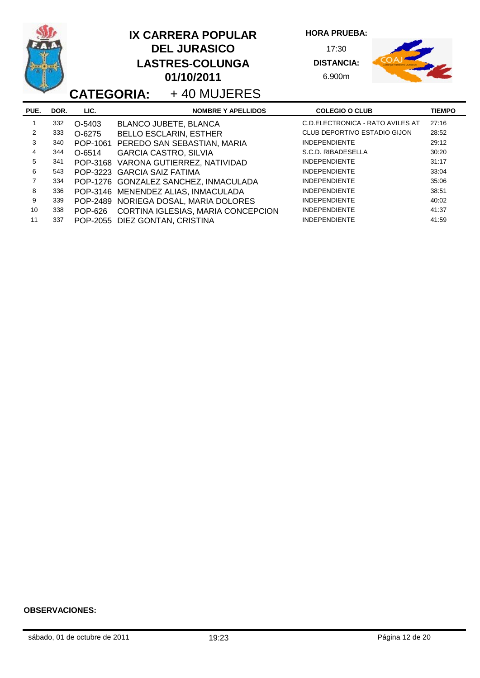|      |      |          | <b>IX CARRERA POPULAR</b><br><b>DEL JURASICO</b><br><b>LASTRES-COLUNGA</b><br>01/10/2011<br><b>CATEGORIA:</b> +40 MUJERES | <b>HORA PRUEBA:</b><br>17:30<br><b>DISTANCIA:</b><br>6.900m |               |
|------|------|----------|---------------------------------------------------------------------------------------------------------------------------|-------------------------------------------------------------|---------------|
| PUE. | DOR. | LIC.     | <b>NOMBRE Y APELLIDOS</b>                                                                                                 | <b>COLEGIO O CLUB</b>                                       | <b>TIEMPO</b> |
|      | 332  | O-5403   | <b>BLANCO JUBETE, BLANCA</b>                                                                                              | C.D. ELECTRONICA - RATO AVILES AT                           | 27:16         |
| 2    | 333  | O-6275   | <b>BELLO ESCLARIN, ESTHER</b>                                                                                             | CLUB DEPORTIVO ESTADIO GIJON                                | 28:52         |
| 3    | 340  | POP-1061 | PEREDO SAN SEBASTIAN, MARIA                                                                                               | <b>INDEPENDIENTE</b>                                        | 29:12         |
| 4    | 344  | O-6514   | <b>GARCIA CASTRO, SILVIA</b>                                                                                              | S.C.D. RIBADESELLA                                          | 30:20         |
| 5    | 341  |          | POP-3168 VARONA GUTIERREZ, NATIVIDAD                                                                                      | <b>INDEPENDIENTE</b>                                        | 31:17         |
| 6    | 543  |          | POP-3223 GARCIA SAIZ FATIMA                                                                                               | <b>INDEPENDIENTE</b>                                        | 33:04         |
| 7    | 334  |          | POP-1276 GONZALEZ SANCHEZ, INMACULADA                                                                                     | <b>INDEPENDIENTE</b>                                        | 35:06         |
| 8    | 336  |          | POP-3146 MENENDEZ ALIAS, INMACULADA                                                                                       | <b>INDEPENDIENTE</b>                                        | 38:51         |
| 9    | 339  |          | POP-2489 NORIEGA DOSAL, MARIA DOLORES                                                                                     | <b>INDEPENDIENTE</b>                                        | 40:02         |
| 10   | 338  | POP-626  | CORTINA IGLESIAS, MARIA CONCEPCION                                                                                        | <b>INDEPENDIENTE</b>                                        | 41:37         |
| 11   | 337  |          | POP-2055 DIEZ GONTAN, CRISTINA                                                                                            | <b>INDEPENDIENTE</b>                                        | 41:59         |

L,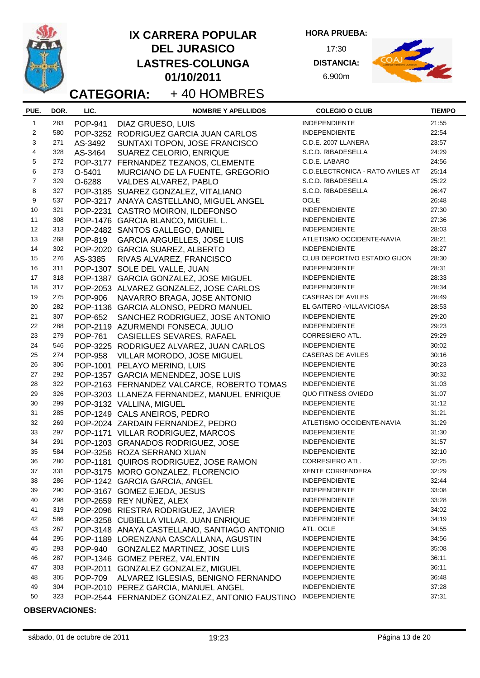|                |      |                | <b>IX CARRERA POPULAR</b><br><b>DEL JURASICO</b><br><b>LASTRES-COLUNGA</b><br>01/10/2011<br>+40 HOMBRES<br><b>CATEGORIA:</b> | <b>HORA PRUEBA:</b><br>17:30<br><b>DISTANCIA:</b><br>6.900m |               |
|----------------|------|----------------|------------------------------------------------------------------------------------------------------------------------------|-------------------------------------------------------------|---------------|
| PUE.           | DOR. | LIC.           | <b>NOMBRE Y APELLIDOS</b>                                                                                                    | <b>COLEGIO O CLUB</b>                                       | <b>TIEMPO</b> |
| $\mathbf{1}$   | 283  | <b>POP-941</b> | DIAZ GRUESO, LUIS                                                                                                            | INDEPENDIENTE                                               | 21:55         |
| 2              | 580  |                | POP-3252 RODRIGUEZ GARCIA JUAN CARLOS                                                                                        | <b>INDEPENDIENTE</b>                                        | 22:54         |
| 3              | 271  | AS-3492        | SUNTAXI TOPON, JOSE FRANCISCO                                                                                                | C.D.E. 2007 LLANERA                                         | 23:57         |
| $\overline{4}$ | 328  | AS-3464        | SUAREZ CELORIO, ENRIQUE                                                                                                      | S.C.D. RIBADESELLA                                          | 24:29         |
| 5              | 272  |                | POP-3177 FERNANDEZ TEZANOS, CLEMENTE                                                                                         | C.D.E. LABARO                                               | 24:56         |
| 6              | 273  | O-5401         | MURCIANO DE LA FUENTE, GREGORIO                                                                                              | C.D.ELECTRONICA - RATO AVILES AT                            | 25:14         |
| $\overline{7}$ | 329  | O-6288         | VALDES ALVAREZ, PABLO                                                                                                        | S.C.D. RIBADESELLA                                          | 25:22         |
| 8              | 327  |                | POP-3185 SUAREZ GONZALEZ, VITALIANO                                                                                          | S.C.D. RIBADESELLA                                          | 26:47         |
| 9              | 537  |                | POP-3217 ANAYA CASTELLANO, MIGUEL ANGEL                                                                                      | OCLE                                                        | 26:48         |
| 10             | 321  |                | POP-2231 CASTRO MOIRON, ILDEFONSO                                                                                            | <b>INDEPENDIENTE</b>                                        | 27:30         |
| 11             | 308  |                | POP-1476 GARCIA BLANCO, MIGUEL L.                                                                                            | <b>INDEPENDIENTE</b>                                        | 27:36         |
| 12             | 313  |                | POP-2482 SANTOS GALLEGO, DANIEL                                                                                              | <b>INDEPENDIENTE</b>                                        | 28:03         |
| 13             | 268  | POP-819        | <b>GARCIA ARGUELLES, JOSE LUIS</b>                                                                                           | ATLETISMO OCCIDENTE-NAVIA                                   | 28:21         |
| 14             | 302  |                | POP-2020 GARCIA SUAREZ, ALBERTO                                                                                              | <b>INDEPENDIENTE</b>                                        | 28:27         |
| 15             | 276  | AS-3385        | RIVAS ALVAREZ, FRANCISCO                                                                                                     | CLUB DEPORTIVO ESTADIO GIJON                                | 28:30         |
| 16             | 311  |                | POP-1307 SOLE DEL VALLE, JUAN                                                                                                | <b>INDEPENDIENTE</b>                                        | 28:31         |
| 17             | 318  |                | POP-1387 GARCIA GONZALEZ, JOSE MIGUEL                                                                                        | <b>INDEPENDIENTE</b>                                        | 28:33         |
| 18             | 317  |                | POP-2053 ALVAREZ GONZALEZ, JOSE CARLOS                                                                                       | <b>INDEPENDIENTE</b>                                        | 28:34         |
| 19             | 275  | <b>POP-906</b> | NAVARRO BRAGA, JOSE ANTONIO                                                                                                  | <b>CASERAS DE AVILES</b>                                    | 28:49         |
| 20             | 282  |                | POP-1136 GARCIA ALONSO, PEDRO MANUEL                                                                                         | EL GAITERO - VILLAVICIOSA                                   | 28:53         |
| 21             | 307  | <b>POP-652</b> | SANCHEZ RODRIGUEZ, JOSE ANTONIO                                                                                              | INDEPENDIENTE                                               | 29:20         |
| 22             | 288  |                | POP-2119 AZURMENDI FONSECA, JULIO                                                                                            | <b>INDEPENDIENTE</b>                                        | 29:23         |
| 23             | 279  | POP-761        | CASIELLES SEVARES, RAFAEL                                                                                                    | <b>CORRESIERO ATL.</b>                                      | 29:29         |
| 24             | 546  |                | POP-3225 RODRIGUEZ ALVAREZ, JUAN CARLOS                                                                                      | INDEPENDIENTE                                               | 30:02         |
| 25             | 274  | <b>POP-958</b> | VILLAR MORODO, JOSE MIGUEL                                                                                                   | <b>CASERAS DE AVILES</b>                                    | 30:16         |
| 26             | 306  |                | POP-1001 PELAYO MERINO, LUIS                                                                                                 | <b>INDEPENDIENTE</b>                                        | 30:23         |
| 27             | 292  |                | POP-1357 GARCIA MENENDEZ, JOSE LUIS                                                                                          | <b>INDEPENDIENTE</b>                                        | 30:32         |
| 28             | 322  |                | POP-2163 FERNANDEZ VALCARCE, ROBERTO TOMAS                                                                                   | INDEPENDIENTE                                               | 31:03         |
| 29             | 326  |                | POP-3203 LLANEZA FERNANDEZ, MANUEL ENRIQUE                                                                                   | QUO FITNESS OVIEDO                                          | 31:07         |
| 30             | 299  |                | POP-3132 VALLINA, MIGUEL                                                                                                     | <b>INDEPENDIENTE</b>                                        | 31:12         |
| 31             | 285  |                | POP-1249 CALS ANEIROS, PEDRO                                                                                                 | <b>INDEPENDIENTE</b>                                        | 31:21         |
| 32             | 269  |                | POP-2024 ZARDAIN FERNANDEZ, PEDRO                                                                                            | ATLETISMO OCCIDENTE-NAVIA                                   | 31:29         |
| 33             | 297  |                | POP-1171 VILLAR RODRIGUEZ, MARCOS                                                                                            | <b>INDEPENDIENTE</b>                                        | 31:30         |
| 34             | 291  |                | POP-1203 GRANADOS RODRIGUEZ, JOSE                                                                                            | <b>INDEPENDIENTE</b>                                        | 31:57         |
| 35             | 584  |                | POP-3256 ROZA SERRANO XUAN                                                                                                   | <b>INDEPENDIENTE</b>                                        | 32:10         |
| 36             | 280  |                | POP-1181 QUIROS RODRIGUEZ, JOSE RAMON                                                                                        | CORRESIERO ATL.                                             | 32:25         |
| 37             | 331  |                | POP-3175 MORO GONZALEZ, FLORENCIO                                                                                            | <b>XENTE CORRENDERA</b>                                     | 32:29         |
| 38             | 286  |                | POP-1242 GARCIA GARCIA, ANGEL                                                                                                | <b>INDEPENDIENTE</b>                                        | 32:44         |
| 39             | 290  |                | POP-3167 GOMEZ EJEDA, JESUS                                                                                                  | <b>INDEPENDIENTE</b>                                        | 33:08         |
| 40             | 298  |                | POP-2659 REY NUÑEZ, ALEX                                                                                                     | <b>INDEPENDIENTE</b>                                        | 33:28         |
| 41             | 319  |                | POP-2096 RIESTRA RODRIGUEZ, JAVIER                                                                                           | <b>INDEPENDIENTE</b>                                        | 34:02         |
| 42             | 586  |                | POP-3258 CUBIELLA VILLAR, JUAN ENRIQUE                                                                                       | <b>INDEPENDIENTE</b>                                        | 34:19         |
| 43             | 267  |                | POP-3148 ANAYA CASTELLANO, SANTIAGO ANTONIO                                                                                  | ATL. OCLE                                                   | 34:55         |
| 44             | 295  |                | POP-1189 LORENZANA CASCALLANA, AGUSTIN                                                                                       | <b>INDEPENDIENTE</b>                                        | 34:56         |
| 45             | 293  |                | POP-940 GONZALEZ MARTINEZ, JOSE LUIS                                                                                         | <b>INDEPENDIENTE</b>                                        | 35:08         |
| 46             | 287  |                | POP-1346 GOMEZ PEREZ, VALENTIN                                                                                               | <b>INDEPENDIENTE</b>                                        | 36:11         |
| 47             | 303  |                | POP-2011 GONZALEZ GONZALEZ, MIGUEL                                                                                           | <b>INDEPENDIENTE</b>                                        | 36:11         |
| 48             | 305  | <b>POP-709</b> | ALVAREZ IGLESIAS, BENIGNO FERNANDO                                                                                           | <b>INDEPENDIENTE</b>                                        | 36:48         |
| 49             | 304  |                | POP-2010 PEREZ GARCIA, MANUEL ANGEL                                                                                          | <b>INDEPENDIENTE</b>                                        | 37:28         |
| 50             | 323  |                | POP-2544 FERNANDEZ GONZALEZ, ANTONIO FAUSTINO                                                                                | <b>INDEPENDIENTE</b>                                        | 37:31         |

-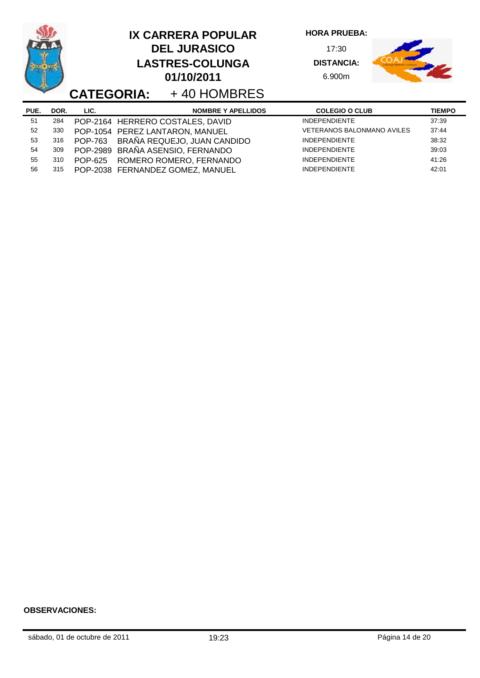|      |      | <b>CATEGORIA:</b> | <b>IX CARRERA POPULAR</b><br><b>DEL JURASICO</b><br><b>LASTRES-COLUNGA</b><br>01/10/2011<br>+40 HOMBRES | <b>HORA PRUEBA:</b><br>17:30<br><b>DISTANCIA:</b><br>6.900m |               |
|------|------|-------------------|---------------------------------------------------------------------------------------------------------|-------------------------------------------------------------|---------------|
| PUE. | DOR. | LIC.              | <b>NOMBRE Y APELLIDOS</b>                                                                               | <b>COLEGIO O CLUB</b>                                       | <b>TIEMPO</b> |
| 51   | 284  |                   | POP-2164 HERRERO COSTALES, DAVID                                                                        | <b>INDEPENDIENTE</b>                                        | 37:39         |
| 52   | 330  |                   | POP-1054 PEREZ LANTARON, MANUEL                                                                         | <b>VETERANOS BALONMANO AVILES</b>                           | 37:44         |
| 53   | 316  | <b>POP-763</b>    | BRAÑA REQUEJO, JUAN CANDIDO                                                                             | <b>INDEPENDIENTE</b>                                        | 38:32         |
| 54   | 309  |                   | POP-2989 BRAÑA ASENSIO, FERNANDO                                                                        | <b>INDEPENDIENTE</b>                                        | 39:03         |
| 55   | 310  | <b>POP-625</b>    | ROMERO ROMERO, FERNANDO                                                                                 | <b>INDEPENDIENTE</b>                                        | 41:26         |
| 56   | 315  |                   | POP-2038 FERNANDEZ GOMEZ, MANUEL                                                                        | <b>INDEPENDIENTE</b>                                        | 42:01         |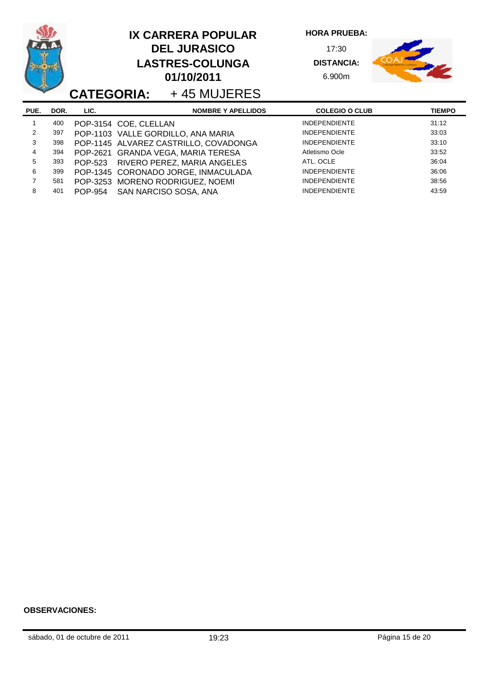|      |      |                |                       | <b>IX CARRERA POPULAR</b><br><b>DEL JURASICO</b><br><b>LASTRES-COLUNGA</b><br>01/10/2011<br><b>CATEGORIA:</b> +45 MUJERES | <b>HORA PRUEBA:</b><br>17:30<br><b>DISTANCIA:</b><br>6.900m |               |
|------|------|----------------|-----------------------|---------------------------------------------------------------------------------------------------------------------------|-------------------------------------------------------------|---------------|
| PUE. | DOR. | LIC.           |                       | <b>NOMBRE Y APELLIDOS</b>                                                                                                 | <b>COLEGIO O CLUB</b>                                       | <b>TIEMPO</b> |
|      | 400  |                | POP-3154 COE, CLELLAN |                                                                                                                           | <b>INDEPENDIENTE</b>                                        | 31:12         |
| 2    | 397  |                |                       | POP-1103 VALLE GORDILLO, ANA MARIA                                                                                        | <b>INDEPENDIENTE</b>                                        | 33:03         |
| 3    | 398  |                |                       | POP-1145 ALVAREZ CASTRILLO, COVADONGA                                                                                     | <b>INDEPENDIENTE</b>                                        | 33:10         |
| 4    | 394  |                |                       | POP-2621 GRANDA VEGA, MARIA TERESA                                                                                        | Atletismo Ocle                                              | 33:52         |
| 5    | 393  | POP-523        |                       | RIVERO PEREZ, MARIA ANGELES                                                                                               | ATL. OCLE                                                   | 36:04         |
| 6    | 399  |                |                       | POP-1345 CORONADO JORGE, INMACULADA                                                                                       | <b>INDEPENDIENTE</b>                                        | 36:06         |
| 7    | 581  |                |                       | POP-3253 MORENO RODRIGUEZ, NOEMI                                                                                          | <b>INDEPENDIENTE</b>                                        | 38:56         |
| 8    | 401  | <b>POP-954</b> |                       | SAN NARCISO SOSA, ANA                                                                                                     | <b>INDEPENDIENTE</b>                                        | 43:59         |

ò.

L,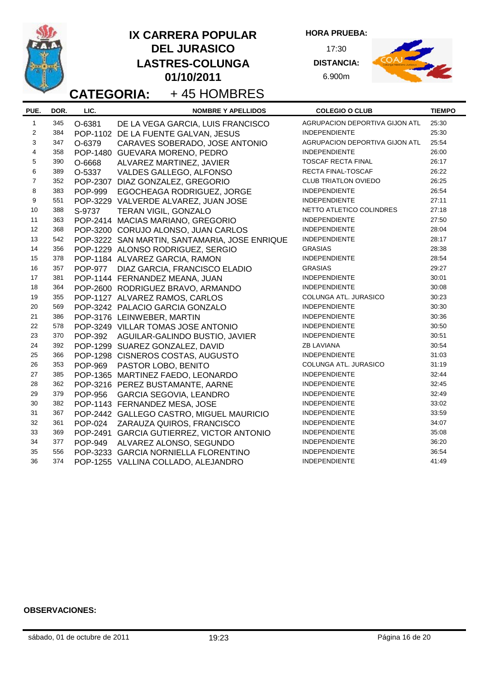|                         |      |                | <b>IX CARRERA POPULAR</b><br><b>DEL JURASICO</b><br><b>LASTRES-COLUNGA</b><br>01/10/2011<br>+45 HOMBRES<br><b>CATEGORIA:</b> | <b>HORA PRUEBA:</b><br>17:30<br><b>DISTANCIA:</b><br>6.900m |               |
|-------------------------|------|----------------|------------------------------------------------------------------------------------------------------------------------------|-------------------------------------------------------------|---------------|
| PUE.                    | DOR. | LIC.           | <b>NOMBRE Y APELLIDOS</b>                                                                                                    | <b>COLEGIO O CLUB</b>                                       | <b>TIEMPO</b> |
| $\mathbf{1}$            | 345  | O-6381         | DE LA VEGA GARCIA, LUIS FRANCISCO                                                                                            | <b>AGRUPACION DEPORTIVA GIJON ATL</b>                       | 25:30         |
| $\overline{2}$          | 384  |                | POP-1102 DE LA FUENTE GALVAN, JESUS                                                                                          | <b>INDEPENDIENTE</b>                                        | 25:30         |
| 3                       | 347  | O-6379         | CARAVES SOBERADO, JOSE ANTONIO                                                                                               | AGRUPACION DEPORTIVA GIJON ATL                              | 25:54         |
| $\overline{\mathbf{4}}$ | 358  |                | POP-1480 GUEVARA MORENO, PEDRO                                                                                               | <b>INDEPENDIENTE</b>                                        | 26:00         |
| 5                       | 390  | O-6668         | ALVAREZ MARTINEZ, JAVIER                                                                                                     | <b>TOSCAF RECTA FINAL</b>                                   | 26:17         |
| 6                       | 389  | O-5337         | VALDES GALLEGO, ALFONSO                                                                                                      | RECTA FINAL-TOSCAF                                          | 26:22         |
| $\overline{7}$          | 352  |                | POP-2307 DIAZ GONZALEZ, GREGORIO                                                                                             | <b>CLUB TRIATLON OVIEDO</b>                                 | 26:25         |
| 8                       | 383  | <b>POP-999</b> | EGOCHEAGA RODRIGUEZ, JORGE                                                                                                   | <b>INDEPENDIENTE</b>                                        | 26:54         |
| 9                       | 551  |                | POP-3229 VALVERDE ALVAREZ, JUAN JOSE                                                                                         | <b>INDEPENDIENTE</b>                                        | 27:11         |
| 10                      | 388  | S-9737         | TERAN VIGIL, GONZALO                                                                                                         | NETTO ATLETICO COLINDRES                                    | 27:18         |
| 11                      | 363  |                | POP-2414 MACIAS MARIANO, GREGORIO                                                                                            | <b>INDEPENDIENTE</b>                                        | 27:50         |
| 12                      | 368  |                | POP-3200 CORUJO ALONSO, JUAN CARLOS                                                                                          | <b>INDEPENDIENTE</b>                                        | 28:04         |
| 13                      | 542  |                | POP-3222 SAN MARTIN, SANTAMARIA, JOSE ENRIQUE                                                                                | <b>INDEPENDIENTE</b>                                        | 28:17         |
| 14                      | 356  |                | POP-1229 ALONSO RODRIGUEZ, SERGIO                                                                                            | <b>GRASIAS</b>                                              | 28:38         |
| 15                      | 378  |                | POP-1184 ALVAREZ GARCIA, RAMON                                                                                               | <b>INDEPENDIENTE</b>                                        | 28:54         |
| 16                      | 357  | <b>POP-977</b> | DIAZ GARCIA, FRANCISCO ELADIO                                                                                                | <b>GRASIAS</b>                                              | 29:27         |
| 17                      | 381  |                | POP-1144 FERNANDEZ MEANA, JUAN                                                                                               | <b>INDEPENDIENTE</b>                                        | 30:01         |
| 18                      | 364  |                | POP-2600 RODRIGUEZ BRAVO, ARMANDO                                                                                            | <b>INDEPENDIENTE</b>                                        | 30:08         |
| 19                      | 355  |                | POP-1127 ALVAREZ RAMOS, CARLOS                                                                                               | COLUNGA ATL. JURASICO                                       | 30:23         |
| 20                      | 569  |                | POP-3242 PALACIO GARCIA GONZALO                                                                                              | <b>INDEPENDIENTE</b>                                        | 30:30         |
| 21                      | 386  |                | POP-3176 LEINWEBER, MARTIN                                                                                                   | <b>INDEPENDIENTE</b>                                        | 30:36         |
| 22                      | 578  |                | POP-3249 VILLAR TOMAS JOSE ANTONIO                                                                                           | <b>INDEPENDIENTE</b>                                        | 30:50         |
| 23                      | 370  | <b>POP-392</b> | AGUILAR-GALINDO BUSTIO, JAVIER                                                                                               | <b>INDEPENDIENTE</b>                                        | 30:51         |
| 24                      | 392  |                | POP-1299 SUAREZ GONZALEZ, DAVID                                                                                              | <b>ZB LAVIANA</b>                                           | 30:54         |
| 25                      | 366  |                | POP-1298 CISNEROS COSTAS, AUGUSTO                                                                                            | <b>INDEPENDIENTE</b>                                        | 31:03         |
| 26                      | 353  | <b>POP-969</b> | PASTOR LOBO, BENITO                                                                                                          | COLUNGA ATL. JURASICO                                       | 31:19         |
| 27                      | 385  |                | POP-1365 MARTINEZ FAEDO, LEONARDO                                                                                            | <b>INDEPENDIENTE</b>                                        | 32:44         |
| 28                      | 362  |                | POP-3216 PEREZ BUSTAMANTE, AARNE                                                                                             | INDEPENDIENTE                                               | 32:45         |
| 29                      | 379  | POP-956        | GARCIA SEGOVIA, LEANDRO                                                                                                      | <b>INDEPENDIENTE</b>                                        | 32:49         |
| 30                      | 382  |                | POP-1143 FERNANDEZ MESA, JOSE                                                                                                | <b>INDEPENDIENTE</b>                                        | 33:02         |
| 31                      | 367  |                | POP-2442 GALLEGO CASTRO, MIGUEL MAURICIO                                                                                     | <b>INDEPENDIENTE</b>                                        | 33:59         |
| 32                      | 361  |                | POP-024 ZARAUZA QUIROS, FRANCISCO                                                                                            | <b>INDEPENDIENTE</b>                                        | 34:07         |
| 33                      | 369  |                | POP-2491 GARCIA GUTIERREZ, VICTOR ANTONIO                                                                                    | <b>INDEPENDIENTE</b>                                        | 35:08         |
| 34                      | 377  | <b>POP-949</b> | ALVAREZ ALONSO, SEGUNDO                                                                                                      | <b>INDEPENDIENTE</b>                                        | 36:20         |
| 35                      | 556  |                | POP-3233 GARCIA NORNIELLA FLORENTINO                                                                                         | <b>INDEPENDIENTE</b>                                        | 36:54         |
| 36                      | 374  |                | POP-1255 VALLINA COLLADO, ALEJANDRO                                                                                          | <b>INDEPENDIENTE</b>                                        | 41:49         |

.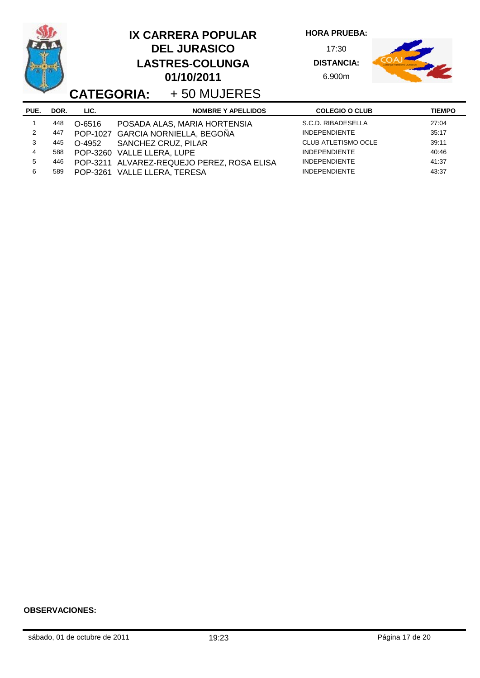|      |      |          |                                   | <b>IX CARRERA POPULAR</b><br><b>DEL JURASICO</b><br><b>LASTRES-COLUNGA</b><br>01/10/2011<br><b>CATEGORIA:</b> +50 MUJERES | <b>HORA PRUEBA:</b><br>17:30<br><b>DISTANCIA:</b><br>6.900m |               |
|------|------|----------|-----------------------------------|---------------------------------------------------------------------------------------------------------------------------|-------------------------------------------------------------|---------------|
| PUE. | DOR. | LIC.     |                                   | <b>NOMBRE Y APELLIDOS</b>                                                                                                 | <b>COLEGIO O CLUB</b>                                       | <b>TIEMPO</b> |
|      | 448  | O-6516   |                                   | POSADA ALAS, MARIA HORTENSIA                                                                                              | S.C.D. RIBADESELLA                                          | 27:04         |
| 2    | 447  |          | POP-1027 GARCIA NORNIELLA, BEGOÑA |                                                                                                                           | <b>INDEPENDIENTE</b>                                        | 35:17         |
| 3    | 445  | O-4952   | SANCHEZ CRUZ, PILAR               |                                                                                                                           | <b>CLUB ATLETISMO OCLE</b>                                  | 39:11         |
| 4    | 588  | POP-3260 | <b>VALLE LLERA, LUPE</b>          |                                                                                                                           | <b>INDEPENDIENTE</b>                                        | 40:46         |
| 5    | 446  |          |                                   | POP-3211 ALVAREZ-REQUEJO PEREZ, ROSA ELISA                                                                                | <b>INDEPENDIENTE</b>                                        | 41:37         |
| 6    | 589  |          | POP-3261 VALLE LLERA, TERESA      |                                                                                                                           | <b>INDEPENDIENTE</b>                                        | 43:37         |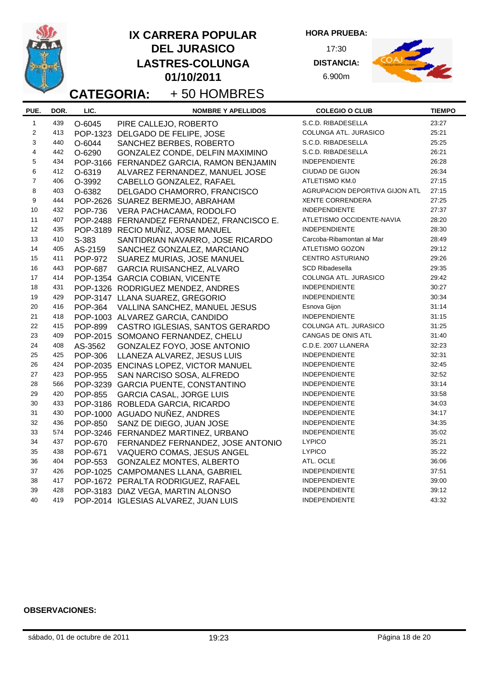|                |            | <b>IX CARRERA POPULAR</b> |                                            |                           | <b>HORA PRUEBA:</b>            |               |
|----------------|------------|---------------------------|--------------------------------------------|---------------------------|--------------------------------|---------------|
|                |            |                           | <b>DEL JURASICO</b>                        |                           | 17:30                          |               |
|                |            |                           | <b>LASTRES-COLUNGA</b>                     |                           | <b>DISTANCIA:</b>              |               |
|                |            |                           | 01/10/2011                                 |                           | 6.900m                         |               |
|                |            |                           |                                            |                           |                                |               |
|                |            | <b>CATEGORIA:</b>         | +50 HOMBRES                                |                           |                                |               |
| PUE.           | DOR.       | LIC.                      |                                            | <b>NOMBRE Y APELLIDOS</b> | <b>COLEGIO O CLUB</b>          | <b>TIEMPO</b> |
| $\mathbf{1}$   | 439        | O-6045                    | PIRE CALLEJO, ROBERTO                      |                           | S.C.D. RIBADESELLA             | 23:27         |
| 2              | 413        | POP-1323                  | DELGADO DE FELIPE, JOSE                    |                           | COLUNGA ATL. JURASICO          | 25:21         |
| 3              | 440        | O-6044                    | SANCHEZ BERBES, ROBERTO                    |                           | S.C.D. RIBADESELLA             | 25:25         |
| $\overline{4}$ | 442        | O-6290                    | GONZALEZ CONDE, DELFIN MAXIMINO            |                           | S.C.D. RIBADESELLA             | 26:21         |
| 5              | 434        |                           | POP-3166 FERNANDEZ GARCIA, RAMON BENJAMIN  |                           | <b>INDEPENDIENTE</b>           | 26:28         |
| 6              | 412        | O-6319                    | ALVAREZ FERNANDEZ, MANUEL JOSE             |                           | CIUDAD DE GIJON                | 26:34         |
| $\overline{7}$ | 406        | O-3992                    | CABELLO GONZALEZ, RAFAEL                   |                           | ATLETISMO KM.0                 | 27:15         |
| 8              | 403        | O-6382                    | DELGADO CHAMORRO, FRANCISCO                |                           | AGRUPACION DEPORTIVA GIJON ATL | 27:15         |
| 9              | 444        |                           | POP-2626 SUAREZ BERMEJO, ABRAHAM           |                           | <b>XENTE CORRENDERA</b>        | 27:25         |
| 10             | 432        | <b>POP-736</b>            | VERA PACHACAMA, RODOLFO                    |                           | <b>INDEPENDIENTE</b>           | 27:37         |
| 11             | 407        |                           | POP-2488 FERNANDEZ FERNANDEZ, FRANCISCO E. |                           | ATLETISMO OCCIDENTE-NAVIA      | 28:20         |
| 12             | 435        |                           | POP-3189 RECIO MUÑIZ, JOSE MANUEL          |                           | <b>INDEPENDIENTE</b>           | 28:30         |
| 13             | 410        | S-383                     | SANTIDRIAN NAVARRO, JOSE RICARDO           |                           | Carcoba-Ribamontan al Mar      | 28:49         |
| 14             | 405        | AS-2159                   | SANCHEZ GONZALEZ, MARCIANO                 |                           | ATLETISMO GOZON                | 29:12         |
| 15             | 411        | <b>POP-972</b>            | SUAREZ MURIAS, JOSE MANUEL                 |                           | CENTRO ASTURIANO               | 29:26         |
| 16             | 443        | <b>POP-687</b>            | <b>GARCIA RUISANCHEZ, ALVARO</b>           |                           | <b>SCD Ribadesella</b>         | 29:35         |
| 17             | 414        |                           | POP-1354 GARCIA COBIAN, VICENTE            |                           | COLUNGA ATL. JURASICO          | 29:42         |
| 18             | 431        |                           | POP-1326 RODRIGUEZ MENDEZ, ANDRES          |                           | <b>INDEPENDIENTE</b>           | 30:27         |
| 19             | 429        |                           | POP-3147 LLANA SUAREZ, GREGORIO            |                           | <b>INDEPENDIENTE</b>           | 30:34         |
| 20             | 416        | <b>POP-364</b>            | VALLINA SANCHEZ, MANUEL JESUS              |                           | Esnova Gijon                   | 31:14         |
| 21             | 418        |                           | POP-1003 ALVAREZ GARCIA, CANDIDO           |                           | <b>INDEPENDIENTE</b>           | 31:15         |
| 22             | 415        | <b>POP-899</b>            | CASTRO IGLESIAS, SANTOS GERARDO            |                           | COLUNGA ATL. JURASICO          | 31:25         |
| 23             | 409        |                           | POP-2015 SOMOANO FERNANDEZ, CHELU          |                           | CANGAS DE ONIS ATL             | 31:40         |
| 24             | 408        | AS-3562                   | GONZALEZ FOYO, JOSE ANTONIO                |                           | C.D.E. 2007 LLANERA            | 32:23         |
| 25             | 425        | <b>POP-306</b>            | LLANEZA ALVAREZ, JESUS LUIS                |                           | <b>INDEPENDIENTE</b>           | 32:31         |
| 26             | 424        |                           | POP-2035 ENCINAS LOPEZ, VICTOR MANUEL      |                           | <b>INDEPENDIENTE</b>           | 32:45         |
| 27             | 423        | <b>POP-955</b>            | SAN NARCISO SOSA, ALFREDO                  |                           | <b>INDEPENDIENTE</b>           | 32:52         |
| 28             | 566        |                           | POP-3239 GARCIA PUENTE, CONSTANTINO        |                           | INDEPENDIENTE                  | 33:14         |
| 29             | 420        |                           | POP-855 GARCIA CASAL, JORGE LUIS           |                           | <b>INDEPENDIENTE</b>           | 33:58         |
| 30             | 433        |                           | POP-3186 ROBLEDA GARCIA, RICARDO           |                           | <b>INDEPENDIENTE</b>           | 34:03         |
| 31             | 430        |                           | POP-1000 AGUADO NUÑEZ, ANDRES              |                           | INDEPENDIENTE                  | 34:17         |
| 32             | 436        | <b>POP-850</b>            | SANZ DE DIEGO, JUAN JOSE                   |                           | <b>INDEPENDIENTE</b>           | 34:35         |
| 33             | 574        |                           | POP-3246 FERNANDEZ MARTINEZ, URBANO        |                           | <b>INDEPENDIENTE</b>           | 35:02         |
| 34             | 437        | <b>POP-670</b>            | FERNANDEZ FERNANDEZ, JOSE ANTONIO          |                           | <b>LYPICO</b>                  | 35:21         |
| 35             | 438        | <b>POP-671</b>            | VAQUERO COMAS, JESUS ANGEL                 |                           | <b>LYPICO</b>                  | 35:22         |
| 36             | 404        | <b>POP-553</b>            |                                            |                           | ATL. OCLE                      | 36:06         |
| 37             |            |                           | <b>GONZALEZ MONTES, ALBERTO</b>            |                           | <b>INDEPENDIENTE</b>           | 37:51         |
| 38             | 426<br>417 |                           | POP-1025 CAMPOMANES LLANA, GABRIEL         |                           | <b>INDEPENDIENTE</b>           | 39:00         |
| 39             | 428        |                           | POP-1672 PERALTA RODRIGUEZ, RAFAEL         |                           | <b>INDEPENDIENTE</b>           | 39:12         |
| 40             |            |                           | POP-3183 DIAZ VEGA, MARTIN ALONSO          |                           | <b>INDEPENDIENTE</b>           |               |
|                | 419        |                           | POP-2014 IGLESIAS ALVAREZ, JUAN LUIS       |                           |                                | 43:32         |

-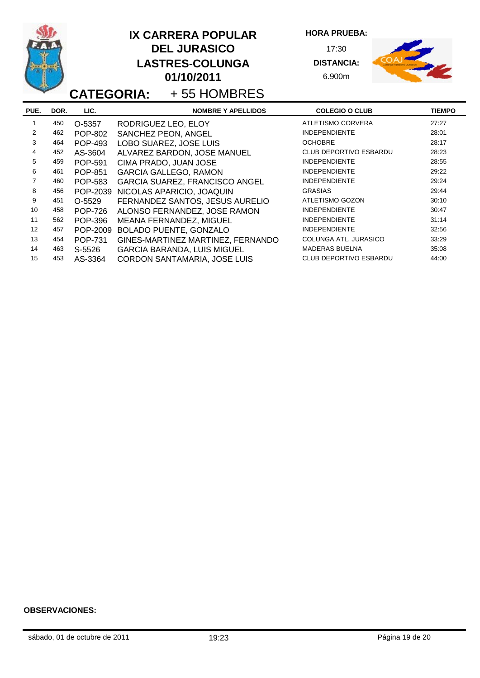|                |      |                | <b>IX CARRERA POPULAR</b><br><b>DEL JURASICO</b><br><b>LASTRES-COLUNGA</b><br>01/10/2011<br><b>CATEGORIA:</b> +55 HOMBRES | <b>HORA PRUEBA:</b><br>17:30<br><b>DISTANCIA:</b><br>6.900m |               |
|----------------|------|----------------|---------------------------------------------------------------------------------------------------------------------------|-------------------------------------------------------------|---------------|
| PUE.           | DOR. | LIC.           | <b>NOMBRE Y APELLIDOS</b>                                                                                                 | <b>COLEGIO O CLUB</b>                                       | <b>TIEMPO</b> |
| 1              | 450  | O-5357         | RODRIGUEZ LEO, ELOY                                                                                                       | ATLETISMO CORVERA                                           | 27:27         |
| $\overline{2}$ | 462  | <b>POP-802</b> | SANCHEZ PEON, ANGEL                                                                                                       | <b>INDEPENDIENTE</b>                                        | 28:01         |
| 3              | 464  | <b>POP-493</b> | LOBO SUAREZ, JOSE LUIS                                                                                                    | <b>OCHOBRE</b>                                              | 28:17         |
| 4              | 452  | AS-3604        | ALVAREZ BARDON, JOSE MANUEL                                                                                               | CLUB DEPORTIVO ESBARDU                                      | 28:23         |
| 5              | 459  | <b>POP-591</b> | CIMA PRADO, JUAN JOSE                                                                                                     | <b>INDEPENDIENTE</b>                                        | 28:55         |
| 6              | 461  | POP-851        | <b>GARCIA GALLEGO, RAMON</b>                                                                                              | <b>INDEPENDIENTE</b>                                        | 29:22         |
| 7              | 460  | <b>POP-583</b> | GARCIA SUAREZ, FRANCISCO ANGEL                                                                                            | <b>INDEPENDIENTE</b>                                        | 29:24         |
| 8              | 456  | POP-2039       | NICOLAS APARICIO, JOAQUIN                                                                                                 | <b>GRASIAS</b>                                              | 29:44         |
| 9              | 451  | O-5529         | FERNANDEZ SANTOS, JESUS AURELIO                                                                                           | ATLETISMO GOZON                                             | 30:10         |
| 10             | 458  | <b>POP-726</b> | ALONSO FERNANDEZ, JOSE RAMON                                                                                              | <b>INDEPENDIENTE</b>                                        | 30:47         |
| 11             | 562  | <b>POP-396</b> | MEANA FERNANDEZ, MIGUEL                                                                                                   | <b>INDEPENDIENTE</b>                                        | 31:14         |
| 12             | 457  | POP-2009       | <b>BOLADO PUENTE, GONZALO</b>                                                                                             | <b>INDEPENDIENTE</b>                                        | 32:56         |
| 13             | 454  | POP-731        | GINES-MARTINEZ MARTINEZ, FERNANDO                                                                                         | COLUNGA ATL. JURASICO                                       | 33:29         |
| 14             | 463  | S-5526         | <b>GARCIA BARANDA, LUIS MIGUEL</b>                                                                                        | <b>MADERAS BUELNA</b>                                       | 35:08         |
| 15             | 453  | AS-3364        | CORDON SANTAMARIA, JOSE LUIS                                                                                              | <b>CLUB DEPORTIVO ESBARDU</b>                               | 44:00         |